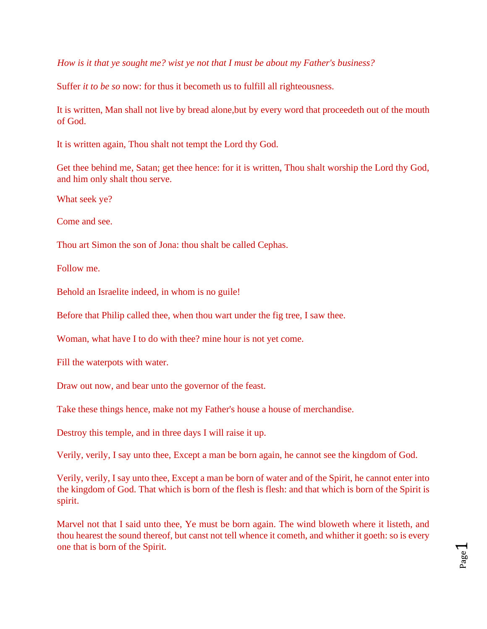*How is it that ye sought me? wist ye not that I must be about my Father's business?* 

Suffer *it to be so* now: for thus it becometh us to fulfill all righteousness.

It is written, Man shall not live by bread alone,but by every word that proceedeth out of the mouth of God.

It is written again, Thou shalt not tempt the Lord thy God.

Get thee behind me, Satan; get thee hence: for it is written, Thou shalt worship the Lord thy God, and him only shalt thou serve.

What seek ye?

Come and see.

Thou art Simon the son of Jona: thou shalt be called Cephas.

Follow me.

Behold an Israelite indeed, in whom is no guile!

Before that Philip called thee, when thou wart under the fig tree, I saw thee.

Woman, what have I to do with thee? mine hour is not yet come.

Fill the waterpots with water.

Draw out now, and bear unto the governor of the feast.

Take these things hence, make not my Father's house a house of merchandise.

Destroy this temple, and in three days I will raise it up.

Verily, verily, I say unto thee, Except a man be born again, he cannot see the kingdom of God.

Verily, verily, I say unto thee, Except a man be born of water and of the Spirit, he cannot enter into the kingdom of God. That which is born of the flesh is flesh: and that which is born of the Spirit is spirit.

Marvel not that I said unto thee, Ye must be born again. The wind bloweth where it listeth, and thou hearest the sound thereof, but canst not tell whence it cometh, and whither it goeth: so is every one that is born of the Spirit.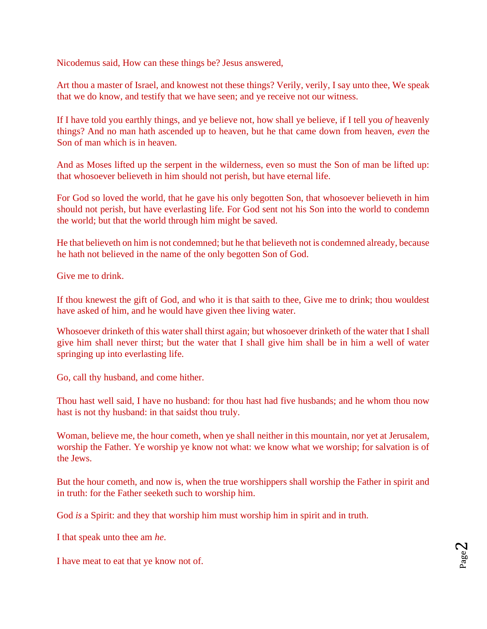Nicodemus said, How can these things be? Jesus answered,

Art thou a master of Israel, and knowest not these things? Verily, verily, I say unto thee, We speak that we do know, and testify that we have seen; and ye receive not our witness.

If I have told you earthly things, and ye believe not, how shall ye believe, if I tell you *of* heavenly things? And no man hath ascended up to heaven, but he that came down from heaven, *even* the Son of man which is in heaven.

And as Moses lifted up the serpent in the wilderness, even so must the Son of man be lifted up: that whosoever believeth in him should not perish, but have eternal life.

For God so loved the world, that he gave his only begotten Son, that whosoever believeth in him should not perish, but have everlasting life. For God sent not his Son into the world to condemn the world; but that the world through him might be saved.

He that believeth on him is not condemned; but he that believeth not is condemned already, because he hath not believed in the name of the only begotten Son of God.

Give me to drink.

If thou knewest the gift of God, and who it is that saith to thee, Give me to drink; thou wouldest have asked of him, and he would have given thee living water.

Whosoever drinketh of this water shall thirst again; but whosoever drinketh of the water that I shall give him shall never thirst; but the water that I shall give him shall be in him a well of water springing up into everlasting life.

Go, call thy husband, and come hither.

Thou hast well said, I have no husband: for thou hast had five husbands; and he whom thou now hast is not thy husband: in that saidst thou truly.

Woman, believe me, the hour cometh, when ye shall neither in this mountain, nor yet at Jerusalem, worship the Father. Ye worship ye know not what: we know what we worship; for salvation is of the Jews.

But the hour cometh, and now is, when the true worshippers shall worship the Father in spirit and in truth: for the Father seeketh such to worship him.

God *is* a Spirit: and they that worship him must worship him in spirit and in truth.

I that speak unto thee am *he*.

I have meat to eat that ye know not of.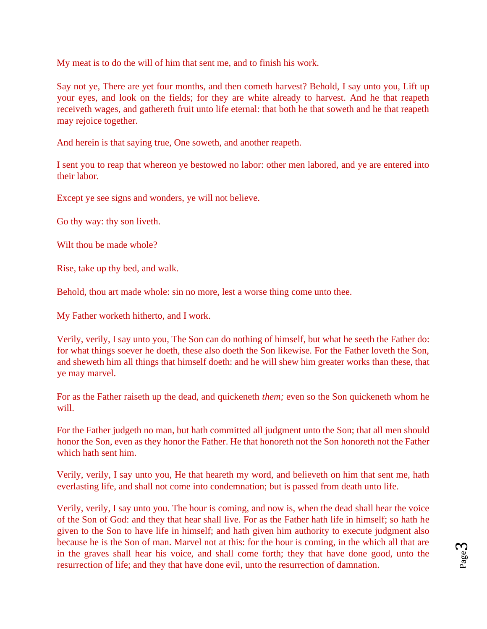My meat is to do the will of him that sent me, and to finish his work.

Say not ye, There are yet four months, and then cometh harvest? Behold, I say unto you, Lift up your eyes, and look on the fields; for they are white already to harvest. And he that reapeth receiveth wages, and gathereth fruit unto life eternal: that both he that soweth and he that reapeth may rejoice together.

And herein is that saying true, One soweth, and another reapeth.

I sent you to reap that whereon ye bestowed no labor: other men labored, and ye are entered into their labor.

Except ye see signs and wonders, ye will not believe.

Go thy way: thy son liveth.

Wilt thou be made whole?

Rise, take up thy bed, and walk.

Behold, thou art made whole: sin no more, lest a worse thing come unto thee.

My Father worketh hitherto, and I work.

Verily, verily, I say unto you, The Son can do nothing of himself, but what he seeth the Father do: for what things soever he doeth, these also doeth the Son likewise. For the Father loveth the Son, and sheweth him all things that himself doeth: and he will shew him greater works than these, that ye may marvel.

For as the Father raiseth up the dead, and quickeneth *them;* even so the Son quickeneth whom he will.

For the Father judgeth no man, but hath committed all judgment unto the Son; that all men should honor the Son, even as they honor the Father. He that honoreth not the Son honoreth not the Father which hath sent him.

Verily, verily, I say unto you, He that heareth my word, and believeth on him that sent me, hath everlasting life, and shall not come into condemnation; but is passed from death unto life.

Verily, verily, I say unto you. The hour is coming, and now is, when the dead shall hear the voice of the Son of God: and they that hear shall live. For as the Father hath life in himself; so hath he given to the Son to have life in himself; and hath given him authority to execute judgment also because he is the Son of man. Marvel not at this: for the hour is coming, in the which all that are in the graves shall hear his voice, and shall come forth; they that have done good, unto the resurrection of life; and they that have done evil, unto the resurrection of damnation.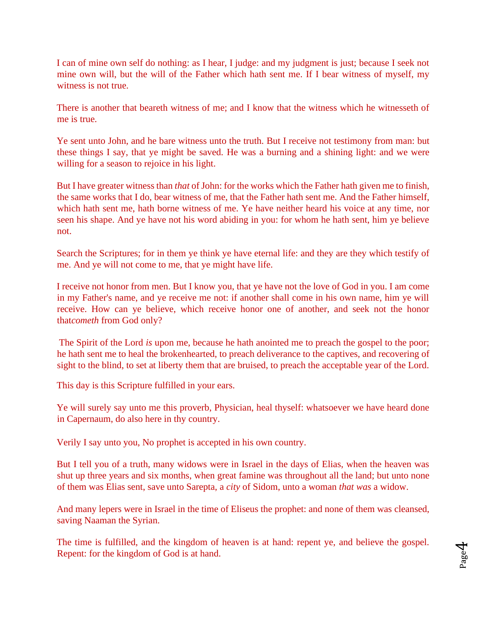I can of mine own self do nothing: as I hear, I judge: and my judgment is just; because I seek not mine own will, but the will of the Father which hath sent me. If I bear witness of myself, my witness is not true.

There is another that beareth witness of me; and I know that the witness which he witnesseth of me is true.

Ye sent unto John, and he bare witness unto the truth. But I receive not testimony from man: but these things I say, that ye might be saved. He was a burning and a shining light: and we were willing for a season to rejoice in his light.

But I have greater witness than *that* of John: for the works which the Father hath given me to finish, the same works that I do, bear witness of me, that the Father hath sent me. And the Father himself, which hath sent me, hath borne witness of me. Ye have neither heard his voice at any time, nor seen his shape. And ye have not his word abiding in you: for whom he hath sent, him ye believe not.

Search the Scriptures; for in them ye think ye have eternal life: and they are they which testify of me. And ye will not come to me, that ye might have life.

I receive not honor from men. But I know you, that ye have not the love of God in you. I am come in my Father's name, and ye receive me not: if another shall come in his own name, him ye will receive. How can ye believe, which receive honor one of another, and seek not the honor that*cometh* from God only?

[Th](http://www.sacred-texts.com/bib/csj/csj015.htm#fn_8)e Spirit of the Lord *is* upon me, because he hath anointed me to preach the gospel to the poor; he hath sent me to heal the brokenhearted, to preach deliverance to the captives, and recovering of sight to the blind, to set at liberty them that are bruised, to preach the acceptable year of the Lord.

This day is this Scripture fulfilled in your ears.

Ye will surely say unto me this proverb, Physician, heal thyself: whatsoever we have heard done in Capernaum, do also here in thy country.

Verily I say unto you, No prophet is accepted in his own country.

But I tell you of a truth, many widows were in Israel in the days of Elias, when the heaven was shut up three years and six months, when great famine was throughout all the land; but unto none of them was Elias sent, save unto Sarepta, a *city* of Sidom, unto a woman *that was* a widow.

And many lepers were in Israel in the time of Eliseus the prophet: and none of them was cleansed, saving Naaman the Syrian.

The time is fulfilled, and the kingdom of heaven is at hand: repent ye, and believe the gospel. Repent: for the kingdom of God is at hand.

 $J_{\rm age}$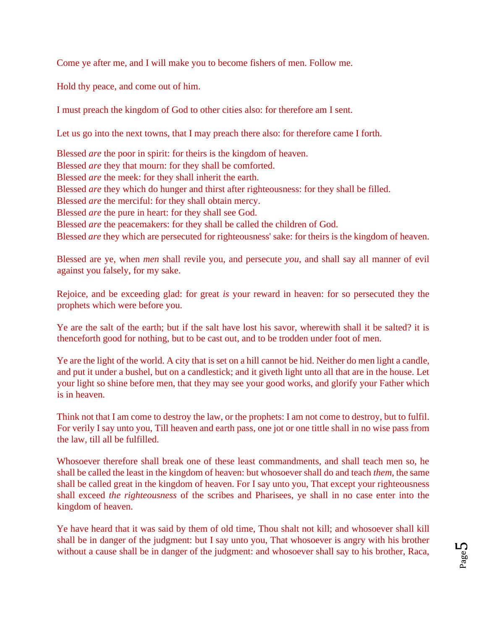Come ye after me, and I will make you to become fishers of men. Follow me.

Hold thy peace, and come out of him.

I must preach the kingdom of God to other cities also: for therefore am I sent.

Let us go into the next towns, that I may preach there also: for therefore came I forth.

Blessed *are* the poor in spirit: for theirs is the kingdom of heaven. Blessed *are* they that mourn: for they shall be comforted. Blessed *are* the meek: for they shall inherit the earth. Blessed *are* they which do hunger and thirst after righteousness: for they shall be filled. Blessed *are* the merciful: for they shall obtain mercy. Blessed *are* the pure in heart: for they shall see God. Blessed *are* the peacemakers: for they shall be called the children of God. Blessed *are* they which are persecuted for righteousness' sake: for theirs is the kingdom of heaven.

Blessed are ye, when *men* shall revile you, and persecute *you*, and shall say all manner of evil against you falsely, for my sake.

Rejoice, and be exceeding glad: for great *is* your reward in heaven: for so persecuted they the prophets which were before you.

Ye are the salt of the earth; but if the salt have lost his savor, wherewith shall it be salted? it is thenceforth good for nothing, but to be cast out, and to be trodden under foot of men.

Ye are the light of the world. A city that is set on a hill cannot be hid. Neither do men light a candle, and put it under a bushel, but on a candlestick; and it giveth light unto all that are in the house. Let your light so shine before men, that they may see your good works, and glorify your Father which is in heaven.

Think not that I am come to destroy the law, or the prophets: I am not come to destroy, but to fulfil. For verily I say unto you, Till heaven and earth pass, one jot or one tittle shall in no wise pass from the law, till all be fulfilled.

Whosoever therefore shall break one of these least commandments, and shall teach men so, he shall be called the least in the kingdom of heaven: but whosoever shall do and teach *them*, the same shall be called great in the kingdom of heaven. For I say unto you, That except your righteousness shall exceed *the righteousness* of the scribes and Pharisees, ye shall in no case enter into the kingdom of heaven.

Ye have heard that it was said by them of old time, Thou shalt not kill; and whosoever shall kill shall be in danger of the judgment: but I say unto you, That whosoever is angry with his brother without a cause shall be in danger of the judgment: and whosoever shall say to his brother, Raca,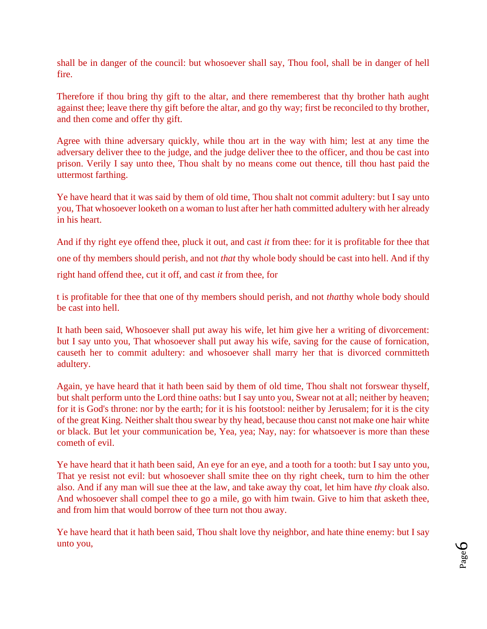shall be in danger of the council: but whosoever shall say, Thou fool, shall be in danger of hell fire.

Therefore if thou bring thy gift to the altar, and there rememberest that thy brother hath aught against thee; leave there thy gift before the altar, and go thy way; first be reconciled to thy brother, and then come and offer thy gift.

Agree with thine adversary quickly, while thou art in the way with him; lest at any time the adversary deliver thee to the judge, and the judge deliver thee to the officer, and thou be cast into prison. Verily I say unto thee, Thou shalt by no means come out thence, till thou hast paid the uttermost farthing.

Ye have heard that it was said by them of old time, Thou shalt not commit adultery: but I say unto you, That whosoever looketh on a woman to lust after her hath committed adultery with her already in his heart.

And if thy right eye offend thee, pluck it out, and cast *it* from thee: for it is profitable for thee that one of thy members should perish, and not *that* thy whole body should be cast into hell. And if thy right hand offend thee, cut it off, and cast *it* from thee, for

t is profitable for thee that one of thy members should perish, and not *that*thy whole body should be cast into hell.

It hath been said, Whosoever shall put away his wife, let him give her a writing of divorcement: but I say unto you, That whosoever shall put away his wife, saving for the cause of fornication, causeth her to commit adultery: and whosoever shall marry her that is divorced cornmitteth adultery[.](http://www.sacred-texts.com/bib/csj/csj017.htm#fn_10)

Again, ye have heard that it hath been said by them of old time, Thou shalt not forswear thyself, but shalt perform unto the Lord thine oaths: but I say unto you, Swear not at all; neither by heaven; for it is God's throne: nor by the earth; for it is his footstool: neither by Jerusalem; for it is the city of the great King. Neither shalt thou swear by thy head, because thou canst not make one hair white or black. But let your communication be, Yea, yea; Nay, nay: for whatsoever is more than these cometh of evil.

Ye have heard that it hath been said, An eye for an eye, and a tooth for a tooth: but I say unto you, That ye resist not evil: but whosoever shall smite thee on thy right cheek, turn to him the other also. And if any man will sue thee at the law, and take away thy coat, let him have *thy* cloak also. And whosoever shall compel thee to go a mile, go with him twain. Give to him that asketh thee, and from him that would borrow of thee turn not thou away.

Ye have heard that it hath been said, Thou shalt love thy neighbor, and hate thine enemy: but I say unto you,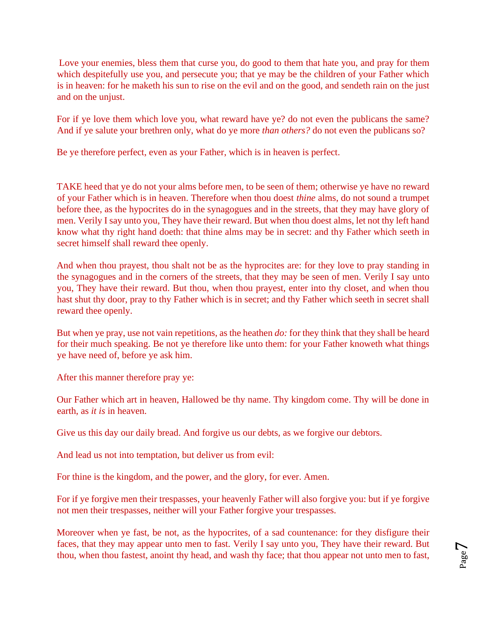[Lo](http://www.sacred-texts.com/bib/csj/csj017.htm#fn_11)ve your enemies, bless them that curse you, do good to them that hate you, and pray for them which despitefully use you, and persecute you; that ye may be the children of your Father which is in heaven: for he maketh his sun to rise on the evil and on the good, and sendeth rain on the just and on the unjust.

For if ye love them which love you, what reward have ye? do not even the publicans the same? And if ye salute your brethren only, what do ye more *than others?* do not even the publicans so?

Be ye therefore perfect, even as your Father, which is in heaven is perfect.

TAKE heed that ye do not your alms before men, to be seen of them; otherwise ye have no reward of your Father which is in heaven. Therefore when thou doest *thine* alms, do not sound a trumpet before thee, as the hypocrites do in the synagogues and in the streets, that they may have glory of men. Verily I say unto you, They have their reward. But when thou doest alms, let not thy left hand know what thy right hand doeth: that thine alms may be in secret: and thy Father which seeth in secret himself shall reward thee openly.

And when thou prayest, thou shalt not be as the hyprocites are: for they love to pray standing in the synagogues and in the corners of the streets, that they may be seen of men. Verily I say unto you, They have their reward. But thou, when thou prayest, enter into thy closet, and when thou hast shut thy door, pray to thy Father which is in secret; and thy Father which seeth in secret shall reward thee openly.

But when ye pray, use not vain repetitions, as the heathen *do:* for they think that they shall be heard for their much speaking. Be not ye therefore like unto them: for your Father knoweth what things ye have need of, before ye ask him.

After this manner therefore pray ye:

Our Father which art in heaven, Hallowed be thy name. Thy kingdom come. Thy will be done in earth, as *it is* in heaven.

Give us this day our daily bread. And forgive us our debts, as we forgive our debtors.

And lead us not into temptation, but deliver us from evil:

For thine is the kingdom, and the power, and the glory, for ever. Amen.

For if ye forgive men their trespasses, your heavenly Father will also forgive you: but if ye forgive not men thei[r](http://www.sacred-texts.com/bib/csj/errata.htm#0) [trespasses,](http://www.sacred-texts.com/bib/csj/errata.htm#0) neither will your Father forgive your trespasses.

Moreover when ye fast, be not, as the hypocrites, of a sad countenance: for they disfigure their faces, that they may appear unto men to fast. Verily I say unto you, They have their reward. But thou, when thou fastest, anoint thy head, and wash thy face; that thou appear not unto men to fast,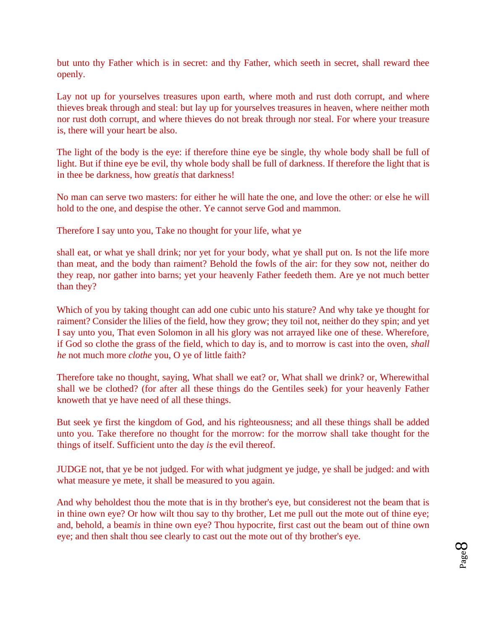but unto thy Father which is in secret: and thy Father, which seeth in secret, shall reward thee openly.

Lay not up for yourselves treasures upon earth, where moth and rust doth corrupt, and where thieves break through and steal: but lay up for yourselves treasures in heaven, where neither moth nor rust doth corrupt, and where thieves do not break through nor steal. For where your treasure is, there will your heart be also.

The light of the body is the eye: if therefore thine eye be single, thy whole body shall be full of light. But if thine eye be evil, thy whole body shall be full of darkness. If therefore the light that is in thee be darkness, how great*is* that darkness!

No man can serve two masters: for either he will hate the one, and love the other: or else he will hold to the one, and despise the other. Ye cannot serve God and mammon.

Therefore I say unto you, Take no thought for your life, what ye

shall eat, or what ye shall drink; nor yet for your body, what ye shall put on. Is not the life more than meat, and the body than raiment? Behold the fowls of the air: for they sow not, neither do they reap, nor gather into barns; yet your heavenly Father feedeth them. Are ye not much better than they?

Which of you by taking thought can add one cubic unto his stature? And why take ye thought for raiment? Consider the lilies of the field, how they grow; they toil not, neither do they spin; and yet I say unto you, That even Solomon in all his glory was not arrayed like one of these. Wherefore, if God so clothe the grass of the field, which to day is, and to morrow is cast into the oven, *shall he* not much more *clothe* you, O ye of little faith?

Therefore take no thought, saying, What shall we eat? or, What shall we drink? or, Wherewithal shall we be clothed? (for after all these things do the Gentiles seek) for your heavenly Father knoweth that ye have need of all these things.

But seek ye first the kingdom of God, and his righteousness; and all these things shall be added unto you. Take therefore no thought for the morrow: for the morrow shall take thought for the things of itself. Sufficient unto the day *is* the evil thereof.

JUDGE not, that ye be not judged. For with what judgment ye judge, ye shall be judged: and with what measure ye mete, it shall be measured to you again.

And why beholdest thou the mote that is in thy brother's eye, but considerest not the beam that is in thine own eye? Or how wilt thou say to thy brother, Let me pull out the mote out of thine eye; and, behold, a beam*is* in thine own eye? Thou hypocrite, first cast out the beam out of thine own eye; and then shalt thou see clearly to cast out the mote out of thy brother's eye.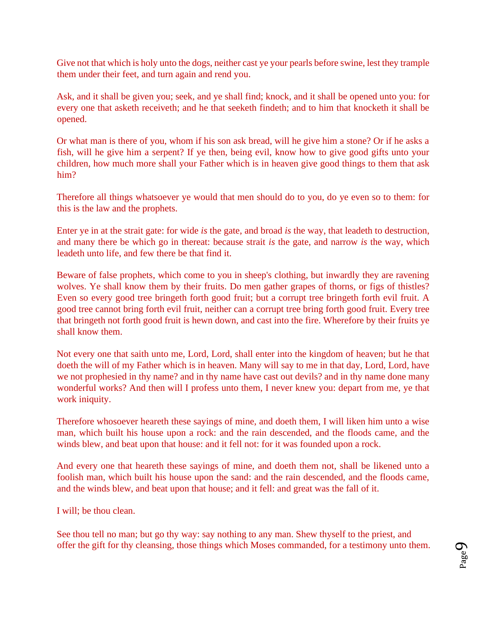Give not that which is holy unto the dogs, neither cast ye your pearls before swine, lest they trample them under their feet, and turn again and rend you.

Ask, and it shall be given you; seek, and ye shall find; knock, and it shall be opened unto you: for every one that asketh receiveth; and he that seeketh findeth; and to him that knocketh it shall be opened.

Or what man is there of you, whom if his son ask bread, will he give him a stone? Or if he asks a fish, will he give him a serpent? If ye then, being evil, know how to give good gifts unto your children, how much more shall your Father which is in heaven give good things to them that ask him?

[Th](http://www.sacred-texts.com/bib/csj/csj019.htm#fn_12)erefore all things whatsoever ye would that men should do to you, do ye even so to them: for this is the law and the prophets.

Enter ye in at the strait gate: for wide *is* the gate, and broad *is* the way, that leadeth to destruction, and many there be which go in thereat: because strait *is* the gate, and narrow *is* the way, which leadeth unto life, and few there be that find it.

Beware of false prophets, which come to you in sheep's clothing, but inwardly they are ravening wolves. Ye shall know them by their fruits. Do men gather grapes of thorns, or figs of thistles? Even so every good tree bringeth forth good fruit; but a corrupt tree bringeth forth evil fruit. A good tree cannot bring forth evil fruit, neither can a corrupt tree bring forth good fruit. Every tree that bringeth not forth good fruit is hewn down, and cast into the fire. Wherefore by their fruits ye shall know them.

Not every one that saith unto me, Lord, Lord, shall enter into the kingdom of heaven; but he that doeth the will of my Father which is in heaven. Many will say to me in that day, Lord, Lord, have we not prophesied in thy name? and in thy name have cast out devils? and in thy name done many wonderful works? And then will I profess unto them, I never knew you: depart from me, ye that work iniquity.

Therefore whosoever heareth these sayings of mine, and doeth them, I will liken him unto a wise man, which built his house upon a rock: and the rain descended, and the floods came, and the winds blew, and beat upon that house: and it fell not: for it was founded upon a rock.

And every one that heareth these sayings of mine, and doeth them not, shall be likened unto a foolish man, which built his house upon the sand: and the rain descended, and the floods came, and the winds blew, and beat upon that house; and it fell: and great was the fall of it.

I will; be thou clean.

See thou tell no man; but go thy way: say nothing to any man. Shew thyself to the priest, and offer the gift for thy cleansing, those things which Moses commanded, for a testimony unto them.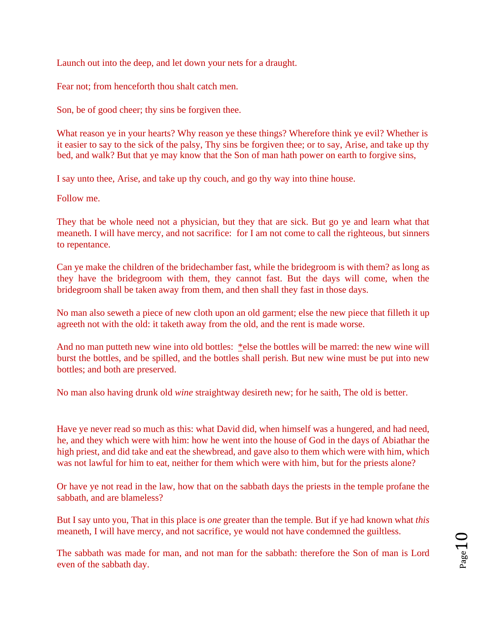Launch out into the deep, and let down your nets for a draught.

Fear not; from henceforth thou shalt catch men.

Son, be of good cheer; thy sins be forgiven thee[.](http://www.sacred-texts.com/bib/csj/csj020.htm#fn_14)

What reason ye in your hearts? Why reason ye these things? Wherefore think ye evil? Whether is it easier to say to the sick of the palsy, Thy sins be forgiven thee; or to say, Arise, and take up thy bed, and walk? But that ye may know that the Son of man hath power on earth to forgive sins,

I say unto thee, Arise, and take up thy couch, and go thy way into thine house.

Follow me.

They that be whole need not a physician, but they that are sick. But go ye and learn what that meaneth. I will have mercy, and not sacrifice[:](http://www.sacred-texts.com/bib/csj/csj021.htm#fn_17) for I am not come to call the righteous, but sinners to repentance.

Can ye make the children of the bridechamber fast, while the bridegroom is with them? as long as they have the bridegroom with them, they cannot fast. But the days will come, when the bridegroom shall be taken away from them, and then shall they fast in those days.

No man also seweth a piece of new cloth upon an old garment; else the new piece that filleth it up agreeth not with the old: it taketh away from the old, and the rent is made worse.

And no man putteth new wine into old bottles: [\\*el](http://www.sacred-texts.com/bib/csj/csj022.htm#fn_18)se the bottles will be marred: the new wine will burst the bottles, and be spilled, and the bottles shall perish. But new wine must be put into new bottles; and both are preserved.

No man also having drunk old *wine* straightway desireth new; for he saith, The old is better.

Have ye never read so much as this: what David did, when himself was a hungered, and had need, he, and they which were with him: how he went into the house of God in the days of Abiathar the high priest, and did take and eat the shewbread, and gave also to them which were with him, which was not lawful for him to eat, neither for them which were with him, but for the priests alone?

Or have ye not read in the law, how that on the sabbath days the priests in the temple profane the sabbath, and are blameless?

But I say unto you, That in this place is *one* greater than the temple. But if ye had known what *this* meaneth, I will have mercy, and not sacrifice, ye would not have condemned the guiltless.

The sabbath was made for man, and not man for the sabbath: therefore the Son of man is Lord even of the sabbath day.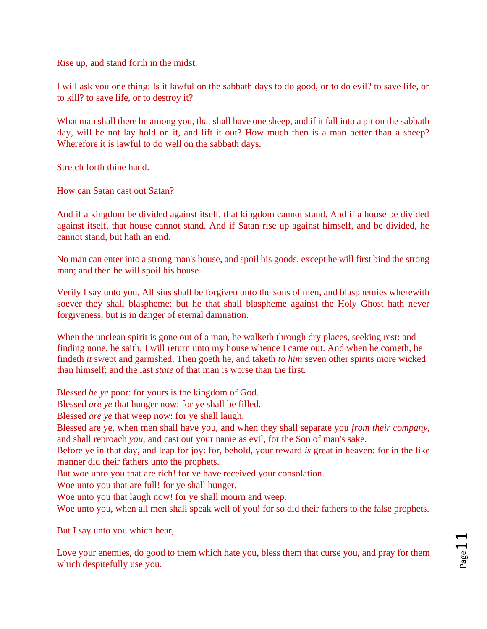Rise up, and stand forth in the midst.

I will ask you one thing: Is it lawful on the sabbath days to do good, or to do evil? to save life, or to kill? to save life, or to destroy it?

What man shall there be among you, that shall have one sheep, and if it fall into a pit on the sabbath day, will he not lay hold on it, and lift it out? How much then is a man better than a sheep? Wherefore it is lawful to do well on the sabbath days.

Stretch forth thine hand.

How can Satan cast out Satan?

And if a kingdom be divided against itself, that kingdom cannot stand. And if a house be divided against itself, that house cannot stand. And if Satan rise up against himself, and be divided, he cannot stand, but hath an end.

No man can enter into a strong man's house, and spoil his goods, except he will first bind the strong man; and then he will spoil his house.

Verily I say unto you, All sins shall be forgiven unto the sons of men, and blasphemies wherewith soever they shall blaspheme: but he that shall blaspheme against the Holy Ghost hath never forgiveness, but is in danger of eternal damnation.

[Wh](http://www.sacred-texts.com/bib/csj/csj022.htm#fn_20)en the unclean spirit is gone out of a man, he walketh through dry places, seeking rest: and finding none, he saith, I will return unto my house whence I came out. And when he cometh, he findeth *it* swept and garnished. Then goeth he, and taketh *to him* seven other spirits more wicked than himself; and the last *state* of that man is worse than the first.

Blessed *be ye* poor: for yours is the kingdom of God.

Blessed *are ye* that hunger now: for ye shall be filled.

Blessed *are ye* that weep now: for ye shall laugh.

Blessed are ye, when men shall have you, and when they shall separate you *from their company*, and shall reproach *you*, and cast out your name as evil, for the Son of man's sake.

Before ye in that day, and leap for joy: for, behold, your reward *is* great in heaven: for in the like manner did their fathers unto the prophets.

But woe unto you that are rich! for ye have received your consolation.

Woe unto you that are full! for ye shall hunger.

Woe unto you that laugh now! for ye shall mourn and weep.

Woe unto you, when all men shall speak well of you! for so did their fathers to the false prophets.

But I say unto you which hear,

Love your enemies, do good to them which hate you, bless them that curse you, and pray for them which despitefully use you.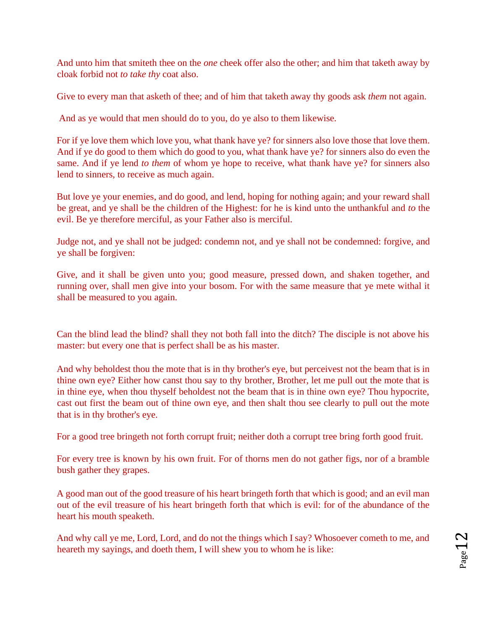And unto him that smiteth thee on the *one* cheek offer also the other; and him that taketh away by cloak forbid not *to take thy* coat also.

Give to every man that asketh of thee; and of him that taketh away thy goods ask *them* not again.

[An](http://www.sacred-texts.com/bib/csj/csj023.htm#fn_22)d as ye would that men should do to you, do ye also to them likewise.

For if ye love them which love you, what thank have ye? for sinners also love those that love them. And if ye do good to them which do good to you, what thank have ye? for sinners also do even the same. And if ye lend *to them* of whom ye hope to receive, what thank have ye? for sinners also lend to sinners, to receive as much again.

But love ye your enemies, and do good, and lend, hoping for nothing again; and your reward shall be great, and ye shall be the children of the Highest: for he is kind unto the unthankful and *to* the evil. Be ye therefore merciful, as your Father also is merciful.

Judge not, and ye shall not be judged: condemn not, and ye shall not be condemned: forgive, and ye shall be forgiven:

Give, and it shall be given unto you; good measure, pressed down, and shaken together, and running over, shall men give into your bosom. For with the same measure that ye mete withal it shall be measured to you again.

Can the blind lead the blind? shall they not both fall into the ditch? The disciple is not above his master: but every one that is perfect shall be as his master.

And why beholdest thou the mote that is in thy brother's eye, but perceivest not the beam that is in thine own eye? Either how canst thou say to thy brother, Brother, let me pull out the mote that is in thine eye, when thou thyself beholdest not the beam that is in thine own eye? Thou hypocrite, cast out first the beam out of thine own eye, and then shalt thou see clearly to pull out the mote that is in thy brother's eye.

For a good tree bringeth not forth corrupt fruit; neither doth a corrupt tree bring forth good fruit.

For every tree is known by his own fruit. For of thorns men do not gather figs, nor of a bramble bush gather they grapes.

A good man out of the good treasure of his heart bringeth forth that which is good; and an evil man out of the evil treasure of his heart bringeth forth that which is evil: for of the abundance of the heart his mouth speaketh.

And why call ye me, Lord, Lord, and do not the things which I say? Whosoever cometh to me, and heareth my sayings, and doeth them, I will shew you to whom he is like: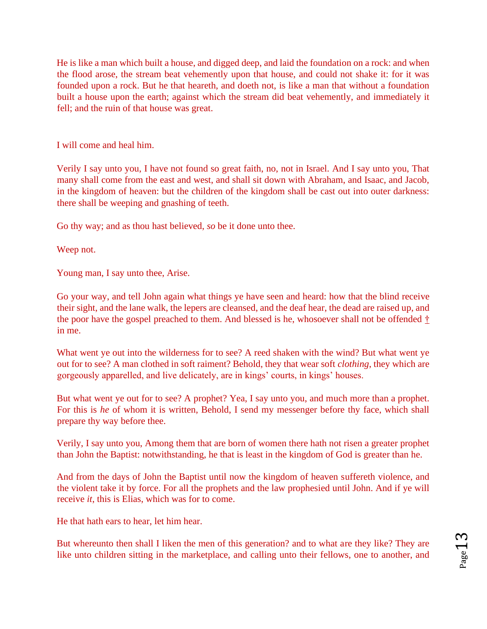He is like a man which built a house, and digged deep, and laid the foundation on a rock: and when the flood arose, the stream beat vehemently upon that house, and could not shake it: for it was founded upon a rock. But he that heareth, and doeth not, is like a man that without a foundation built a house upon the earth; against which the stream did beat vehemently, and immediately it fell; and the ruin of that house was great.

I will come and heal him.

Verily I say unto you, I have not found so great faith, no, not in Israel. And I say unto you, That many shall come from the east and west, and shall sit down with Abraham, and Isaac, and Jacob, in the kingdom of heaven: but the children of the kingdom shall be cast out into outer darkness: there shall be weeping and gnashing of teeth.

Go thy way; and as thou hast believed, *so* be it done unto thee.

Weep not.

Young man, I say unto thee, Arise.

Go your way, and tell John again what things ye have seen and heard: how that the blind receive their sight, and the lane walk, the lepers are cleansed, and the deaf hear, the dead are raised up, and the poor have the gospel preached to them. And blessed is he, whosoever shall not be offended [†](http://www.sacred-texts.com/bib/csj/csj026.htm#fn_24) in me.

What went ye out into the wilderness for to see? A reed shaken with the wind? But what went ye out for to see? A man clothed in soft raiment? Behold, they that wear soft *clothing*, they which are gorgeously apparelled, and live delicately, are in kings' courts, in kings' houses.

But what went ye out for to see? A prophet? Yea, I say unto you, and much more than a prophet. For this is *he* of whom it is written, Behold, I send my messenger before thy face, which shall prepare thy way before thee.

Verily, I say unto you, Among them that are born of women there hath not risen a greater prophet than John the Baptist: notwithstanding, he that is least in the kingdom of God is greater than he.

And from the days of John the Baptist until now the kingdom of heaven suffereth violence, and the violent take it by force. For all the prophets and the law prophesied until John. And if ye will receive *it*, this is Elias, which was for to come.

He that hath ears to hear, let him hear.

But whereunto then shall I liken the men of this generation? and to what are they like? They are like unto children sitting in the marketplace, and calling unto their fellows, one to another, and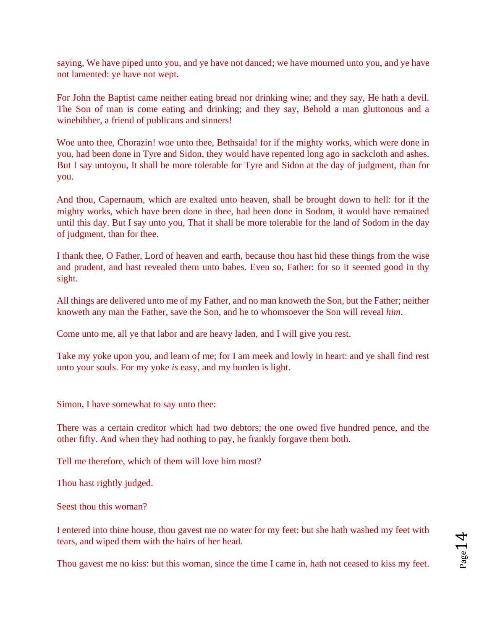saying, We have piped unto you, and ye have not danced; we have mourned unto you, and ye have not lamented: ye have not wept.

For John the Baptist came neither eating bread nor drinking wine; and they say, He hath a devil. The Son of man is come eating and drinking; and they say, Behold a man gluttonous and a winebibber, a friend of publicans and sinners!

Woe unto thee, Chorazin! woe unto thee, Bethsaida! for if the mighty works, which were done in you, had been done in Tyre and Sidon, they would have repented long ago in sackcloth and ashes. But I say untoyou, It shall be more tolerable for Tyre and Sidon at the day of judgment, than for you.

And thou, Capernaum, which are exalted unto heaven, shall be brought down to hell: for if the mighty works, which have been done in thee, had been done in Sodom, it would have remained until this day. But I say unto you, That it shall be more tolerable for the land of Sodom in the day of judgment, than for thee.

I thank thee, O Father, Lord of heaven and earth, because thou hast hid these things from the wise and prudent, and hast revealed them unto babes. Even so, Father: for so it seemed good in thy sight.

All things are delivered unto me of my Father, and no man knoweth the Son, but the Father; neither knoweth any man the Father, save the Son, and he to whomsoever the Son will reveal *him*.

Come unto me, all ye that labor and are heavy laden, and I will give you rest.

Take my yoke upon you, and learn of me; for I am meek and lowly in heart: and ye shall find rest unto your souls. For my yoke *is* easy, and my burden is light.

Simon, I have somewhat to say unto thee:

There was a certain creditor which had two debtors; the one owed five hundred pence, and the other fifty. And when they had nothing to pay, he frankly forgave them both.

Tell me therefore, which of them will love him most?

Thou hast rightly judged.

Seest thou this woman?

I entered into thine house, thou gavest me no water for my feet: but she hath washed my feet with tears, and wiped them with the hairs of her head.

Thou gavest me no kiss: but this woman, since the time I came in, hath not ceased to kiss my feet.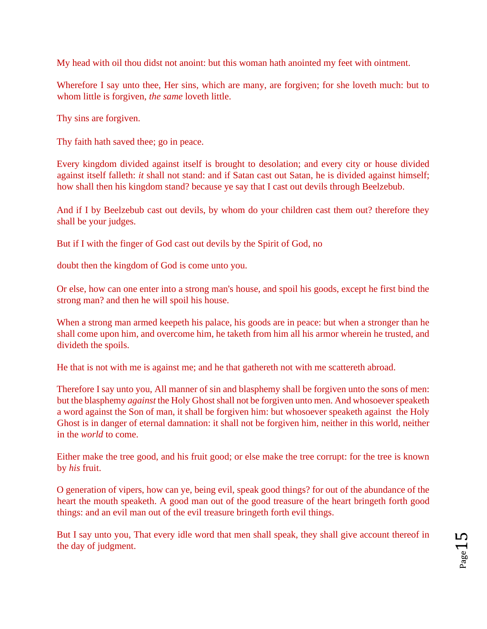My head with oil thou didst not anoint: but this woman hath anointed my feet with ointment.

Wherefore I say unto thee, Her sins, which are many, are forgiven; for she loveth much: but to whom little is forgiven, *the same* loveth little.

Thy sins are forgiven.

Thy faith hath saved thee; go in peace.

[Ev](http://www.sacred-texts.com/bib/csj/csj029.htm#fn_28)ery kingdom divided against itself is brought to desolation; and every city or house divided against itself falleth: *it* shall not stand: and if Satan cast out Satan, he is divided against himself; how shall then his kingdom stand? because ye say that I cast out devils through Beelzebub.

And if I by Beelzebub cast out devils, by whom do your children cast them out? therefore they shall be your judges.

But if I with the finger of God cast out devils by the Spirit of God, no

doubt then the kingdom of God is come unto you.

Or else, how can one enter into a strong man's house, and spoil his goods, except he first bind the strong man? and then he will spoil his house.

When a strong man armed keepeth his palace, his goods are in peace: but when a stronger than he shall come upon him, and overcome him, he taketh from him all his armor wherein he trusted, and divideth the spoils.

He that is not with me is against me; and he that gathereth not with me scattereth abroad.

Therefore I say unto you, All manner of sin and blasphemy shall be forgiven unto the sons of men: but the blasphemy *against* the Holy Ghost shall not be forgiven unto men. And whosoever speaketh a word against the Son of man, it shall be forgiven him: but whosoever speaketh against the Holy Ghost is in danger of eternal damnation: it shall not be forgiven him, neither in this world, neither in the *world* to come.

Either make the tree good, and his fruit good; or else make the tree corrupt: for the tree is known by *his* fruit.

O generation of vipers, how can ye, being evil, speak good things? for out of the abundance of the heart the mouth speaketh. A good man out of the good treasure of the heart bringeth forth good things: and an evil man out of the evil treasure bringeth forth evil things.

But I say unto you, That every idle word that men shall speak, they shall give account thereof in the day of judgment.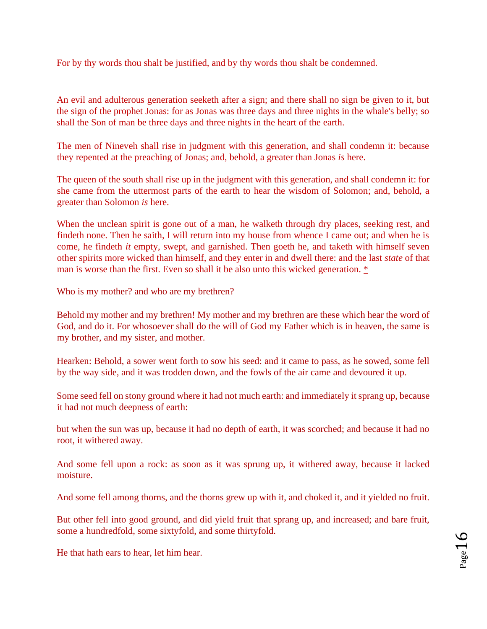For by thy words thou shalt be justified, and by thy words thou shalt be condemned.

An evil and adulterous generation seeketh after a sign; and there shall no sign be given to it, but the sign of the prophet Jonas: for as Jonas was three days and three nights in the whale's belly; so shall the Son of man be three days and three nights in the heart of the earth.

The men of Nineveh shall rise in judgment with this generation, and shall condemn it: because they repented at the preaching of Jonas; and, behold, a greater than Jonas *is* here.

The queen of the south shall rise up in the judgment with this generation, and shall condemn it: for she came from the uttermost parts of the earth to hear the wisdom of Solomon; and, behold, a greater than Solomon *is* here.

When the unclean spirit is gone out of a man, he walketh through dry places, seeking rest, and findeth none. Then he saith, I will return into my house from whence I came out; and when he is come, he findeth *it* empty, swept, and garnished. Then goeth he, and taketh with himself seven other spirits more wicked than himself, and they enter in and dwell there: and the last *state* of that man is worse than the first. Even so shall it be also unto this wicked generation[.](http://www.sacred-texts.com/bib/csj/csj030.htm#fn_29) [\\*](http://www.sacred-texts.com/bib/csj/csj030.htm#fn_29)

Who is my mother? and who are my brethren?

Behold my mother and my brethren! My mother and my brethren are these which hear the word of God, and do it. For whosoever shall do the will of God my Father which is in heaven, the same is my brother, and my sister, and mother.

Hearken: Behold, a sower went forth to sow his seed: and it came to pass, as he sowed, some fell by the way side, and it was trodden down, and the fowls of the air came and devoured it up.

Some seed fell on stony ground where it had not much earth: and immediately it sprang up, because it had not much deepness of earth:

but when the sun was up, because it had no depth of earth, it was scorched; and because it had no root, it withered away.

And some fell upon a rock: as soon as it was sprung up, it withered away, because it lacked moisture.

And some fell among thorns, and the thorns grew up with it, and choked it, and it yielded no fruit.

But other fell into good ground, and did yield fruit that sprang up, and increased; and bare fruit, some a hundredfold, some sixtyfold, and some thirtyfold.

He that hath ears to hear, let him hear.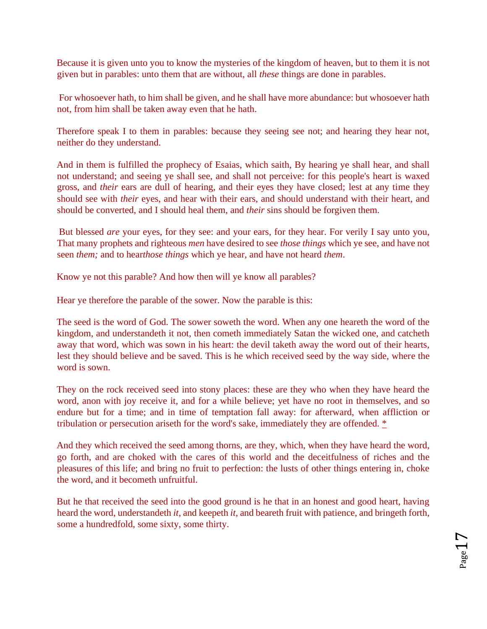Because it is given unto you to know the mysteries of the kingdom of heaven, but to them it is not given but in parables: unto them that are without, all *these* things are done in parables.

[Fo](http://www.sacred-texts.com/bib/csj/csj031.htm#fn_31)r whosoever hath, to him shall be given, and he shall have more abundance: but whosoever hath not, from him shall be taken away even that he hath.

Therefore speak I to them in parables: because they seeing see not; and hearing they hear not, neither do they understand.

And in them is fulfilled the prophecy of Esaias[,](http://www.sacred-texts.com/bib/csj/csj031.htm#fn_32) which saith, By hearing ye shall hear, and shall not understand; and seeing ye shall see, and shall not perceive: for this people's heart is waxed gross, and *their* ears are dull of hearing, and their eyes they have closed; lest at any time they should see with *their* eyes, and hear with their ears, and should understand with their heart, and should be converted, and I should heal them, and *their* sins should be forgiven them.

[Bu](http://www.sacred-texts.com/bib/csj/csj031.htm#fn_33)t blessed *are* your eyes, for they see: and your ears, for they hear. For verily I say unto you, That many prophets and righteous *men* have desired to see *those things* which ye see, and have not seen *them;* and to hear*those things* which ye hear, and have not heard *them*.

Know ye not this parable? And how then will ye know all parables?

Hear ye therefore the parable of the sower. Now the parable is this:

The seed is the word of God. The sower soweth the word. When any one heareth the word of the kingdom, and understandeth it not, then cometh immediately Satan the wicked one, and catcheth away that word, which was sown in his heart: the devil taketh away the word out of their hearts, lest they should believe and be saved. This is he which received seed by the way side, where the word is sown.

They on the rock received seed into stony places: these are they who when they have heard the word, anon with joy receive it, and for a while believe; yet have no root in themselves, and so endure but for a time; and in time of temptation fall away: for afterward, when affliction or tribulation or persecution ariseth for the word's sake, immediately they are offended. [\\*](http://www.sacred-texts.com/bib/csj/csj031.htm#fn_34)

And they which received the seed among thorns, are they, which, when they have heard the word, go forth, and are choked with the cares of this world and the deceitfulness of riches and the pleasures of this life; and bring no fruit to perfection: the lusts of other things entering in, choke the word, and it becometh unfruitful.

But he that received the seed into the good ground is he that in an honest and good heart, having heard the word, understandeth *it*, and keepeth *it*, and beareth fruit with patience, and bringeth forth, some a hundredfold, some sixty, some thirty.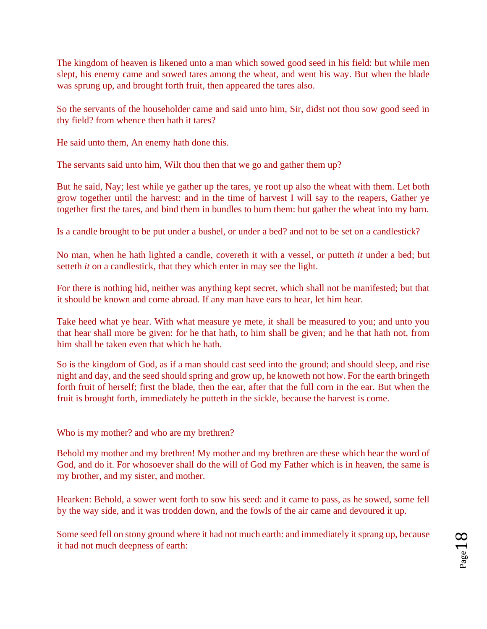The kingdom of heaven is likened unto a man which sowed good seed in his field: but while men slept, his enemy came and sowed tares among the wheat, and went his way. But when the blade was sprung up, and brought forth fruit, then appeared the tares also.

So the servants of the householder came and said unto him, Sir, didst not thou sow good seed in thy field? from whence then hath it tares?

He said unto them, An enemy hath done this.

The servants said unto him, Wilt thou then that we go and gather them up?

But he said, Nay; lest while ye gather up the tares, ye root up also the wheat with them. Let both grow together until the harvest: and in the time of harvest I will say to the reapers, Gather ye together first the tares, and bind them in bundles to burn them: but gather the wheat into my barn.

Is a candle brought to be put under a bushel, or under a bed? and not to be set on a candlestick?

No man, when he hath lighted a candle, covereth it with a vessel, or putteth *it* under a bed; but setteth *it* on a candlestick, that they which enter in may see the light.

For there is nothing hid, neither was anything kept secret, which shall not be manifested; but that it should be known and come abroad. If any man have ears to hear, let him hear.

Take heed what ye hear. With what measure ye mete, it shall be measured to you; and unto you that hear shall more be given: for he that hath, to him shall be given; and he that hath not, from him shall be taken even that which he hath[.](http://www.sacred-texts.com/bib/csj/csj031.htm#fn_35)

So is the kingdom of God, as if a man should cast seed into the ground; and should sleep, and rise night and day, and the seed should spring and grow up, he knoweth not how. For the earth bringeth forth fruit of herself; first the blade, then the ear, after that the full corn in the ear. But when the fruit is brought forth, immediately he putteth in the sickle, because the harvest is come.

Who is my mother? and who are my brethren?

Behold my mother and my brethren! My mother and my brethren are these which hear the word of God, and do it. For whosoever shall do the will of God my Father which is in heaven, the same is my brother, and my sister, and mother.

Hearken: Behold, a sower went forth to sow his seed: and it came to pass, as he sowed, some fell by the way side, and it was trodden down, and the fowls of the air came and devoured it up.

Some seed fell on stony ground where it had not much earth: and immediately it sprang up, because it had not much deepness of earth: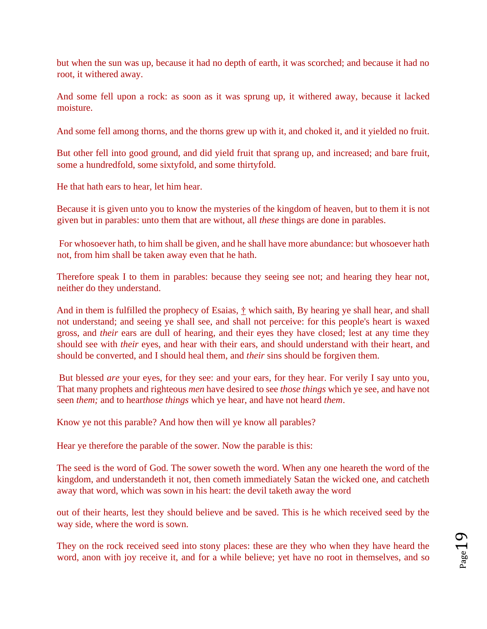but when the sun was up, because it had no depth of earth, it was scorched; and because it had no root, it withered away.

And some fell upon a rock: as soon as it was sprung up, it withered away, because it lacked moisture.

And some fell among thorns, and the thorns grew up with it, and choked it, and it yielded no fruit.

But other fell into good ground, and did yield fruit that sprang up, and increased; and bare fruit, some a hundredfold, some sixtyfold, and some thirtyfold.

He that hath ears to hear, let him hear.

Because it is given unto you to know the mysteries of the kingdom of heaven, but to them it is not given but in parables: unto them that are without, all *these* things are done in parables.

[Fo](http://www.sacred-texts.com/bib/csj/csj031.htm#fn_31)r whosoever hath, to him shall be given, and he shall have more abundance: but whosoever hath not, from him shall be taken away even that he hath.

Therefore speak I to them in parables: because they seeing see not; and hearing they hear not, neither do they understand.

And in them is fulfilled the prophecy of Esaias, [†](http://www.sacred-texts.com/bib/csj/csj031.htm#fn_32) [w](http://www.sacred-texts.com/bib/csj/csj031.htm#fn_32)hich saith, By hearing ye shall hear, and shall not understand; and seeing ye shall see, and shall not perceive: for this people's heart is waxed gross, and *their* ears are dull of hearing, and their eyes they have closed; lest at any time they should see with *their* eyes, and hear with their ears, and should understand with their heart, and should be converted, and I should heal them, and *their* sins should be forgiven them.

[Bu](http://www.sacred-texts.com/bib/csj/csj031.htm#fn_33)t blessed *are* your eyes, for they see: and your ears, for they hear. For verily I say unto you, That many prophets and righteous *men* have desired to see *those things* which ye see, and have not seen *them;* and to hear*those things* which ye hear, and have not heard *them*.

Know ye not this parable? And how then will ye know all parables?

Hear ye therefore the parable of the sower. Now the parable is this:

The seed is the word of God. The sower soweth the word. When any one heareth the word of the kingdom, and understandeth it not, then cometh immediately Satan the wicked one, and catcheth away that word, which was sown in his heart: the devil taketh away the word

out of their hearts, lest they should believe and be saved. This is he which received seed by the way side, where the word is sown.

They on the rock received seed into stony places: these are they who when they have heard the word, anon with joy receive it, and for a while believe; yet have no root in themselves, and so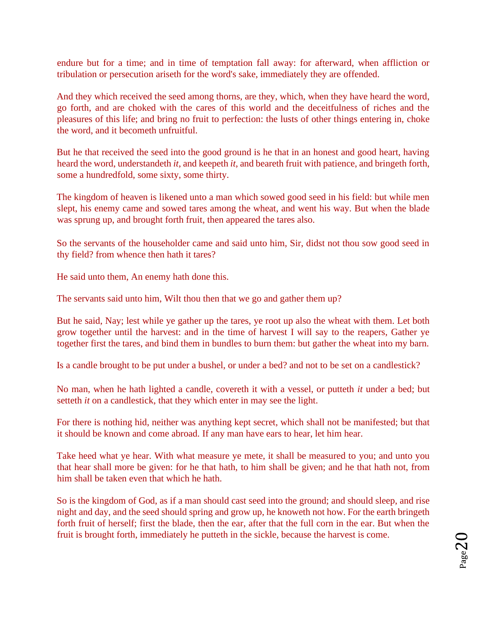endure but for a time; and in time of temptation fall away: for afterward, when affliction or tribulation or persecution ariseth for the word's sake, immediately they are offended[.](http://www.sacred-texts.com/bib/csj/csj031.htm#fn_34)

And they which received the seed among thorns, are they, which, when they have heard the word, go forth, and are choked with the cares of this world and the deceitfulness of riches and the pleasures of this life; and bring no fruit to perfection: the lusts of other things entering in, choke the word, and it becometh unfruitful.

But he that received the seed into the good ground is he that in an honest and good heart, having heard the word, understandeth *it*, and keepeth *it*, and beareth fruit with patience, and bringeth forth, some a hundredfold, some sixty, some thirty.

The kingdom of heaven is likened unto a man which sowed good seed in his field: but while men slept, his enemy came and sowed tares among the wheat, and went his way. But when the blade was sprung up, and brought forth fruit, then appeared the tares also.

So the servants of the householder came and said unto him, Sir, didst not thou sow good seed in thy field? from whence then hath it tares?

He said unto them, An enemy hath done this.

The servants said unto him, Wilt thou then that we go and gather them up?

But he said, Nay; lest while ye gather up the tares, ye root up also the wheat with them. Let both grow together until the harvest: and in the time of harvest I will say to the reapers, Gather ye together first the tares, and bind them in bundles to burn them: but gather the wheat into my barn.

Is a candle brought to be put under a bushel, or under a bed? and not to be set on a candlestick?

No man, when he hath lighted a candle, covereth it with a vessel, or putteth *it* under a bed; but setteth *it* on a candlestick, that they which enter in may see the light.

For there is nothing hid, neither was anything kept secret, which shall not be manifested; but that it should be known and come abroad. If any man have ears to hear, let him hear.

Take heed what ye hear. With what measure ye mete, it shall be measured to you; and unto you that hear shall more be given: for he that hath, to him shall be given; and he that hath not, from him shall be taken even that which he hath[.](http://www.sacred-texts.com/bib/csj/csj031.htm#fn_35)

So is the kingdom of God, as if a man should cast seed into the ground; and should sleep, and rise night and day, and the seed should spring and grow up, he knoweth not how. For the earth bringeth forth fruit of herself; first the blade, then the ear, after that the full corn in the ear. But when the fruit is brought forth, immediately he putteth in the sickle, because the harvest is come.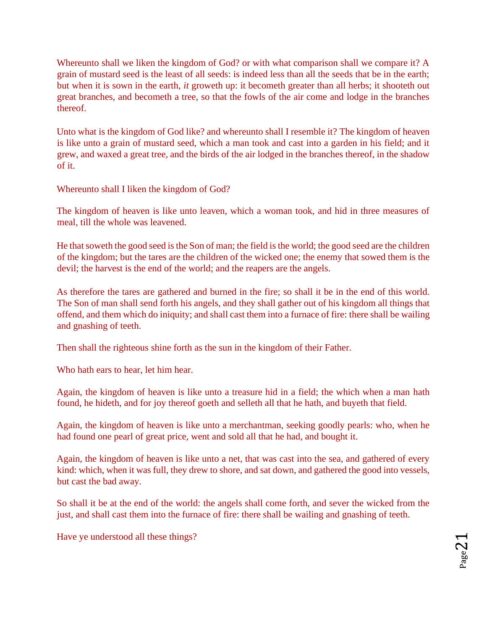[Wh](http://www.sacred-texts.com/bib/csj/csj032.htm#fn_36)ereunto shall we liken the kingdom of God? or with what comparison shall we compare it? A grain of mustard seed is the least of all seeds: is indeed less than all the seeds that be in the earth; but when it is sown in the earth, *it* groweth up: it becometh greater than all herbs; it shooteth out great branches, and becometh a tree, so that the fowls of the air come and lodge in the branches thereof.

Unto what is the kingdom of God like? and whereunto shall I resemble it? The kingdom of heaven is like unto a grain of mustard seed, which a man took and cast into a garden in his field; and it grew, and waxed a great tree, and the birds of the air lodged in the branches thereof, in the shadow of it.

Whereunto shall I liken the kingdom of God?

The kingdom of heaven is like unto leaven, which a woman took, and hid in three measures of meal, till the whole was leavened.

He that soweth the good seed is the Son of man; the field is the world; the good seed are the children of the kingdom; but the tares are the children of the wicked one; the enemy that sowed them is the devil; the harvest is the end of the world; and the reapers are the angels.

As therefore the tares are gathered and burned in the fire; so shall it be in the end of this world. The Son of man shall send forth his angels, and they shall gather out of his kingdom all things that offend, and them which do iniquity; and shall cast them into a furnace of fire: there shall be wailing and gnashing of teeth.

Then shall the righteous shine forth as the sun in the kingdom of their Father.

Who hath ears to hear, let him hear.

Again, the kingdom of heaven is like unto a treasure hid in a field; the which when a man hath found, he hideth, and for joy thereof goeth and selleth all that he hath, and buyeth that field.

Again, the kingdom of heaven is like unto a merchantman, seeking goodly pearls: who, when he had found one pearl of great price, went and sold all that he had, and bought it.

Again, the kingdom of heaven is like unto a net, that was cast into the sea, and gathered of every kind: which, when it was full, they drew to shore, and sat down, and gathered the good into vessels, but cast the bad away.

So shall it be at the end of the world: the angels shall come forth, and sever the wicked from the just, and shall cast them into the furnace of fire: there shall be wailing and gnashing of teeth.

Have ye understood all these things?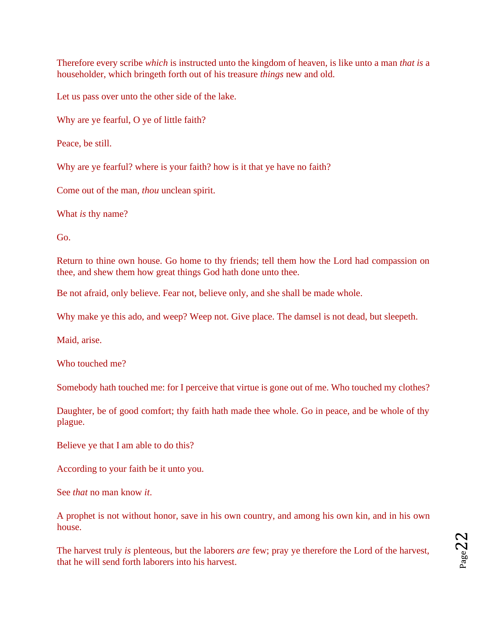Therefore every scribe *which* is instructed unto the kingdom of heaven, is like unto a man *that is* a householder, which bringeth forth out of his treasure *things* new and old.

Let us pass over unto the other side of the lake.

Why are ye fearful, O ye of little faith?

Peace, be still.

Why are ye fearful? where is your faith? how is it that ye have no faith?

Come out of the man, *thou* unclean spirit.

What *is* thy name?

Go.

Return to thine own house. Go home to thy friends; tell them how the Lord had compassion on thee, and shew them how great things God hath done unto thee.

Be not afraid, only believe. Fear not, believe only, and she shall be made whole.

Why make ye this ado, and weep? Weep not. Give place. The damsel is not dead, but sleepeth.

Maid, arise.

Who touched me?

Somebody hath touched me: for I perceive that virtue is gone out of me. Who touched my clothes?

Daughter, be of good comfort; thy faith hath made thee whole. Go in peace, and be whole of thy plague.

Believe ye that I am able to do this?

According to your faith be it unto you.

See *that* no man know *it*.

A prophet is not without honor, save in his own country, and among his own kin, and in his own house.

The harvest truly *is* plenteous, but the laborers *are* few; pray ye therefore the Lord of the harvest, that he will send forth laborers into his harvest.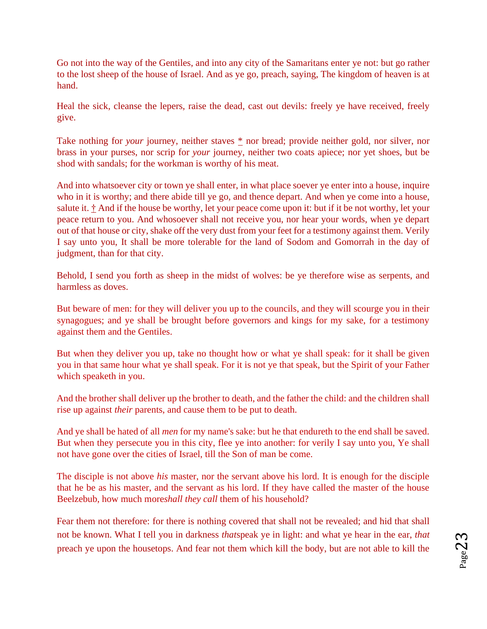Go not into the way of the Gentiles, and into any city of the Samaritans enter ye not: but go rather to the lost sheep of the house of Israel. And as ye go, preach, saying, The kingdom of heaven is at hand.

Heal the sick, cleanse the lepers, raise the dead, cast out devils: freely ye have received, freely give.

Take [n](http://www.sacred-texts.com/bib/csj/csj035.htm#fn_39)othing for *your* journey, neither [s](http://www.sacred-texts.com/bib/csj/csj035.htm#fn_39)taves  $*$  nor bread; provide neither gold, nor silver, nor brass in your purses, nor scrip for *your* journey, neither two coats apiece; nor yet shoes, but be shod with sandals; for the workman is worthy of his meat.

And into whatsoever city or town ye shall enter, in what place soever ye enter into a house, inquire who in it is worthy; and there abide till ye go, and thence depart. And when ye come into a house, salute it.  $\dot{\uparrow}$  And if the house be worthy, let your peace come upon it: but if it be not worthy, let your peace return to you. And whosoever shall not receive you, nor hear your words, when ye depart out of that house or city, shake off the very dust from your feet for a testimony against them. Verily I say unto you, It shall be more tolerable for the land of Sodom and Gomorrah in the day of judgment, than for that city.

Behold, I send you forth as sheep in the midst of wolves: be ye therefore wise as serpents, and harmless as doves.

But beware of men: for they will deliver you up to the councils, and they will scourge you in their synagogues; and ye shall be brought before governors and kings for my sake, for a testimony against them and the Gentiles.

But when they deliver you up, take no thought how or what ye shall speak: for it shall be given you in that same hour what ye shall speak. For it is not ye that speak, but the Spirit of your Father which speaketh in you.

And the brother shall deliver up the brother to death, and the father the child: and the children shall rise up against *their* parents, and cause them to be put to death.

And ye shall be hated of all *men* for my name's sake: but he that endureth to the end shall be saved. But when they persecute you in this city, flee ye into another: for verily I say unto you, Ye shall not have gone over the cities of Israel, till the Son of man be come.

The disciple is not above *his* master, nor the servant above his lord. It is enough for the disciple that he be as his master, and the servant as his lord. If they have called the master of the house Beelzebub, how much more*shall they call* them of his household?

Fear them not therefore: for there is nothing covered that shall not be revealed; and hid that shall not be known. What I tell you in darkness *that*speak ye in light: and what ye hear in the ear, *that* preach ye upon the housetops. And fear not them which kill the body, but are not able to kill the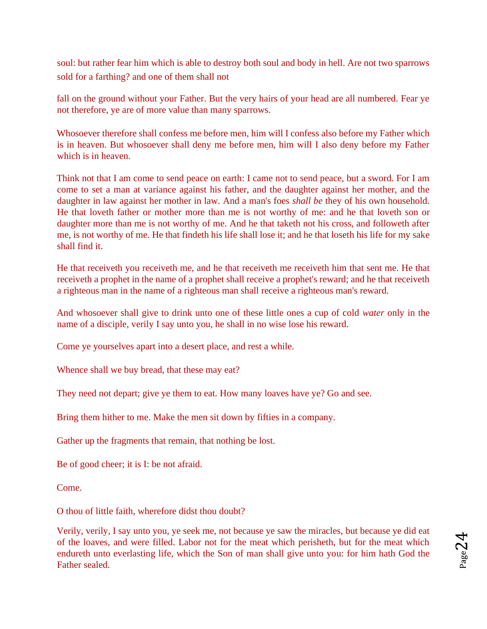soul: but rather fear him which is able to destroy both soul and body in hell. Are not two sparrows sold for a farthing? and one of them shall not

fall on the ground without your Father. But the very hairs of your head are all numbered. Fear ye not therefore, ye are of more value than many sparrows.

Whosoever therefore shall confess me before men, him will I confess also before my Father which is in heaven. But whosoever shall deny me before men, him will I also deny before my Father which is in heaven.

Think not that I am come to send peace on earth: I came not to send peace, but a sword. For I am come to set a man at variance against his father, and the daughter against her mother, and the daughter in law against her mother in law. And a man's foes *shall be* they of his own household. He that loveth father or mother more than me is not worthy of me: and he that loveth son or daughter more than me is not worthy of me. And he that taketh not his cross, and followeth after me, is not worthy of me. He that findeth his life shall lose it; and he that loseth his life for my sake shall find it.

He that receiveth you receiveth me, and he that receiveth me receiveth him that sent me. He that receiveth a prophet in the name of a prophet shall receive a prophet's reward; and he that receiveth a righteous man in the name of a righteous man shall receive a righteous man's reward.

And whosoever shall give to drink unto one of these little ones a cup of cold *water* only in the name of a disciple, verily I say unto you, he shall in no wise lose his reward.

Come ye yourselves apart into a desert place, and rest a while.

Whence shall we buy bread, that these may eat?

They need not depart; give ye them to eat. How many loaves have ye? Go and see.

Bring them hither to me. Make the men sit down by fifties in a company.

Gather up the fragments that remain, that nothing be lost.

Be of good cheer; it is I: be not afraid.

Come.

O thou of little faith, wherefore didst thou doubt?

Verily, verily, I say unto you, ye seek me, not because ye saw the miracles, but because ye did eat of the loaves, and were filled. Labor not for the meat which perisheth, but for the meat which endureth unto everlasting life, which the Son of man shall give unto you: for him hath God the Father sealed.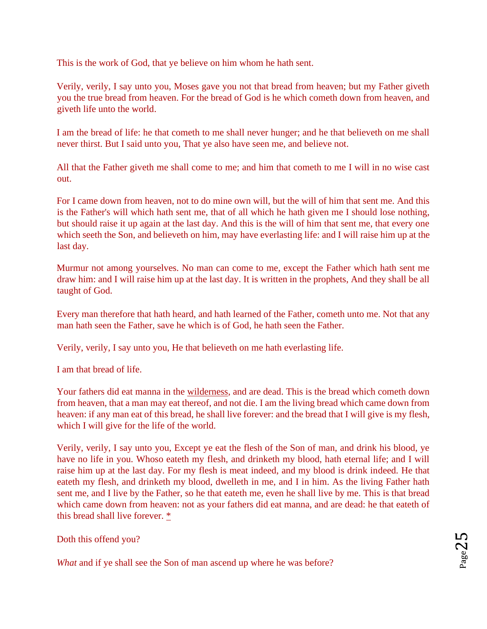This is the work of God, that ye believe on him whom he hath sent.

Verily, verily, I say unto you, Moses gave you not that bread from heaven; but my Father giveth you the true bread from heaven. For the bread of God is he which cometh down from heaven, and giveth life unto the world.

I am the bread of life: he that cometh to me shall never hunger; and he that believeth on me shall never thirst. But I said unto you, That ye also have seen me, and believe not.

All that the Father giveth me shall come to me; and him that cometh to me I will in no wise cast out.

For I came down from heaven, not to do mine own will, but the will of him that sent me. And this is the Father's will which hath sent me, that of all which he hath given me I should lose nothing, but should raise it up again at the last day. And this is the will of him that sent me, that every one which seeth the Son, and believeth on him, may have everlasting life: and I will raise him up at the last day.

Murmur not among yourselves. No man can come to me, except the Father which hath sent me draw him: and I will raise him up at the last day. It is written in the prophets, And they shall be all taught of God.

Every man therefore that hath heard, and hath learned of the Father, cometh unto me. Not that any man hath seen the Father, save he which is of God, he hath seen the Father.

Verily, verily, I say unto you, He that believeth on me hath everlasting life.

I am that bread of life.

Your fathers did eat manna in th[e](http://www.sacred-texts.com/bib/csj/errata.htm#1) [wilderness,](http://www.sacred-texts.com/bib/csj/errata.htm#1) and are dead. This is the bread which cometh down from heaven, that a man may eat thereof, and not die. I am the living bread which came down from heaven: if any man eat of this bread, he shall live forever: and the bread that I will give is my flesh, which I will give for the life of the world.

Verily, verily, I say unto you, Except ye eat the flesh of the Son of man, and drink his blood, ye have no life in you. Whoso eateth my flesh, and drinketh my blood, hath eternal life; and I will raise him up at the last day. For my flesh is meat indeed, and my blood is drink indeed. He that eateth my flesh, and drinketh my blood, dwelleth in me, and I in him. As the living Father hath sent me, and I live by the Father, so he that eateth me, even he shall live by me. This is that bread which came down from heaven: not as your fathers did eat manna, and are dead: he that eateth of this bread shall live forever. [\\*](http://www.sacred-texts.com/bib/csj/csj039.htm#fn_41)

Doth this offend you?

*What* and if ye shall see the Son of man ascend up where he was before?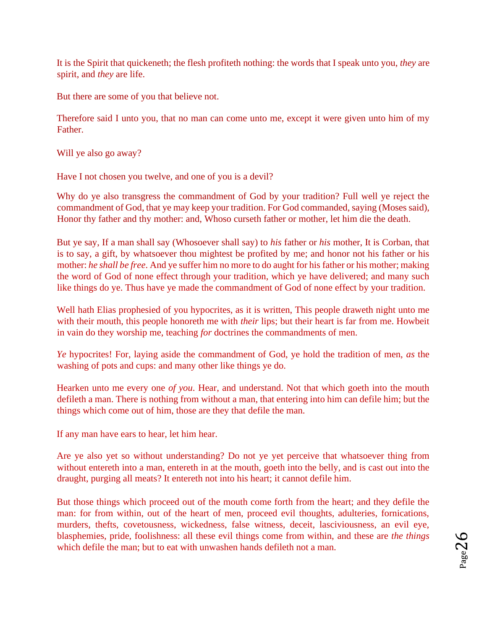It is the Spirit that quickeneth; the flesh profiteth nothing: the words that I speak unto you, *they* are spirit, and *they* are life.

But there are some of you that believe not.

Therefore said I unto you, that no man can come unto me, except it were given unto him of my Father.

Will ye also go away?

Have I not chosen you twelve, and one of you is a devil?

Why do ye also transgress the commandment of God by your tradition? Full well ye reject the commandment of God, that ye may keep your tradition. For God commanded, saying (Moses said), Honor thy father and thy mother: and, Whoso curseth father or mother, let him die the death.

But ye say, If a man shall say (Whosoever shall say) to *his* father or *his* mother, It is Corban, that is to say, a gift, by whatsoever thou mightest be profited by me; and honor not his father or his mother: *he shall be free*. And ye suffer him no more to do aught for his father or his mother; making the word of God of none effect through your tradition, which ye have delivered; and many such like things do ye. Thus have ye made the commandment of God of none effect by your tradition.

Well hath Elias prophesied of you hypocrites, as it is written, This people draweth night unto me with their mouth, this people honoreth me with *their* lips; but their heart is far from me. Howbeit in vain do they worship me, teaching *for* doctrines the commandments of men.

*Ye* hypocrites! For, laying aside the commandment of God, ye hold the tradition of men, *as* the washing of pots and cups: and many other like things ye do.

Hearken unto me every one *of you*. Hear, and understand. Not that which goeth into the mouth defileth a man. There is nothing from without a man, that entering into him can defile him; but the things which come out of him, those are they that defile the man.

If any man have ears to hear, let him hear.

Are ye also yet so without understanding? Do not ye yet perceive that whatsoever thing from without entereth into a man, entereth in at the mouth, goeth into the belly, and is cast out into the draught, purging all meats? It entereth not into his heart; it cannot defile him.

But those things which proceed out of the mouth come forth from the heart; and they defile the man: for from within, out of the heart of men, proceed evil thoughts, adulteries, fornications, murders, thefts, covetousness, wickedness, false witness, deceit, lasciviousness, an evil eye, blasphemies, pride, foolishness: all these evil things come from within, and these are *the things* which defile the man; but to eat with unwashen hands defileth not a man.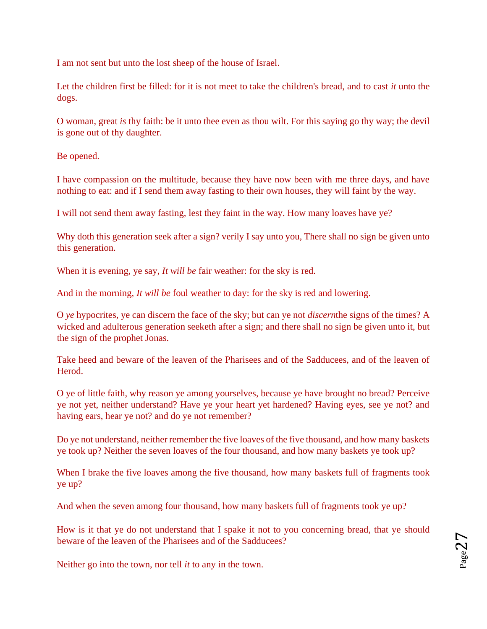I am not sent but unto the lost sheep of the house of Israel.

Let the children first be filled: for it is not meet to take the children's bread, and to cast *it* unto the dogs.

O woman, great *is* thy faith: be it unto thee even as thou wilt. For this saying go thy way; the devil is gone out of thy daughter.

Be opened.

I have compassion on the multitude, because they have now been with me three days, and have nothing to eat: and if I send them away fasting to their own houses, they will faint by the way.

I will not send them away fasting, lest they faint in the way. How many loaves have ye?

Why doth this generation seek after a sign? verily I say unto you, There shall no sign be given unto this generation.

When it is evening, ye say, *It will be* fair weather: for the sky is red.

And in the morning, *It will be* foul weather to day: for the sky is red and lowering.

O *ye* hypocrites, ye can discern the face of the sky; but can ye not *discern*the signs of the times? A wicked and adulterous generation seeketh after a sign; and there shall no sign be given unto it, but the sign of the prophet Jonas.

Take heed and beware of the leaven of the Pharisees and of the Sadducees, and of the leaven of Herod.

O ye of little faith, why reason ye among yourselves, because ye have brought no bread? Perceive ye not yet, neither understand? Have ye your heart yet hardened? Having eyes, see ye not? and having ears, hear ye not? and do ye not remember?

Do ye not understand, neither remember the five loaves of the five thousand, and how many baskets ye took up? Neither the seven loaves of the four thousand, and how many baskets ye took up?

When I brake the five loaves among the five thousand, how many baskets full of fragments took ye up?

And when the seven among four thousand, how many baskets full of fragments took ye up?

How is it that ye do not understand that I spake it not to you concerning bread, that ye should beware of the leaven of the Pharisees and of the Sadducees?

Neither go into the town, nor tell *it* to any in the town.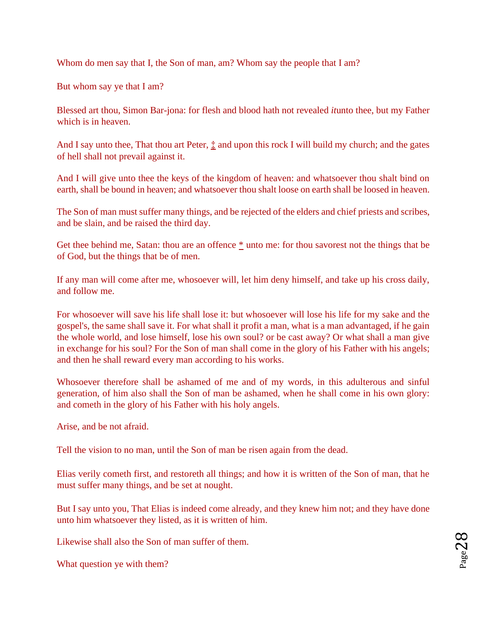Whom do men say that I, the Son of man, am? Whom say the people that I am?

But whom say ye that I am?

Blessed art thou, Simon Bar-jona: for flesh and blood hath not revealed *it*unto thee, but my Father which is in heaven.

And I say unto thee[,](http://www.sacred-texts.com/bib/csj/csj043.htm#fn_46) That thou art Peter,  $\frac{1}{k}$  and upon this rock I will build my church; and the gates of hell shall not prevail against it.

And I will give unto thee the keys of the kingdom of heaven: and whatsoever thou shalt bind on earth, shall be bound in heaven; and whatsoever thou shalt loose on earth shall be loosed in heaven.

The Son of man must suffer many things, and be rejected of the elders and chief priests and scribes, and be slain, and be raised the third day.

Get thee behind me, Satan: tho[u](http://www.sacred-texts.com/bib/csj/csj043.htm#fn_47) are an offence  $*$  unto me: for thou savorest not the things that be of God, but the things that be of men.

If any man will come after me, whosoever will, let him deny himself, and take up his cross daily, and follow me.

For whosoever will save his life shall lose it: but whosoever will lose his life for my sake and the gospel's, the same shall save it. For what shall it profit a man, what is a man advantaged, if he gain the whole world, and lose himself, lose his own soul? or be cast away? Or what shall a man give in exchange for his soul? For the Son of man shall come in the glory of his Father with his angels; and then he shall reward every man according to his works.

Whosoever therefore shall be ashamed of me and of my words, in this adulterous and sinful generation, of him also shall the Son of man be ashamed, when he shall come in his own glory: and cometh in the glory of his Father with his holy angels.

Arise, and be not afraid.

Tell the vision to no man, until the Son of man be risen again from the dead.

Elias verily cometh first, and restoreth all things; and how it is written of the Son of man, that he must suffer many things, and be set at nought.

But I say unto you, That Elias is indeed come already, and they knew him not; and they have done unto him whatsoever they listed, as it is written of him.

Likewise shall also the Son of man suffer of them.

What question ye with them?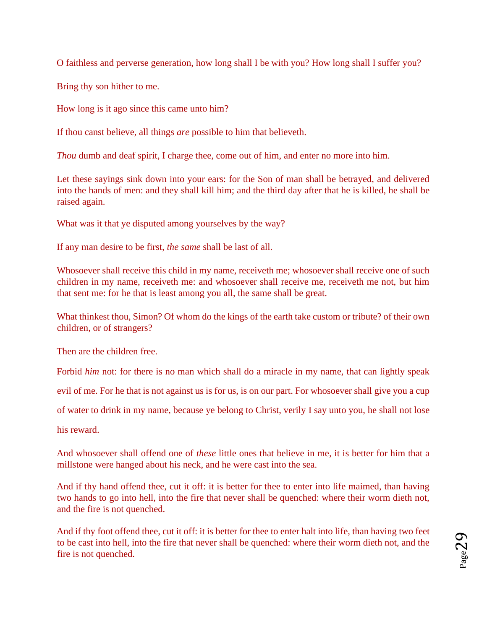O faithless and perverse generation, how long shall I be with you? How long shall I suffer you?

Bring thy son hither to me.

How long is it ago since this came unto him?

If thou canst believe, all things *are* possible to him that believeth.

*Thou* dumb and deaf spirit, I charge thee, come out of him, and enter no more into him.

Let these sayings sink down into your ears: for the Son of man shall be betrayed, and delivered into the hands of men: and they shall kill him; and the third day after that he is killed, he shall be raised again.

What was it that ye disputed among yourselves by the way?

If any man desire to be first, *the same* shall be last of all.

Whosoever shall receive this child in my name, receiveth me; whosoever shall receive one of such children in my name, receiveth me: and whosoever shall receive me, receiveth me not, but him that sent me: for he that is least among you all, the same shall be great.

What thinkest thou, Simon? Of whom do the kings of the earth take custom or tribute? of their own children, or of strangers?

Then are the children free.

Forbid *him* not: for there is no man which shall do a miracle in my name, that can lightly speak

evil of me. For he that is not against us is for us, is on our part. For whosoever shall give you a cup

of water to drink in my name, because ye belong to Christ, verily I say unto you, he shall not lose

his reward.

And whosoever shall offend one of *these* little ones that believe in me, it is better for him that a millstone were hanged about his neck, and he were cast into the sea.

And if thy hand offend thee, cut it off: it is better for thee to enter into life maimed, than having two hands to go into hell, into the fire that never shall be quenched: where their worm dieth not, and the fire is not quenched.

And if thy foot offend thee, cut it off: it is better for thee to enter halt into life, than having two feet to be cast into hell, into the fire that never shall be quenched: where their worm dieth not, and the fire is not quenched.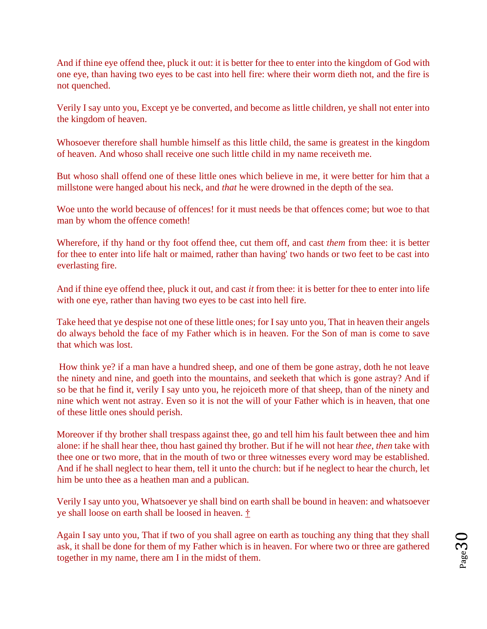And if thine eye offend thee, pluck it out: it is better for thee to enter into the kingdom of God with one eye, than having two eyes to be cast into hell fire: where their worm dieth not, and the fire is not quenched.

Verily I say unto you, Except ye be converted, and become as little children, ye shall not enter into the kingdom of heaven.

Whosoever therefore shall humble himself as this little child, the same is greatest in the kingdom of heaven. And whoso shall receive one such little child in my name receiveth me.

But whoso shall offend one of these little ones which believe in me, it were better for him that a millstone were hanged about his neck, and *that* he were drowned in the depth of the sea.

Woe unto the world because of offences! for it must needs be that offences come; but woe to that man by whom the offence cometh!

Wherefore, if thy hand or thy foot offend thee, cut them off, and cast *them* from thee: it is better for thee to enter into life halt or maimed, rather than having' two hands or two feet to be cast into everlasting fire.

And if thine eye offend thee, pluck it out, and cast *it* from thee: it is better for thee to enter into life with one eye, rather than having two eyes to be cast into hell fire.

Take heed that ye despise not one of these little ones; for I say unto you, That in heaven their angels do always behold the face of my Father which is in heaven. For the Son of man is come to save that which was lost.

[H](http://www.sacred-texts.com/bib/csj/csj047.htm#fn_53)ow think ye? if a man have a hundred sheep, and one of them be gone astray, doth he not leave the ninety and nine, and goeth into the mountains, and seeketh that which is gone astray? And if so be that he find it, verily I say unto you, he rejoiceth more of that sheep, than of the ninety and nine which went not astray. Even so it is not the will of your Father which is in heaven, that one of these little ones should perish.

Moreover if thy brother shall trespass against thee, go and tell him his fault between thee and him alone: if he shall hear thee, thou hast gained thy brother. But if he will not hear *thee*, *then* take with thee one or two more, that in the mouth of two or three witnesses every word may be established. And if he shall neglect to hear them, tell it unto the church: but if he neglect to hear the church, let him be unto thee as a heathen man and a publican.

Verily I say unto you, Whatsoever ye shall bind on earth shall be bound in heaven: and whatsoever ye shall loose on earth shall be loosed in heaven[.](http://www.sacred-texts.com/bib/csj/csj047.htm#fn_54) [†](http://www.sacred-texts.com/bib/csj/csj047.htm#fn_54)

Again I say unto you, That if two of you shall agree on earth as touching any thing that they shall ask, it shall be done for them of my Father which is in heaven. For where two or three are gathered together in my name, there am I in the midst of them.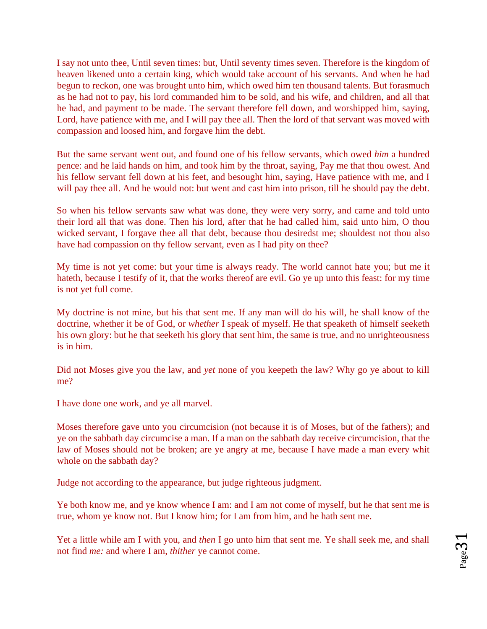I say not unto thee, Until seven times: but, Until seventy times seven. Therefore is the kingdom of heaven likened unto a certain king, which would take account of his servants. And when he had begun to reckon, one was brought unto him, which owed him ten thousand talents. But forasmuch as he had not to pay, his lord commanded him to be sold, and his wife, and children, and all that he had, and payment to be made. The servant therefore fell down, and worshipped him, saying, Lord, have patience with me, and I will pay thee all. Then the lord of that servant was moved with compassion and loosed him, and forgave him the debt.

But the same servant went out, and found one of his fellow servants, which owed *him* a hundred pence: and he laid hands on him, and took him by the throat, saying, Pay me that thou owest. And his fellow servant fell down at his feet, and besought him, saying, Have patience with me, and I will pay thee all. And he would not: but went and cast him into prison, till he should pay the debt.

So when his fellow servants saw what was done, they were very sorry, and came and told unto their lord all that was done. Then his lord, after that he had called him, said unto him, O thou wicked servant, I forgave thee all that debt, because thou desiredst me; shouldest not thou also have had compassion on thy fellow servant, even as I had pity on thee?

My time is not yet come: but your time is always ready. The world cannot hate you; but me it hateth, because I testify of it, that the works thereof are evil. Go ye up unto this feast: for my time is not yet full come.

My doctrine is not mine, but his that sent me. If any man will do his will, he shall know of the doctrine, whether it be of God, or *whether* I speak of myself. He that speaketh of himself seeketh his own glory: but he that seeketh his glory that sent him, the same is true, and no unrighteousness is in him.

Did not Moses give you the law, and *yet* none of you keepeth the law? Why go ye about to kill me?

I have done one work, and ye all marvel.

Moses therefore gave unto you circumcision (not because it is of Moses, but of the fathers); and ye on the sabbath day circumcise a man. If a man on the sabbath day receive circumcision, that the law of Moses should not be broken; are ye angry at me, because I have made a man every whit whole on the sabbath day?

Judge not according to the appearance, but judge righteous judgment.

Ye both know me, and ye know whence I am: and I am not come of myself, but he that sent me is true, whom ye know not. But I know him; for I am from him, and he hath sent me.

Yet a little while am I with you, and *then* I go unto him that sent me. Ye shall seek me, and shall not find *me:* and where I am, *thither* ye cannot come.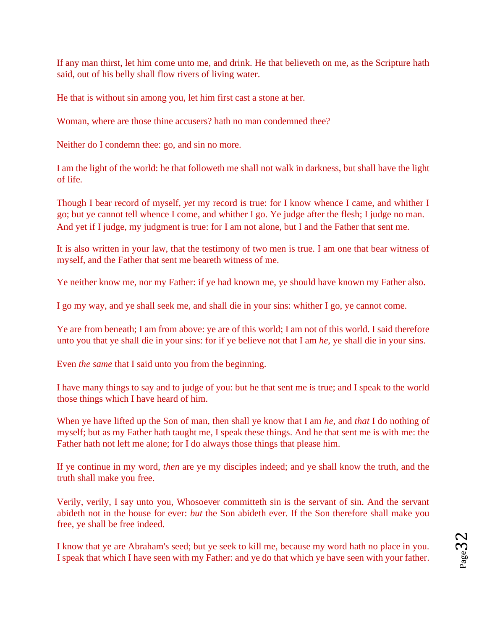If any man thirst, let him come unto me, and drink. He that believeth on me, as the Scripture hath said, out of his belly shall flow rivers of living water.

He that is without sin among you, let him first cast a stone at her.

Woman, where are those thine accusers? hath no man condemned thee?

Neither do I condemn thee: go, and sin no more.

I am the light of the world: he that followeth me shall not walk in darkness, but shall have the light of life.

Though I bear record of myself, *yet* my record is true: for I know whence I came, and whither I go; but ye cannot tell whence I come, and whither I go. Ye judge after the flesh; I judge no man. And yet if I judge, my judgment is true: for I am not alone, but I and the Father that sent me.

It is also written in your law, that the testimony of two men is true. I am one that bear witness of myself, and the Father that sent me beareth witness of me.

Ye neither know me, nor my Father: if ye had known me, ye should have known my Father also.

I go my way, and ye shall seek me, and shall die in your sins: whither I go, ye cannot come.

Ye are from beneath; I am from above: ye are of this world; I am not of this world. I said therefore unto you that ye shall die in your sins: for if ye believe not that I am *he*, ye shall die in your sins.

Even *the same* that I said unto you from the beginning.

I have many things to say and to judge of you: but he that sent me is true; and I speak to the world those things which I have heard of him.

When ye have lifted up the Son of man, then shall ye know that I am *he*, and *that* I do nothing of myself; but as my Father hath taught me, I speak these things. And he that sent me is with me: the Father hath not left me alone; for I do always those things that please him.

If ye continue in my word, *then* are ye my disciples indeed; and ye shall know the truth, and the truth shall make you free.

Verily, verily, I say unto you, Whosoever committeth sin is the servant of sin. And the servant abideth not in the house for ever: *but* the Son abideth ever. If the Son therefore shall make you free, ye shall be free indeed.

I know that ye are Abraham's seed; but ye seek to kill me, because my word hath no place in you. I speak that which I have seen with my Father: and ye do that which ye have seen with your father.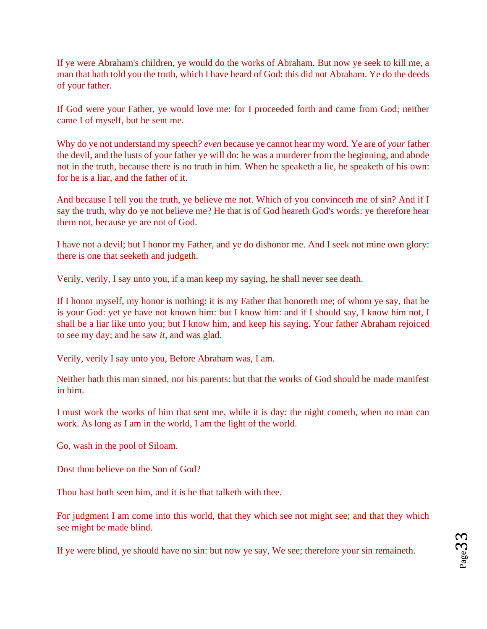If ye were Abraham's children, ye would do the works of Abraham. But now ye seek to kill me, a man that hath told you the truth, which I have heard of God: this did not Abraham. Ye do the deeds of your father.

If God were your Father, ye would love me: for I proceeded forth and came from God; neither came I of myself, but he sent me.

Why do ye not understand my speech? *even* because ye cannot hear my word. Ye are of *your* father the devil, and the lusts of your father ye will do: he was a murderer from the beginning, and abode not in the truth, because there is no truth in him. When he speaketh a lie, he speaketh of his own: for he is a liar, and the father of it.

And because I tell you the truth, ye believe me not. Which of you convinceth me of sin? And if I say the truth, why do ye not believe me? He that is of God heareth God's words: ye therefore hear them not, because ye are not of God.

I have not a devil; but I honor my Father, and ye do dishonor me. And I seek not mine own glory: there is one that seeketh and judgeth.

Verily, verily, I say unto you, if a man keep my saying, he shall never see death.

If I honor myself, my honor is nothing: it is my Father that honoreth me; of whom ye say, that he is your God: yet ye have not known him: but I know him: and if I should say, I know him not, I shall be a liar like unto you; but I know him, and keep his saying. Your father Abraham rejoiced to see my day; and he saw *it*, and was glad.

Verily, verily I say unto you, Before Abraham was, I am.

Neither hath this man sinned, nor his parents: but that the works of God should be made manifest in him.

I must work the works of him that sent me, while it is day: the night cometh, when no man can work. As long as I am in the world, I am the light of the world.

Go, wash in the pool of Siloam.

Dost thou believe on the Son of God?

Thou hast both seen him, and it is he that talketh with thee.

For judgment I am come into this world, that they which see not might see; and that they which see might be made blind.

If ye were blind, ye should have no sin: but now ye say, We see; therefore your sin remaineth.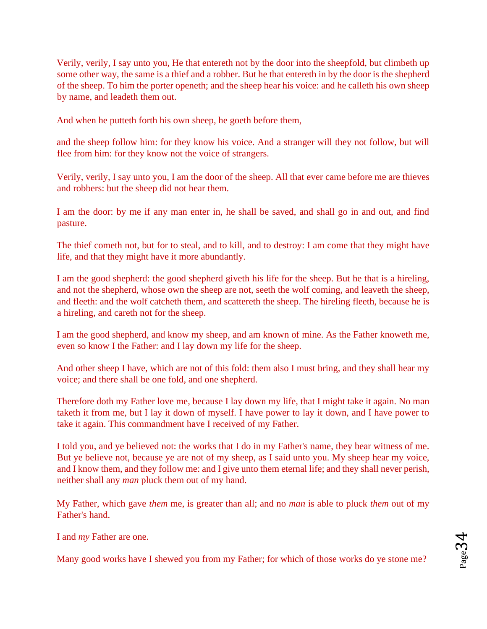Verily, verily, I say unto you, He that entereth not by the door into the sheepfold, but climbeth up some other way, the same is a thief and a robber. But he that entereth in by the door is the shepherd of the sheep. To him the porter openeth; and the sheep hear his voice: and he calleth his own sheep by name, and leadeth them out.

And when he putteth forth his own sheep, he goeth before them,

and the sheep follow him: for they know his voice. And a stranger will they not follow, but will flee from him: for they know not the voice of strangers.

Verily, verily, I say unto you, I am the door of the sheep. All that ever came before me are thieves and robbers: but the sheep did not hear them.

I am the door: by me if any man enter in, he shall be saved, and shall go in and out, and find pasture.

The thief cometh not, but for to steal, and to kill, and to destroy: I am come that they might have life, and that they might have it more abundantly.

I am the good shepherd: the good shepherd giveth his life for the sheep. But he that is a hireling, and not the shepherd, whose own the sheep are not, seeth the wolf coming, and leaveth the sheep, and fleeth: and the wolf catcheth them, and scattereth the sheep. The hireling fleeth, because he is a hireling, and careth not for the sheep.

I am the good shepherd, and know my sheep, and am known of mine. As the Father knoweth me, even so know I the Father: and I lay down my life for the sheep.

And other sheep I have, which are not of this fold: them also I must bring, and they shall hear my voice; and there shall be one fold, and one shepherd.

Therefore doth my Father love me, because I lay down my life, that I might take it again. No man taketh it from me, but I lay it down of myself. I have power to lay it down, and I have power to take it again. This commandment have I received of my Father.

I told you, and ye believed not: the works that I do in my Father's name, they bear witness of me. But ye believe not, because ye are not of my sheep, as I said unto you. My sheep hear my voice, and I know them, and they follow me: and I give unto them eternal life; and they shall never perish, neither shall any *man* pluck them out of my hand.

My Father, which gave *them* me, is greater than all; and no *man* is able to pluck *them* out of my Father's hand.

I and *my* Father are one.

Many good works have I shewed you from my Father; for which of those works do ye stone me?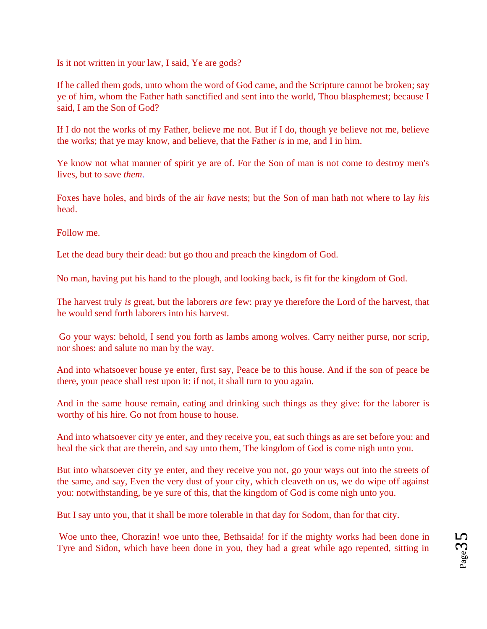Is it not written in your law, I said, Ye are gods?

If he called them gods, unto whom the word of God came, and the Scripture cannot be broken; say ye of him, whom the Father hath sanctified and sent into the world, Thou blasphemest; because I said, I am the Son of God?

If I do not the works of my Father, believe me not. But if I do, though ye believe not me, believe the works; that ye may know, and believe, that the Father *is* in me, and I in him.

Ye know not what manner of spirit ye are of. For the Son of man is not come to destroy men's lives, but to save *them*.

Foxes have holes, and birds of the air *have* nests; but the Son of man hath not where to lay *his* head.

Follow me.

Let the dead bury their dead: but go thou and preach the kingdom of God.

No man, having put his hand to the plough, and looking back, is fit for the kingdom of God.

The harvest truly *is* great, but the laborers *are* few: pray ye therefore the Lord of the harvest, that he would send forth laborers into his harvest.

[G](http://www.sacred-texts.com/bib/csj/csj051.htm#fn_58)o your ways: behold, I send you forth as lambs among wolves. Carry neither purse, nor scrip, nor shoes: and salute no man by the way.

And into whatsoever house ye enter, first say, Peace be to this house. And if the son of peace be there, your peace shall rest upon it: if not, it shall turn to you again.

And in the same house remain, eating and drinking such things as they give: for the laborer is worthy of his hire. Go not from house to house.

And into whatsoever city ye enter, and they receive you, eat such things as are set before you: and heal the sick that are therein, and say unto them, The kingdom of God is come nigh unto you.

But into whatsoever city ye enter, and they receive you not, go your ways out into the streets of the same, and say, Even the very dust of your city, which cleaveth on us, we do wipe off against you: notwithstanding, be ye sure of this, that the kingdom of God is come nigh unto you.

But I say unto you, that it shall be more tolerable in that day for Sodom, than for that city.

[Wo](http://www.sacred-texts.com/bib/csj/csj051.htm#fn_59)e unto thee, Chorazin! woe unto thee, Bethsaida! for if the mighty works had been done in Tyre and Sidon, which have been done in you, they had a great while ago repented, sitting in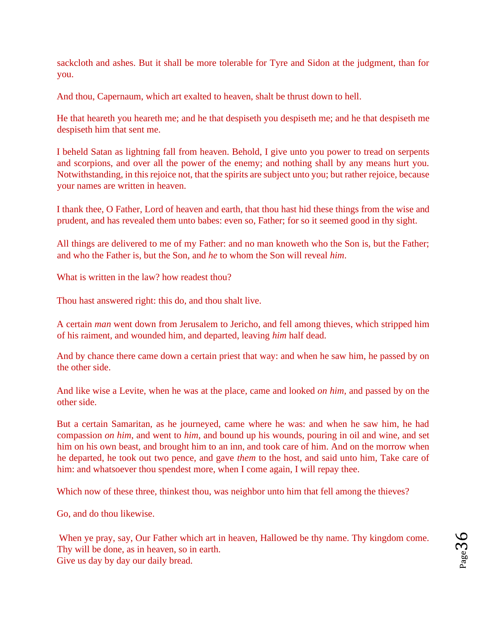sackcloth and ashes. But it shall be more tolerable for Tyre and Sidon at the judgment, than for you.

And thou, Capernaum, which art exalted to heaven, shalt be thrust down to hell.

He that heareth you heareth me; and he that despiseth you despiseth me; and he that despiseth me despiseth him that sent me.

I beheld Satan as lightning fall from heaven. Behold, I give unto you power to tread on serpents and scorpions, and over all the power of the enemy; and nothing shall by any means hurt you. Notwithstanding, in this rejoice not, that the spirits are subject unto you; but rather rejoice, because your names are written in heaven.

I thank thee, O Father, Lord of heaven and earth, that thou hast hid these things from the wise and prudent, and has revealed them unto babes: even so, Father; for so it seemed good in thy sight.

All things are delivered to me of my Father: and no man knoweth who the Son is, but the Father; and who the Father is, but the Son, and *he* to whom the Son will reveal *him*.

What is written in the law? how readest thou?

Thou hast answered right: this do, and thou shalt live.

A certain *man* went down from Jerusalem to Jericho, and fell among thieves, which stripped him of his raiment, and wounded him, and departed, leaving *him* half dead.

And by chance there came down a certain priest that way: and when he saw him, he passed by on the other side.

And like wise a Levite, when he was at the place, came and looked *on him*, and passed by on the other side.

But a certain Samaritan, as he journeyed, came where he was: and when he saw him, he had compassion *on him*, and went to *him*, and bound up his wounds, pouring in oil and wine, and set him on his own beast, and brought him to an inn, and took care of him. And on the morrow when he departed, he took out two pence, and gave *them* to the host, and said unto him, Take care of him: and whatsoever thou spendest more, when I come again, I will repay thee.

Which now of these three, thinkest thou, was neighbor unto him that fell among the thieves?

Go, and do thou likewise.

[Wh](http://www.sacred-texts.com/bib/csj/csj053.htm#fn_61)en ye pray, say, Our Father which art in heaven, Hallowed be thy name. Thy kingdom come. Thy will be done, as in heaven, so in earth. Give us day by day our daily bread.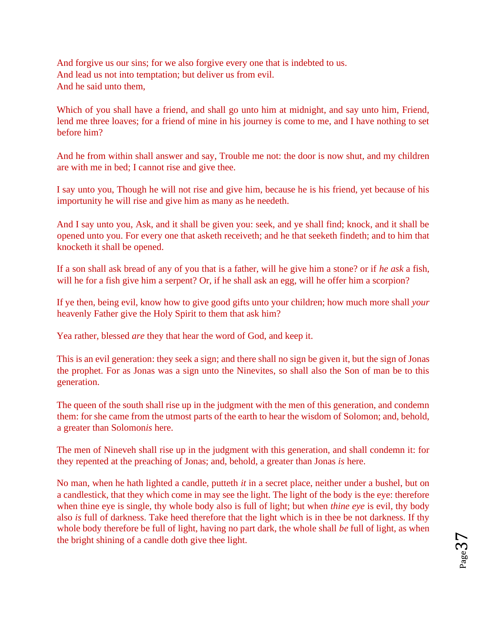And forgive us our sins; for we also forgive every one that is indebted to us. And lead us not into temptation; but deliver us from evil. And he said unto them,

Which of you shall have a friend, and shall go unto him at midnight, and say unto him, Friend, lend me three loaves; for a friend of mine in his journey is come to me, and I have nothing to set before him?

And he from within shall answer and say, Trouble me not: the door is now shut, and my children are with me in bed; I cannot rise and give thee.

I say unto you, Though he will not rise and give him, because he is his friend, yet because of his importunity he will rise and give him as many as he needeth.

And I say unto you, Ask, and it shall be given you: seek, and ye shall find; knock, and it shall be opened unto you. For every one that asketh receiveth; and he that seeketh findeth; and to him that knocketh it shall be opened.

If a son shall ask bread of any of you that is a father, will he give him a stone? or if *he ask* a fish, will he for a fish give him a serpent? Or, if he shall ask an egg, will he offer him a scorpion?

If ye then, being evil, know how to give good gifts unto your children; how much more shall *your* heavenly Father give the Holy Spirit to them that ask him?

Yea rather, blessed *are* they that hear the word of God, and keep it.

[Th](http://www.sacred-texts.com/bib/csj/csj053.htm#fn_62)is is an evil generation: they seek a sign; and there shall no sign be given it, but the sign of Jonas the prophet. For as Jonas was a sign unto the Ninevites, so shall also the Son of man be to this generation.

The queen of the south shall rise up in the judgment with the men of this generation, and condemn them: for she came from the utmost parts of the earth to hear the wisdom of Solomon; and, behold, a greater than Solomon*is* here.

The men of Nineveh shall rise up in the judgment with this generation, and shall condemn it: for they repented at the preaching of Jonas; and, behold, a greater than Jonas *is* here.

No man, when he hath lighted a candle, putteth *it* in a secret place, neither under a bushel, but on a candlestick, that they which come in may see the light. The light of the body is the eye: therefore when thine eye is single, thy whole body also is full of light; but when *thine eye* is evil, thy body also *is* full of darkness. Take heed therefore that the light which is in thee be not darkness. If thy whole body therefore be full of light, having no part dark, the whole shall *be* full of light, as when the bright shining of a candle doth give thee light.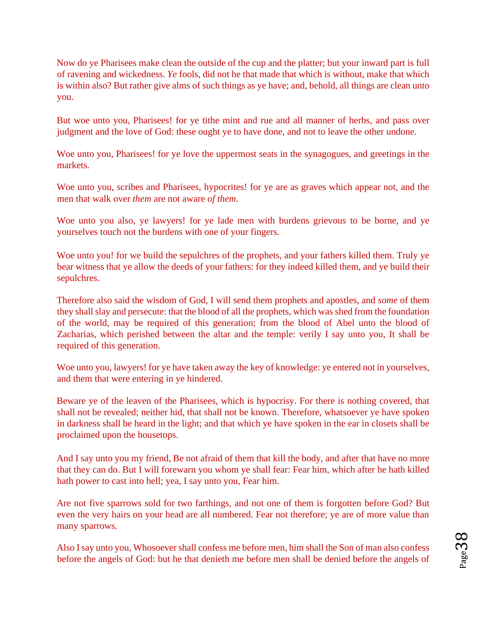Now do ye Pharisees make clean the outside of the cup and the platter; but your inward part is full of ravening and wickedness. *Ye* fools, did not he that made that which is without, make that which is within also? But rather give alms of such things as ye have; and, behold, all things are clean unto you.

But woe unto you, Pharisees! for ye tithe mint and rue and all manner of herbs, and pass over judgment and the love of God: these ought ye to have done, and not to leave the other undone.

Woe unto you, Pharisees! for ye love the uppermost seats in the synagogues, and greetings in the markets.

Woe unto you, scribes and Pharisees, hypocrites! for ye are as graves which appear not, and the men that walk over *them* are not aware *of them*.

Woe unto you also, ye lawyers! for ye lade men with burdens grievous to be borne, and ye yourselves touch not the burdens with one of your fingers.

Woe unto you! for we build the sepulchres of the prophets, and your fathers killed them. Truly ye bear witness that ye allow the deeds of your fathers: for they indeed killed them, and ye build their sepulchres.

Therefore also said the wisdom of God, I will send them prophets and apostles, and *some* of them they shall slay and persecute: that the blood of all the prophets, which was shed from the foundation of the world, may be required of this generation; from the blood of Abel unto the blood of Zacharias, which perished between the altar and the temple: verily I say unto you, It shall be required of this generation.

Woe unto you, lawyers! for ye have taken away the key of knowledge: ye entered not in yourselves, and them that were entering in ye hindered.

Beware ye of the leaven of the Pharisees, which is hypocrisy. For there is nothing covered, that shall not be revealed; neither hid, that shall not be known. Therefore, whatsoever ye have spoken in darkness shall be heard in the light; and that which ye have spoken in the ear in closets shall be proclaimed upon the housetops.

And I say unto you my friend, Be not afraid of them that kill the body, and after that have no more that they can do. But I will forewarn you whom ye shall fear: Fear him, which after he hath killed hath power to cast into hell; yea, I say unto you, Fear him.

Are not five sparrows sold for two farthings, and not one of them is forgotten before God? But even the very hairs on your head are all numbered. Fear not therefore; ye are of more value than many sparrows.

Also I say unto you, Whosoever shall confess me before men, him shall the Son of man also confess before the angels of God: but he that denieth me before men shall be denied before the angels of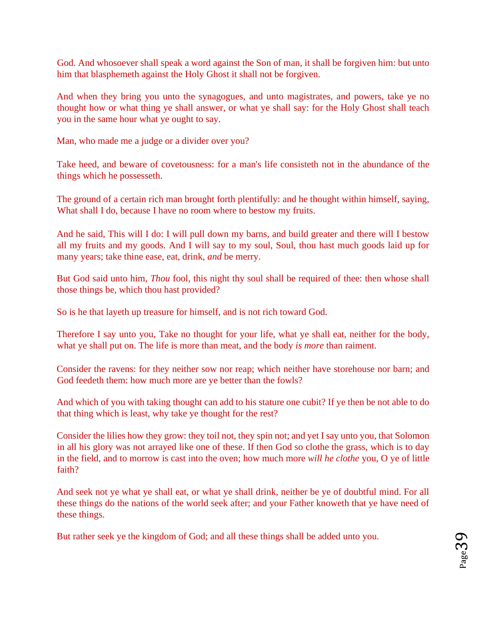God. And whosoever shall speak a word against the Son of man, it shall be forgiven him: but unto him that blasphemeth against the Holy Ghost it shall not be forgiven.

And when they bring you unto the synagogues, and unto magistrates, and powers, take ye no thought how or what thing ye shall answer, or what ye shall say: for the Holy Ghost shall teach you in the same hour what ye ought to say.

Man, who made me a judge or a divider over you?

Take heed, and beware of covetousness: for a man's life consisteth not in the abundance of the things which he possesseth.

The ground of a certain rich man brought forth plentifully: and he thought within himself, saying, What shall I do, because I have no room where to bestow my fruits.

And he said, This will I do: I will pull down my barns, and build greater and there will I bestow all my fruits and my goods. And I will say to my soul, Soul, thou hast much goods laid up for many years; take thine ease, eat, drink, *and* be merry.

But God said unto him, *Thou* fool, this night thy soul shall be required of thee: then whose shall those things be, which thou hast provided?

So is he that layeth up treasure for himself, and is not rich toward God.

Therefore I say unto you, Take no thought for your life, what ye shall eat, neither for the body, what ye shall put on. The life is more than meat, and the body *is more* than raiment.

Consider the ravens: for they neither sow nor reap; which neither have storehouse nor barn; and God feedeth them: how much more are ye better than the fowls?

And which of you with taking thought can add to his stature one cubit? If ye then be not able to do that thing which is least, why take ye thought for the rest?

Consider the lilies how they grow: they toil not, they spin not; and yet I say unto you, that Solomon in all his glory was not arrayed like one of these. If then God so clothe the grass, which is to day in the field, and to morrow is cast into the oven; how much more *will he clothe* you, O ye of little faith?

And seek not ye what ye shall eat, or what ye shall drink, neither be ye of doubtful mind. For all these things do the nations of the world seek after; and your Father knoweth that ye have need of these things.

But rather seek ye the kingdom of God; and all these things shall be added unto you.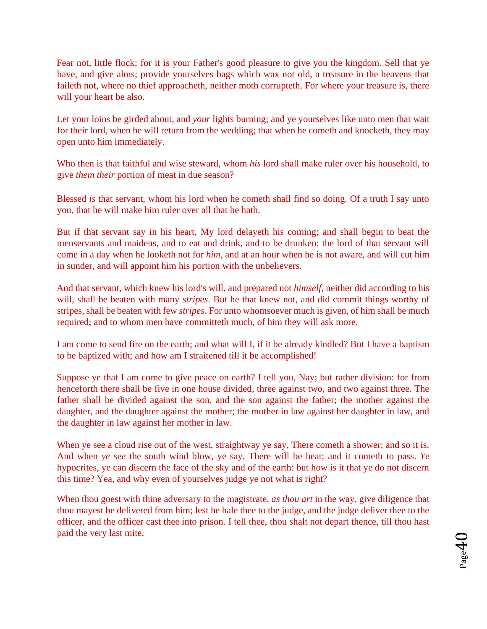Fear not, little flock; for it is your Father's good pleasure to give you the kingdom. Sell that ye have, and give alms; provide yourselves bags which wax not old, a treasure in the heavens that faileth not, where no thief approacheth, neither moth corrupteth. For where your treasure is, there will your heart be also.

Let your loins be girded about, and *your* lights burning; and ye yourselves like unto men that wait for their lord, when he will return from the wedding; that when he cometh and knocketh, they may open unto him immediately.

[Wh](http://www.sacred-texts.com/bib/csj/csj055.htm#fn_64)o then is that faithful and wise steward, whom *his* lord shall make ruler over his household, to give *them their* portion of meat in due season?

Blessed *is* that servant, whom his lord when he cometh shall find so doing. Of a truth I say unto you, that he will make him ruler over all that he hath.

But if that servant say in his heart, My lord delayeth his coming; and shall begin to beat the menservants and maidens, and to eat and drink, and to be drunken; the lord of that servant will come in a day when he looketh not for *him*, and at an hour when he is not aware, and will cut him in sunder, and will appoint him his portion with the unbelievers.

And that servant, which knew his lord's will, and prepared not *himself*, neither did according to his will, shall be beaten with many *stripes*. But he that knew not, and did commit things worthy of stripes, shall be beaten with few *stripes*. For unto whomsoever much is given, of him shall be much required; and to whom men have committeth much, of him they will ask more.

I am come to send fire on the earth; and what will I, if it be already kindled? But I have a baptism to be baptized with; and how am I straitened till it be accomplished!

Suppose ye that I am come to give peace on earth? I tell you, Nay; but rather division: for from henceforth there shall be five in one house divided, three against two, and two against three. The father shall be divided against the son, and the son against the father; the mother against the daughter, and the daughter against the mother; the mother in law against her daughter in law, and the daughter in law against her mother in law.

When ye see a cloud rise out of the west, straightway ye say, There cometh a shower; and so it is. And when *ye see* the south wind blow, ye say, There will be heat; and it cometh to pass. *Ye* hypocrites, ye can discern the face of the sky and of the earth: but how is it that ye do not discern this time? Yea, and why even of yourselves judge ye not what is right?

When thou goest with thine adversary to the magistrate, *as thou art* in the way, give diligence that thou mayest be delivered from him; lest he hale thee to the judge, and the judge deliver thee to the officer, and the officer cast thee into prison. I tell thee, thou shalt not depart thence, till thou hast paid the very last mite.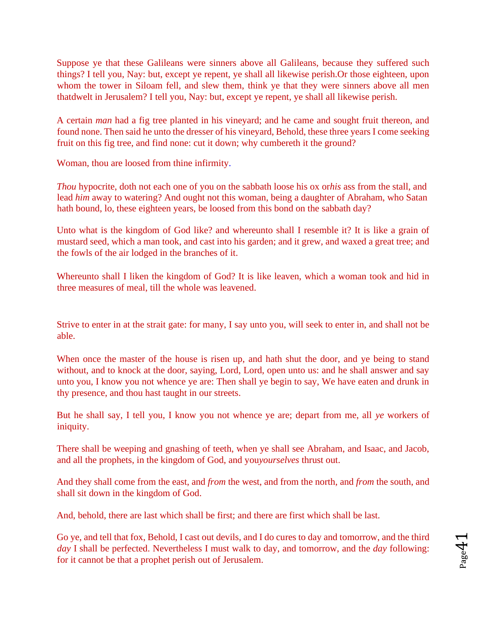Suppose ye that these Galileans were sinners above all Galileans, because they suffered such things? I tell you, Nay: but, except ye repent, ye shall all likewise perish.Or those eighteen, upon whom the tower in Siloam fell, and slew them, think ye that they were sinners above all men thatdwelt in Jerusalem? I tell you, Nay: but, except ye repent, ye shall all likewise perish.

A certain *man* had a fig tree planted in his vineyard; and he came and sought fruit thereon, and found none. Then said he unto the dresser of his vineyard, Behold, these three years I come seeking fruit on this fig tree, and find none: cut it down; why cumbereth it the ground?

Woman, thou are loosed from thine infirmity.

*Thou* hypocrite, doth not each one of you on the sabbath loose his ox or*his* ass from the stall, and lead *him* away to watering? And ought not this woman, being a daughter of Abraham, who Satan hath bound, lo, these eighteen years, be loosed from this bond on the sabbath day?

[Un](http://www.sacred-texts.com/bib/csj/csj056.htm#fn_65)to what is the kingdom of God like? and whereunto shall I resemble it? It is like a grain of mustard seed, which a man took, and cast into his garden; and it grew, and waxed a great tree; and the fowls of the air lodged in the branches of it.

Whereunto shall I liken the kingdom of God? It is like leaven, which a woman took and hid in three measures of meal, till the whole was leavened.

Strive to enter in at the strait gate: for many, I say unto you, will seek to enter in, and shall not be able.

When once the master of the house is risen up, and hath shut the door, and ye being to stand without, and to knock at the door, saying, Lord, Lord, open unto us: and he shall answer and say unto you, I know you not whence ye are: Then shall ye begin to say, We have eaten and drunk in thy presence, and thou hast taught in our streets.

But he shall say, I tell you, I know you not whence ye are; depart from me, all *ye* workers of iniquity.

There shall be weeping and gnashing of teeth, when ye shall see Abraham, and Isaac, and Jacob, and all the prophets, in the kingdom of God, and you*yourselves* thrust out.

And they shall come from the east, and *from* the west, and from the north, and *from* the south, and shall sit down in the kingdom of God.

And, behold, there are last which shall be first; and there are first which shall be last.

Go ye, and tell that fox, Behold, I cast out devils, and I do cures to day and tomorrow, and the third *day* I shall be perfected. Nevertheless I must walk to day, and tomorrow, and the *day* following: for it cannot be that a prophet perish out of Jerusalem.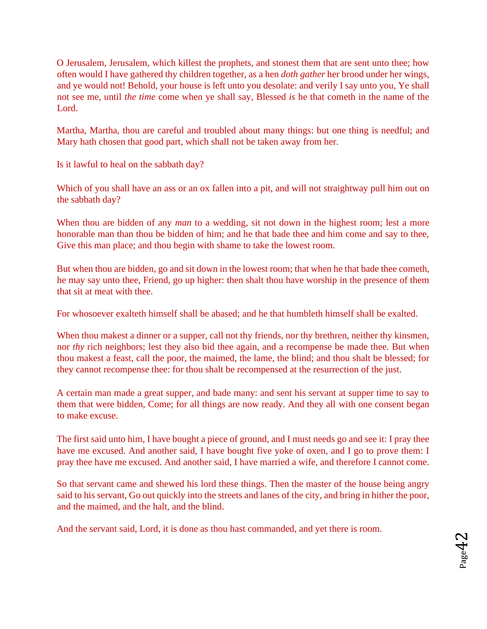O Jerusalem, Jerusalem, which killest the prophets, and stonest them that are sent unto thee; how often would I have gathered thy children together, as a hen *doth gather* her brood under her wings, and ye would not! Behold, your house is left unto you desolate: and verily I say unto you, Ye shall not see me, until *the time* come when ye shall say, Blessed *is* he that cometh in the name of the Lord.

Martha, Martha, thou are careful and troubled about many things: but one thing is needful; and Mary hath chosen that good part, which shall not be taken away from her.

Is it lawful to heal on the sabbath day?

Which of you shall have an ass or an ox fallen into a pit, and will not straightway pull him out on the sabbath day?

When thou are bidden of any *man* to a wedding, sit not down in the highest room; lest a more honorable man than thou be bidden of him; and he that bade thee and him come and say to thee, Give this man place; and thou begin with shame to take the lowest room.

But when thou are bidden, go and sit down in the lowest room; that when he that bade thee cometh, he may say unto thee, Friend, go up higher: then shalt thou have worship in the presence of them that sit at meat with thee.

For whosoever exalteth himself shall be abased; and he that humbleth himself shall be exalted.

When thou makest a dinner or a supper, call not thy friends, nor thy brethren, neither thy kinsmen, nor *thy* rich neighbors; lest they also bid thee again, and a recompense be made thee. But when thou makest a feast, call the poor, the maimed, the lame, the blind; and thou shalt be blessed; for they cannot recompense thee: for thou shalt be recompensed at the resurrection of the just.

A certain man made a great supper, and bade many: and sent his servant at supper time to say to them that were bidden, Come; for all things are now ready. And they all with one consent began to make excuse.

The first said unto him, I have bought a piece of ground, and I must needs go and see it: I pray thee have me excused. And another said, I have bought five yoke of oxen, and I go to prove them: I pray thee have me excused. And another said, I have married a wife, and therefore I cannot come.

So that servant came and shewed his lord these things. Then the master of the house being angry said to his servant, Go out quickly into the streets and lanes of the city, and bring in hither the poor, and the maimed, and the halt, and the blind.

And the servant said, Lord, it is done as thou hast commanded, and yet there is room.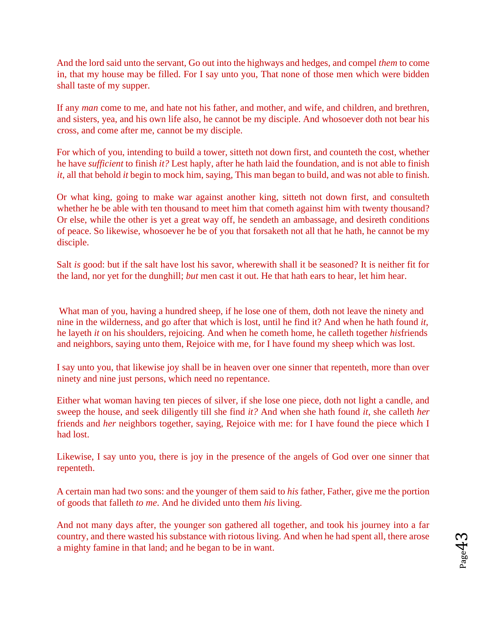And the lord said unto the servant, Go out into the highways and hedges, and compel *them* to come in, that my house may be filled. For I say unto you, That none of those men which were bidden shall taste of my supper.

If any *man* come to me, and hate not his father, and mother, and wife, and children, and brethren, and sisters, yea, and his own life also, he cannot be my disciple. And whosoever doth not bear his cross, and come after me, cannot be my disciple.

For which of you, intending to build a tower, sitteth not down first, and counteth the cost, whether he have *sufficient* to finish *it?* Lest haply, after he hath laid the foundation, and is not able to finish *it*, all that behold *it* begin to mock him, saying, This man began to build, and was not able to finish.

Or what king, going to make war against another king, sitteth not down first, and consulteth whether he be able with ten thousand to meet him that cometh against him with twenty thousand? Or else, while the other is yet a great way off, he sendeth an ambassage, and desireth conditions of peace. So likewise, whosoever he be of you that forsaketh not all that he hath, he cannot be my disciple.

Salt *is* good: but if the salt have lost his savor, wherewith shall it be seasoned? It is neither fit for the land, nor yet for the dunghill; *but* men cast it out. He that hath ears to hear, let him hear.

[Wh](http://www.sacred-texts.com/bib/csj/csj059.htm#fn_67)at man of you, having a hundred sheep, if he lose one of them, doth not leave the ninety and nine in the wilderness, and go after that which is lost, until he find it? And when he hath found *it*, he layeth *it* on his shoulders, rejoicing. And when he cometh home, he calleth together *his*friends and neighbors, saying unto them, Rejoice with me, for I have found my sheep which was lost.

I say unto you, that likewise joy shall be in heaven over one sinner that repenteth, more than over ninety and nine just persons, which need no repentance.

Either what woman having ten pieces of silver, if she lose one piece, doth not light a candle, and sweep the house, and seek diligently till she find *it?* And when she hath found *it*, she calleth *her* friends and *her* neighbors together, saying, Rejoice with me: for I have found the piece which I had lost.

Likewise, I say unto you, there is joy in the presence of the angels of God over one sinner that repenteth.

A certain man had two sons: and the younger of them said to *his* father, Father, give me the portion of goods that falleth *to me*. And he divided unto them *his* living.

And not many days after, the younger son gathered all together, and took his journey into a far country, and there wasted his substance with riotous living. And when he had spent all, there arose a mighty famine in that land; and he began to be in want.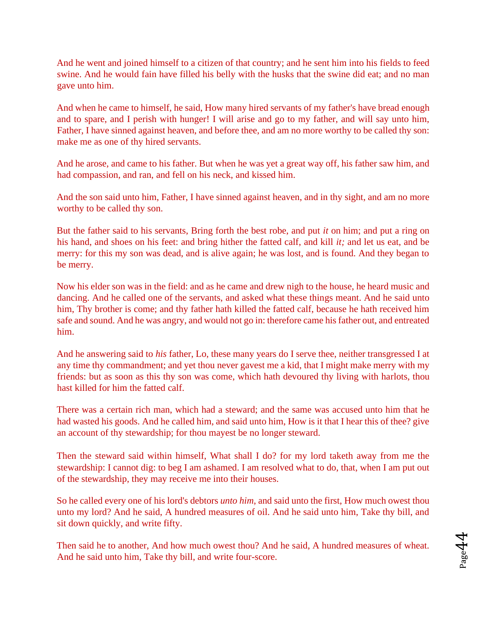And he went and joined himself to a citizen of that country; and he sent him into his fields to feed swine. And he would fain have filled his belly with the husks that the swine did eat; and no man gave unto him.

And when he came to himself, he said, How many hired servants of my father's have bread enough and to spare, and I perish with hunger! I will arise and go to my father, and will say unto him, Father, I have sinned against heaven, and before thee, and am no more worthy to be called thy son: make me as one of thy hired servants.

And he arose, and came to his father. But when he was yet a great way off, his father saw him, and had compassion, and ran, and fell on his neck, and kissed him.

And the son said unto him, Father, I have sinned against heaven, and in thy sight, and am no more worthy to be called thy son.

But the father said to his servants, Bring forth the best robe, and put *it* on him; and put a ring on his hand, and shoes on his feet: and bring hither the fatted calf, and kill *it;* and let us eat, and be merry: for this my son was dead, and is alive again; he was lost, and is found. And they began to be merry.

Now his elder son was in the field: and as he came and drew nigh to the house, he heard music and dancing. And he called one of the servants, and asked what these things meant. And he said unto him, Thy brother is come; and thy father hath killed the fatted calf, because he hath received him safe and sound. And he was angry, and would not go in: therefore came his father out, and entreated him.

And he answering said to *his* father, Lo, these many years do I serve thee, neither transgressed I at any time thy commandment; and yet thou never gavest me a kid, that I might make merry with my friends: but as soon as this thy son was come, which hath devoured thy living with harlots, thou hast killed for him the fatted calf.

There was a certain rich man, which had a steward; and the same was accused unto him that he had wasted his goods. And he called him, and said unto him, How is it that I hear this of thee? give an account of thy stewardship; for thou mayest be no longer steward.

Then the steward said within himself, What shall I do? for my lord taketh away from me the stewardship: I cannot dig: to beg I am ashamed. I am resolved what to do, that, when I am put out of the stewardship, they may receive me into their houses.

So he called every one of his lord's debtors *unto him*, and said unto the first, How much owest thou unto my lord? And he said, A hundred measures of oil. And he said unto him, Take thy bill, and sit down quickly, and write fifty.

Then said he to another, And how much owest thou? And he said, A hundred measures of wheat. And he said unto him, Take thy bill, and write four-score.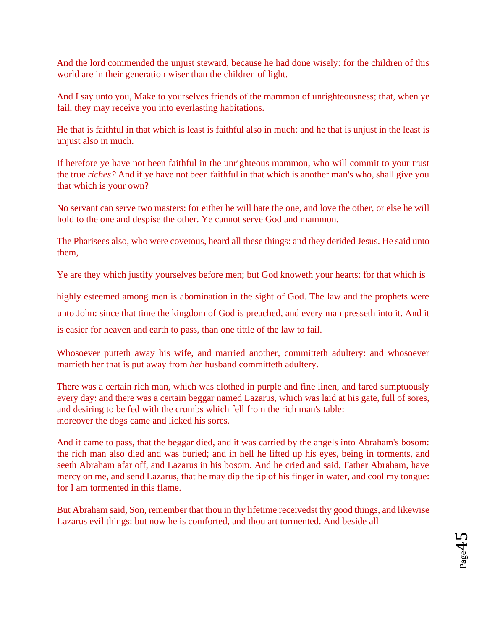And the lord commended the unjust steward, because he had done wisely: for the children of this world are in their generation wiser than the children of light.

And I say unto you, Make to yourselves friends of the mammon of unrighteousness; that, when ye fail, they may receive you into everlasting habitations.

He that is faithful in that which is least is faithful also in much: and he that is unjust in the least is unjust also in much.

If herefore ye have not been faithful in the unrighteous mammon, who will commit to your trust the true *riches?* And if ye have not been faithful in that which is another man's who, shall give you that which is your own?

No servant can serve two masters: for either he will hate the one, and love the other, or else he will hold to the one and despise the other. Ye cannot serve God and mammon.

The Pharisees also, who were covetous, heard all these things: and they derided Jesus. He said unto them,

Ye are they which justify yourselves before men; but God knoweth your hearts: for that which is

highly esteemed among men is abomination in the sight of God. The law and the prophets were unto John: since that time the kingdom of God is preached, and every man presseth into it. And it is easier for heaven and earth to pass, than one tittle of the law to fail.

Whosoever putteth away his wife, and married another, committeth adultery: and whosoever marrieth her that is put away from *her* husband committeth adultery[.](http://www.sacred-texts.com/bib/csj/csj061.htm#fn_68)

There was a certain rich man, which was clothed in purple and fine linen, and fared sumptuously every day: and there was a certain beggar named Lazarus, which was laid at his gate, full of sores, and desiring to be fed with the crumbs which fell from the rich man's table: moreover the dogs came and licked his sores.

And it came to pass, that the beggar died, and it was carried by the angels into Abraham's bosom: the rich man also died and was buried; and in hell he lifted up his eyes, being in torments, and seeth Abraham afar off, and Lazarus in his bosom. And he cried and said, Father Abraham, have mercy on me, and send Lazarus, that he may dip the tip of his finger in water, and cool my tongue: for I am tormented in this flame.

But Abraham said, Son, remember that thou in thy lifetime receivedst thy good things, and likewise Lazarus evil things: but now he is comforted, and thou art tormented. And beside all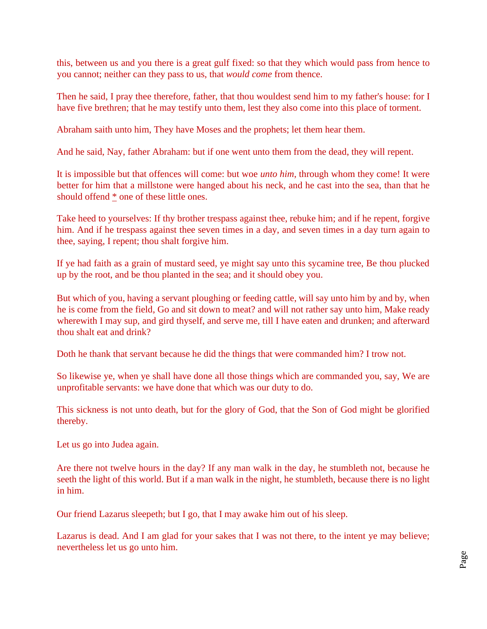this, between us and you there is a great gulf fixed: so that they which would pass from hence to you cannot; neither can they pass to us, that *would come* from thence.

Then he said, I pray thee therefore, father, that thou wouldest send him to my father's house: for I have five brethren; that he may testify unto them, lest they also come into this place of torment.

Abraham saith unto him, They have Moses and the prophets; let them hear them.

And he said, Nay, father Abraham: but if one went unto them from the dead, they will repent.

It is impossible but that offences will come: but woe *unto him*, through whom they come! It were better for him that a millstone were hanged about his neck, and he cast into the sea, than that he should offen[d](http://www.sacred-texts.com/bib/csj/csj061.htm#fn_69) [\\*](http://www.sacred-texts.com/bib/csj/csj061.htm#fn_69) one of these little ones.

Take heed to yourselves: If thy brother trespass against thee, rebuke him; and if he repent, forgive him. And if he trespass against thee seven times in a day, and seven times in a day turn again to thee, saying, I repent; thou shalt forgive him.

If ye had faith as a grain of mustard seed, ye might say unto this sycamine tree, Be thou plucked up by the root, and be thou planted in the sea; and it should obey you.

But which of you, having a servant ploughing or feeding cattle, will say unto him by and by, when he is come from the field, Go and sit down to meat? and will not rather say unto him, Make ready wherewith I may sup, and gird thyself, and serve me, till I have eaten and drunken; and afterward thou shalt eat and drink?

Doth he thank that servant because he did the things that were commanded him? I trow not.

So likewise ye, when ye shall have done all those things which are commanded you, say, We are unprofitable servants: we have done that which was our duty to do.

This sickness is not unto death, but for the glory of God, that the Son of God might be glorified thereby.

Let us go into Judea again.

Are there not twelve hours in the day? If any man walk in the day, he stumbleth not, because he seeth the light of this world. But if a man walk in the night, he stumbleth, because there is no light in him.

Our friend Lazarus sleepeth; but I go, that I may awake him out of his sleep.

Lazarus is dead. And I am glad for your sakes that I was not there, to the intent ye may believe; nevertheless let us go unto him.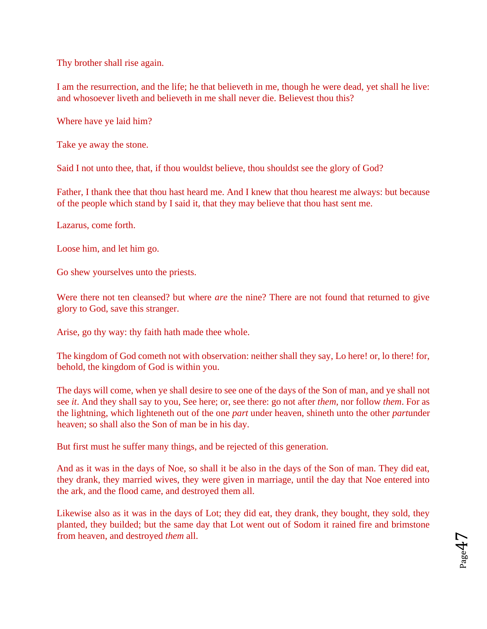Thy brother shall rise again.

I am the resurrection, and the life; he that believeth in me, though he were dead, yet shall he live: and whosoever liveth and believeth in me shall never die. Believest thou this?

Where have ye laid him?

Take ye away the stone.

Said I not unto thee, that, if thou wouldst believe, thou shouldst see the glory of God?

Father, I thank thee that thou hast heard me. And I knew that thou hearest me always: but because of the people which stand by I said it, that they may believe that thou hast sent me.

Lazarus, come forth.

Loose him, and let him go.

Go shew yourselves unto the priests.

Were there not ten cleansed? but where *are* the nine? There are not found that returned to give glory to God, save this stranger.

Arise, go thy way: thy faith hath made thee whole.

The kingdom of God cometh not with observation: neither shall they say, Lo here! or, lo there! for, behold, the kingdom of God is within you.

The days will come, when ye shall desire to see one of the days of the Son of man, and ye shall not see *it*. And they shall say to you, See here; or, see there: go not after *them*, nor follow *them*. For as the lightning, which lighteneth out of the one *part* under heaven, shineth unto the other *part*under heaven; so shall also the Son of man be in his day.

But first must he suffer many things, and be rejected of this generation.

And as it was in the days of Noe, so shall it be also in the days of the Son of man. They did eat, they drank, they married wives, they were given in marriage, until the day that Noe entered into the ark, and the flood came, and destroyed them all.

Likewise also as it was in the days of Lot; they did eat, they drank, they bought, they sold, they planted, they builded; but the same day that Lot went out of Sodom it rained fire and brimstone from heaven, and destroyed *them* all.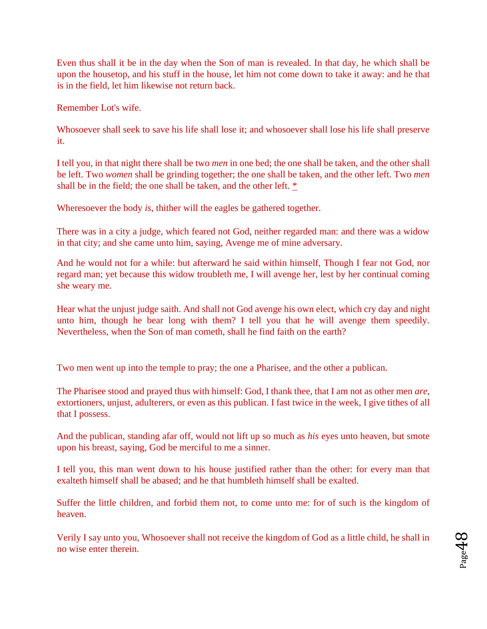Even thus shall it be in the day when the Son of man is revealed. In that day, he which shall be upon the housetop, and his stuff in the house, let him not come down to take it away: and he that is in the field, let him likewise not return back.

Remember Lot's wife.

Whosoever shall seek to save his life shall lose it; and whosoever shall lose his life shall preserve it.

I tell you, in that night there shall be two *men* in one bed; the one shall be taken, and the other shall be left. Two *women* shall be grinding together; the one shall be taken, and the other left. Two *men*  shall be in the field; the one shall be taken, and the other left[.](http://www.sacred-texts.com/bib/csj/csj062.htm#fn_71) [\\*](http://www.sacred-texts.com/bib/csj/csj062.htm#fn_71)

Wheresoever the body *is*, thither will the eagles be gathered together.

There was in a city a judge, which feared not God, neither regarded man: and there was a widow in that city; and she came unto him, saying, Avenge me of mine adversary.

And he would not for a while: but afterward he said within himself, Though I fear not God, nor regard man; yet because this widow troubleth me, I will avenge her, lest by her continual coming she weary me.

Hear what the unjust judge saith. And shall not God avenge his own elect, which cry day and night unto him, though he bear long with them? I tell you that he will avenge them speedily. Nevertheless, when the Son of man cometh, shall he find faith on the earth?

Two men went up into the temple to pray; the one a Pharisee, and the other a publican.

The Pharisee stood and prayed thus with himself: God, I thank thee, that I am not as other men *are*, extortioners, unjust, adulterers, or even as this publican. I fast twice in the week, I give tithes of all that I possess.

And the publican, standing afar off, would not lift up so much as *his* eyes unto heaven, but smote upon his breast, saying, God be merciful to me a sinner.

I tell you, this man went down to his house justified rather than the other: for every man that exalteth himself shall be abased; and he that humbleth himself shall be exalted.

Suffer the little children, and forbid them not, to come unto me: for of such is the kingdom of heaven.

Verily I say unto you, Whosoever shall not receive the kingdom of God as a little child, he shall in no wise enter therein.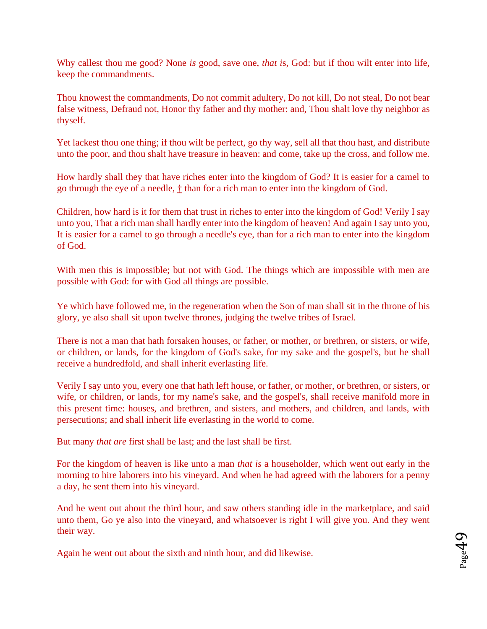Why callest thou me good? None *is* good, save one, *that i*s, God: but if thou wilt enter into life, keep the commandments.

Thou knowest the commandments, Do not commit adultery, Do not kill, Do not steal, Do not bear false witness, Defraud not, Honor thy father and thy mother: and, Thou shalt love thy neighbor as thyself.

Yet lackest thou one thing; if thou wilt be perfect, go thy way, sell all that thou hast, and distribute unto the poor, and thou shalt have treasure in heaven: and come, take up the cross, and follow me.

How hardly shall they that have riches enter into the kingdom of God? It is easier for a camel to go through the eye of a needle, [†](http://www.sacred-texts.com/bib/csj/csj063.htm#fn_73) than for a rich man to enter into the kingdom of God.

Children, how hard is it for them that trust in riches to enter into the kingdom of God! Verily I say unto you, That a rich man shall hardly enter into the kingdom of heaven! And again I say unto you, It is easier for a camel to go through a needle's eye, than for a rich man to enter into the kingdom of God.

With men this is impossible; but not with God. The things which are impossible with men are possible with God: for with God all things are possible.

Ye which have followed me, in the regeneration when the Son of man shall sit in the throne of his glory, ye also shall sit upon twelve thrones, judging the twelve tribes of Israel.

There is not a man that hath forsaken houses, or father, or mother, or brethren, or sisters, or wife, or children, or lands, for the kingdom of God's sake, for my sake and the gospel's, but he shall receive a hundredfold, and shall inherit everlasting life.

Verily I say unto you, every one that hath left house, or father, or mother, or brethren, or sisters, or wife, or children, or lands, for my name's sake, and the gospel's, shall receive manifold more in this present time: houses, and brethren, and sisters, and mothers, and children, and lands, with persecutions; and shall inherit life everlasting in the world to come.

But many *that are* first shall be last; and the last shall be first.

For the kingdom of heaven is like unto a man *that is* a householder, which went out early in the morning to hire laborers into his vineyard. And when he had agreed with the laborers for a penny a day, he sent them into his vineyard.

And he went out about the third hour, and saw others standing idle in the marketplace, and said unto them, Go ye also into the vineyard, and whatsoever is right I will give you. And they went their way.

Again he went out about the sixth and ninth hour, and did likewise.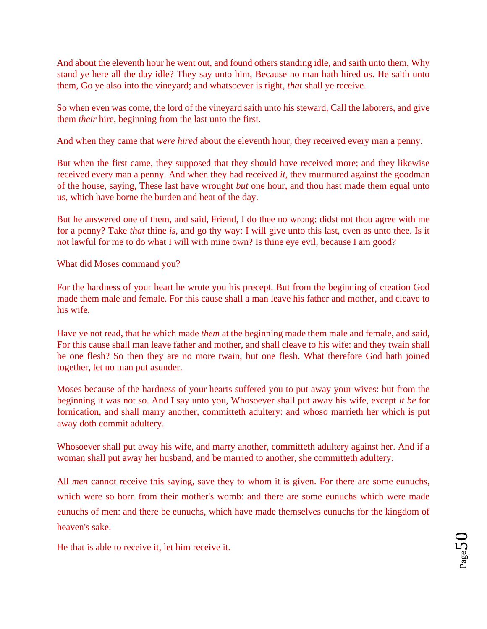And about the eleventh hour he went out, and found others standing idle, and saith unto them, Why stand ye here all the day idle? They say unto him, Because no man hath hired us. He saith unto them, Go ye also into the vineyard; and whatsoever is right, *that* shall ye receive.

So when even was come, the lord of the vineyard saith unto his steward, Call the laborers, and give them *their* hire, beginning from the last unto the first.

And when they came that *were hired* about the eleventh hour, they received every man a penny.

But when the first came, they supposed that they should have received more; and they likewise received every man a penny. And when they had received *it*, they murmured against the goodman of the house, saying, These last have wrought *but* one hour, and thou hast made them equal unto us, which have borne the burden and heat of the day.

But he answered one of them, and said, Friend, I do thee no wrong: didst not thou agree with me for a penny? Take *that* thine *is*, and go thy way: I will give unto this last, even as unto thee. Is it not lawful for me to do what I will with mine own? Is thine eye evil, because I am good?

What did Moses command you?

For the hardness of your heart he wrote you his precept. But from the beginning of creation God made them male and female. For this cause shall a man leave his father and mother, and cleave to his wife.

Have ye not read, that he which made *them* at the beginning made them male and female, and said, For this cause shall man leave father and mother, and shall cleave to his wife: and they twain shall be one flesh? So then they are no more twain, but one flesh. What therefore God hath joined together, let no man put asunder.

Moses because of the hardness of your hearts suffered you to put away your wives: but from the beginning it was not so. And I say unto you, Whosoever shall put away his wife, except *it be* for fornication, and shall marry another, committeth adultery: and whoso marrieth her which is put away doth commit adultery.

Whosoever shall put away his wife, and marry another, committeth adultery against her. And if a woman shall put away her husband, and be married to another, she committeth adultery.

All *men* cannot receive this saying, save they to whom it is given. For there are some eunuchs, which were so born from their mother's womb: and there are some eunuchs which were made eunuchs of men: and there be eunuchs, which have made themselves eunuchs for the kingdom of heaven's sake.

He that is able to receive it, let him receive it.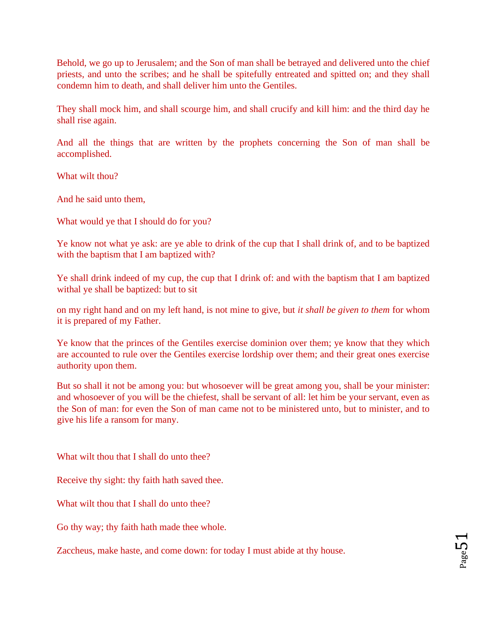Behold, we go up to Jerusalem; and the Son of man shall be betrayed and delivered unto the chief priests, and unto the scribes; and he shall be spitefully entreated and spitted on; and they shall condemn him to death, and shall deliver him unto the Gentiles.

They shall mock him, and shall scourge him, and shall crucify and kill him: and the third day he shall rise again.

And all the things that are written by the prophets concerning the Son of man shall be accomplished.

What wilt thou?

And he said unto them,

What would ye that I should do for you?

Ye know not what ye ask: are ye able to drink of the cup that I shall drink of, and to be baptized with the baptism that I am baptized with?

Ye shall drink indeed of my cup, the cup that I drink of: and with the baptism that I am baptized withal ye shall be baptized: but to sit

on my right hand and on my left hand, is not mine to give, but *it shall be given to them* for whom it is prepared of my Father.

Ye know that the princes of the Gentiles exercise dominion over them; ye know that they which are accounted to rule over the Gentiles exercise lordship over them; and their great ones exercise authority upon them.

But so shall it not be among you: but whosoever will be great among you, shall be your minister: and whosoever of you will be the chiefest, shall be servant of all: let him be your servant, even as the Son of man: for even the Son of man came not to be ministered unto, but to minister, and to give his life a ransom for many.

What wilt thou that I shall do unto thee?

Receive thy sight: thy faith hath saved thee.

What wilt thou that I shall do unto thee?

Go thy way; thy faith hath made thee whole.

Zaccheus, make haste, and come down: for today I must abide at thy house.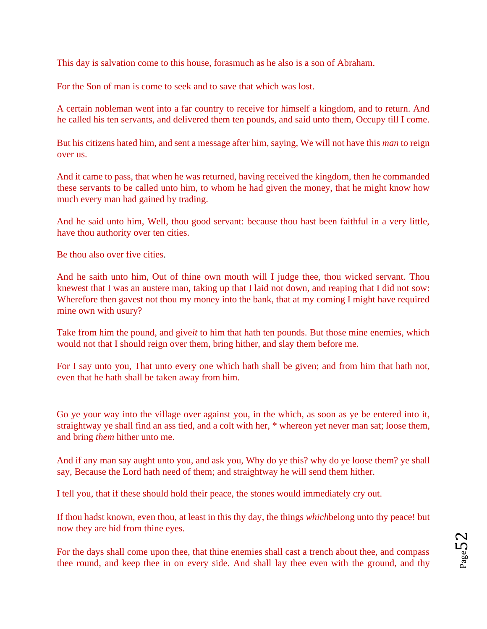This day is salvation come to this house, forasmuch as he also is a son of Abraham.

For the Son of man is come to seek and to save that which was lost.

A certain nobleman went into a far country to receive for himself a kingdom, and to return. And he called his ten servants, and delivered them ten pounds, and said unto them, Occupy till I come.

But his citizens hated him, and sent a message after him, saying, We will not have this *man* to reign over us.

And it came to pass, that when he was returned, having received the kingdom, then he commanded these servants to be called unto him, to whom he had given the money, that he might know how much every man had gained by trading.

And he said unto him, Well, thou good servant: because thou hast been faithful in a very little, have thou authority over ten cities.

Be thou also over five cities.

And he saith unto him, Out of thine own mouth will I judge thee, thou wicked servant. Thou knewest that I was an austere man, taking up that I laid not down, and reaping that I did not sow: Wherefore then gavest not thou my money into the bank, that at my coming I might have required mine own with usury?

Take from him the pound, and give*it* to him that hath ten pounds. But those mine enemies, which would not that I should reign over them, bring hither, and slay them before me.

For I say unto you, That unto every one which hath shall be given; and from him that hath not, even that he hath shall be taken away from him.

Go ye your way into the village over against you, in the which, as soon as ye be entered into it, straightway ye shall find an ass tied, and a colt with her,  $*$  whereon yet never man sat; loose them, and bring *them* hither unto me.

And if any man say aught unto you, and ask you, Why do ye this? why do ye loose them? ye shall say, Because the Lord hath need of them; and straightway he will send them hither.

I tell you, that if these should hold their peace, the stones would immediately cry out.

If thou hadst known, even thou, at least in this thy day, the things *which*belong unto thy peace! but now they are hid from thine eyes.

For the days shall come upon thee, that thine enemies shall cast a trench about thee, and compass thee round, and keep thee in on every side. And shall lay thee even with the ground, and thy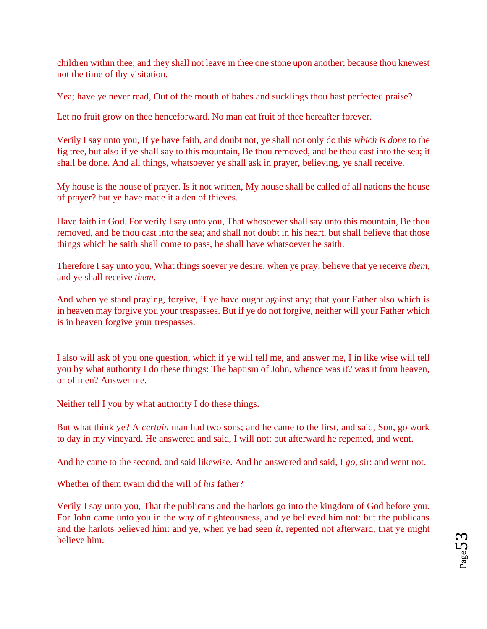children within thee; and they shall not leave in thee one stone upon another; because thou knewest not the time of thy visitation.

Yea; have ye never read, Out of the mouth of babes and sucklings thou hast perfected praise?

Let no fruit grow on thee henceforward. No man eat fruit of thee hereafter forever.

Verily I say unto you, If ye have faith, and doubt not, ye shall not only do this *which is done* to the fig tree, but also if ye shall say to this mountain, Be thou removed, and be thou cast into the sea; it shall be done. And all things, whatsoever ye shall ask in prayer, believing, ye shall receive.

My house is the house of prayer. Is it not written, My house shall be called of all nations the house of prayer? but ye have made it a den of thieves.

Have faith in God. For verily I say unto you, That whosoever shall say unto this mountain, Be thou removed, and be thou cast into the sea; and shall not doubt in his heart, but shall believe that those things which he saith shall come to pass, he shall have whatsoever he saith.

Therefore I say unto you, What things soever ye desire, when ye pray, believe that ye receive *them*, and ye shall receive *them*.

And when ye stand praying, forgive, if ye have ought against any; that your Father also which is in heaven may forgive you your trespasses. But if ye do not forgive, neither will your Father which is in heaven forgive your trespasses.

I also will ask of you one question, which if ye will tell me, and answer me, I in like wise will tell you by what authority I do these things: The baptism of John, whence was it? was it from heaven, or of men? Answer me.

Neither tell I you by what authority I do these things.

But what think ye? A *certain* man had two sons; and he came to the first, and said, Son, go work to day in my vineyard. He answered and said, I will not: but afterward he repented, and went.

And he came to the second, and said likewise. And he answered and said, I *go*, sir: and went not.

Whether of them twain did the will of *his* father?

Verily I say unto you, That the publicans and the harlots go into the kingdom of God before you. For John came unto you in the way of righteousness, and ye believed him not: but the publicans and the harlots believed him: and ye, when ye had seen *it*, repented not afterward, that ye might believe him.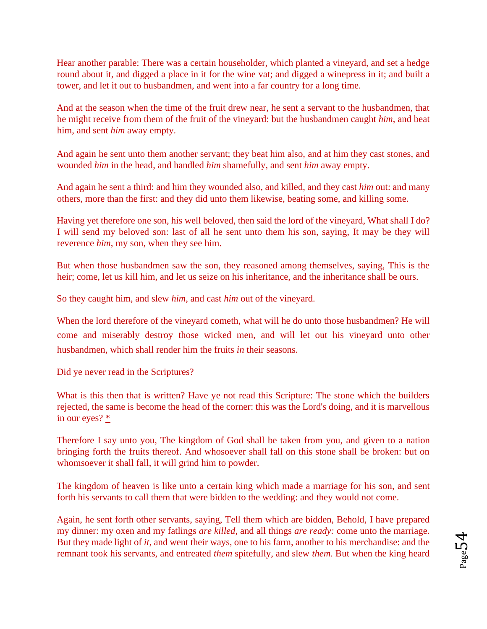Hear another parable: There was a certain householder, which planted a vineyard, and set a hedge round about it, and digged a place in it for the wine vat; and digged a winepress in it; and built a tower, and let it out to husbandmen, and went into a far country for a long time.

And at the season when the time of the fruit drew near, he sent a servant to the husbandmen, that he might receive from them of the fruit of the vineyard: but the husbandmen caught *him*, and beat him, and sent *him* away empty.

And again he sent unto them another servant; they beat him also, and at him they cast stones, and wounded *him* in the head, and handled *him* shamefully, and sent *him* away empty.

And again he sent a third: and him they wounded also, and killed, and they cast *him* out: and many others, more than the first: and they did unto them likewise, beating some, and killing some.

Having yet therefore one son, his well beloved, then said the lord of the vineyard, What shall I do? I will send my beloved son: last of all he sent unto them his son, saying, It may be they will reverence *him*, my son, when they see him.

But when those husbandmen saw the son, they reasoned among themselves, saying, This is the heir; come, let us kill him, and let us seize on his inheritance, and the inheritance shall be ours.

So they caught him, and slew *him*, and cast *him* out of the vineyard.

When the lord therefore of the vineyard cometh, what will he do unto those husbandmen? He will come and miserably destroy those wicked men, and will let out his vineyard unto other husbandmen, which shall render him the fruits *in* their seasons.

Did ye never read in the Scriptures?

What is this then that is written? Have ye not read this Scripture: The stone which the builders rejected, the same is become the head of the corner: this was the Lord's doing, and it is marvellous in our eyes[?](http://www.sacred-texts.com/bib/csj/csj069.htm#fn_81) [\\*](http://www.sacred-texts.com/bib/csj/csj069.htm#fn_81)

Therefore I say unto you, The kingdom of God shall be taken from you, and given to a nation bringing forth the fruits thereof. And whosoever shall fall on this stone shall be broken: but on whomsoever it shall fall, it will grind him to powder.

The kingdom of heaven is like unto a certain king which made a marriage for his son, and sent forth his servants to call them that were bidden to the wedding: and they would not come.

Again, he sent forth other servants, saying, Tell them which are bidden, Behold, I have prepared my dinner: my oxen and my fatlings *are killed*, and all things *are ready:* come unto the marriage. But they made light of *it*, and went their ways, one to his farm, another to his merchandise: and the remnant took his servants, and entreated *them* spitefully, and slew *them*. But when the king heard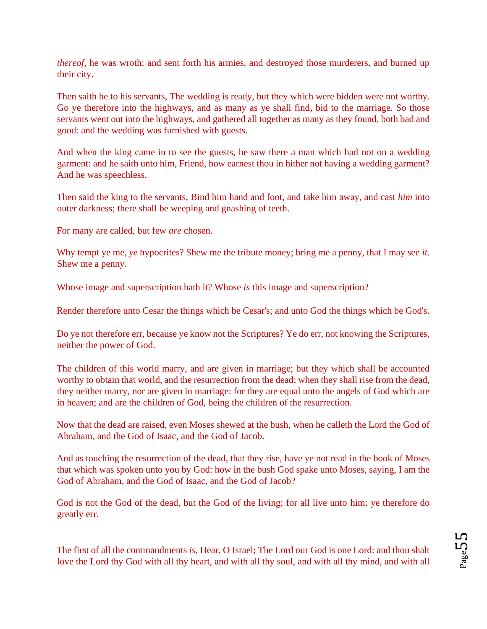*thereof*, he was wroth: and sent forth his armies, and destroyed those murderers, and burned up their city.

Then saith he to his servants, The wedding is ready, but they which were bidden were not worthy. Go ye therefore into the highways, and as many as ye shall find, bid to the marriage. So those servants went out into the highways, and gathered all together as many as they found, both bad and good: and the wedding was furnished with guests.

And when the king came in to see the guests, he saw there a man which had not on a wedding garment: and he saith unto him, Friend, how earnest thou in hither not having a wedding garment? And he was speechless.

Then said the king to the servants, Bind him hand and foot, and take him away, and cast *him* into outer darkness; there shall be weeping and gnashing of teeth.

For many are called, but few *are* chosen.

Why tempt ye me, *ye* hypocrites? Shew me the tribute money; bring me a penny, that I may see *it*. Shew me a penny.

Whose image and superscription hath it? Whose *is* this image and superscription?

Render therefore unto Cesar the things which be Cesar's; and unto God the things which be God's.

Do ye not therefore err, because ye know not the Scriptures? Ye do err, not knowing the Scriptures, neither the power of God.

The children of this world marry, and are given in marriage; but they which shall be accounted worthy to obtain that world, and the resurrection from the dead; when they shall rise from the dead, they neither marry, nor are given in marriage: for they are equal unto the angels of God which are in heaven; and are the children of God, being the children of the resurrection.

Now that the dead are raised, even Moses shewed at the bush, when he calleth the Lord the God of Abraham, and the God of Isaac, and the God of Jacob.

And as touching the resurrection of the dead, that they rise, have ye not read in the book of Moses that which was spoken unto you by God: how in the bush God spake unto Moses, saying, I am the God of Abraham, and the God of Isaac, and the God of Jacob?

God is not the God of the dead, but the God of the living; for all live unto him: ye therefore do greatly err.

The first of all the commandments *is*, Hear, O Israel; The Lord our God is one Lord: and thou shalt love the Lord thy God with all thy heart, and with all thy soul, and with all thy mind, and with all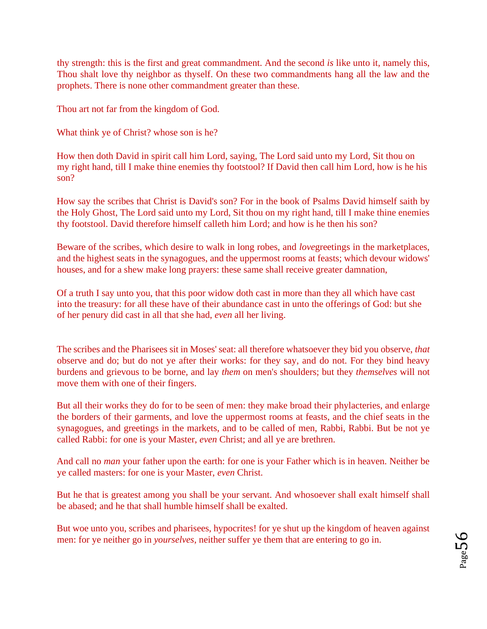thy strength: this is the first and great commandment. And the second *is* like unto it, namely this, Thou shalt love thy neighbor as thyself. On these two commandments hang all the law and the prophets. There is none other commandment greater than these.

Thou art not far from the kingdom of God.

What think ye of Christ? whose son is he?

How then doth David in spirit call him Lord, saying, The Lord said unto my Lord, Sit thou on my right hand, till I make thine enemies thy footstool? If David then call him Lord, how is he his son?

How say the scribes that Christ is David's son? For in the book of Psalms David himself saith by the Holy Ghost, The Lord said unto my Lord, Sit thou on my right hand, till I make thine enemies thy footstool. David therefore himself calleth him Lord; and how is he then his son?

Beware of the scribes, which desire to walk in long robes, and *love*greetings in the marketplaces, and the highest seats in the synagogues, and the uppermost rooms at feasts; which devour widows' houses, and for a shew make long prayers: these same shall receive greater damnation,

Of a truth I say unto you, that this poor widow doth cast in more than they all which have cast into the treasury: for all these have of their abundance cast in unto the offerings of God: but she of her penury did cast in all that she had, *even* all her living.

The scribes and the Pharisees sit in Moses' seat: all therefore whatsoever they bid you observe, *that* observe and do; but do not ye after their works: for they say, and do not. For they bind heavy burdens and grievous to be borne, and lay *them* on men's shoulders; but they *themselves* will not move them with one of their fingers.

But all their works they do for to be seen of men: they make broad their phylacteries, and enlarge the borders of their garments, and love the uppermost rooms at feasts, and the chief seats in the synagogues, and greetings in the markets, and to be called of men, Rabbi, Rabbi. But be not ye called Rabbi: for one is your Master, *even* Christ; and all ye are brethren.

And call no *man* your father upon the earth: for one is your Father which is in heaven. Neither be ye called masters: for one is your Master, *even* Christ.

But he that is greatest among you shall be your servant. And whosoever shall exalt himself shall be abased; and he that shall humble himself shall be exalted.

But woe unto you, scribes and pharisees, hypocrites! for ye shut up the kingdom of heaven against men: for ye neither go in *yourselves*, neither suffer ye them that are entering to go in.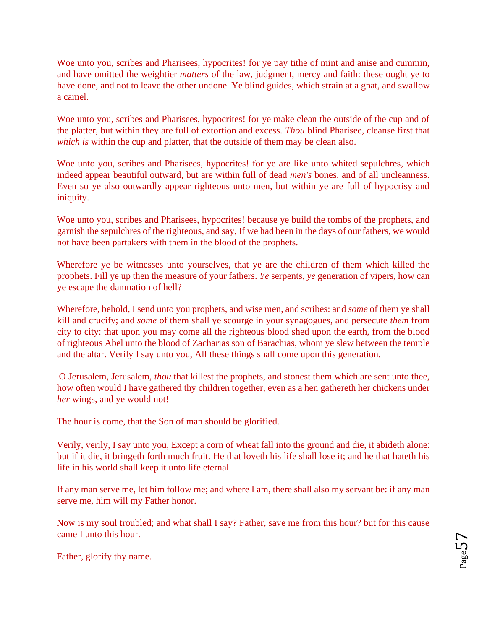Woe unto you, scribes and Pharisees, hypocrites! for ye pay tithe of mint and anise and cummin, and have omitted the weightier *matters* of the law, judgment, mercy and faith: these ought ye to have done, and not to leave the other undone. Ye blind guides, which strain at a gnat, and swallow a camel.

Woe unto you, scribes and Pharisees, hypocrites! for ye make clean the outside of the cup and of the platter, but within they are full of extortion and excess. *Thou* blind Pharisee, cleanse first that *which is* within the cup and platter, that the outside of them may be clean also.

Woe unto you, scribes and Pharisees, hypocrites! for ye are like unto whited sepulchres, which indeed appear beautiful outward, but are within full of dead *men's* bones, and of all uncleanness. Even so ye also outwardly appear righteous unto men, but within ye are full of hypocrisy and iniquity.

Woe unto you, scribes and Pharisees, hypocrites! because ye build the tombs of the prophets, and garnish the sepulchres of the righteous, and say, If we had been in the days of our fathers, we would not have been partakers with them in the blood of the prophets.

Wherefore ye be witnesses unto yourselves, that ye are the children of them which killed the prophets. Fill ye up then the measure of your fathers. *Ye* serpents, *ye* generation of vipers, how can ye escape the damnation of hell?

Wherefore, behold, I send unto you prophets, and wise men, and scribes: and *some* of them ye shall kill and crucify; and *some* of them shall ye scourge in your synagogues, and persecute *them* from city to city: that upon you may come all the righteous blood shed upon the earth, from the blood of righteous Abel unto the blood of Zacharias son of Barachias, whom ye slew between the temple and the altar. Verily I say unto you, All these things shall come upon this generation.

[O](http://www.sacred-texts.com/bib/csj/csj072.htm#fn_83) Jerusalem, Jerusalem, *thou* that killest the prophets, and stonest them which are sent unto thee, how often would I have gathered thy children together, even as a hen gathereth her chickens under *her* wings, and ye would not!

The hour is come, that the Son of man should be glorified.

Verily, verily, I say unto you, Except a corn of wheat fall into the ground and die, it abideth alone: but if it die, it bringeth forth much fruit. He that loveth his life shall lose it; and he that hateth his life in his world shall keep it unto life eternal.

If any man serve me, let him follow me; and where I am, there shall also my servant be: if any man serve me, him will my Father honor.

Now is my soul troubled; and what shall I say? Father, save me from this hour? but for this cause came I unto this hour.

Father, glorify thy name.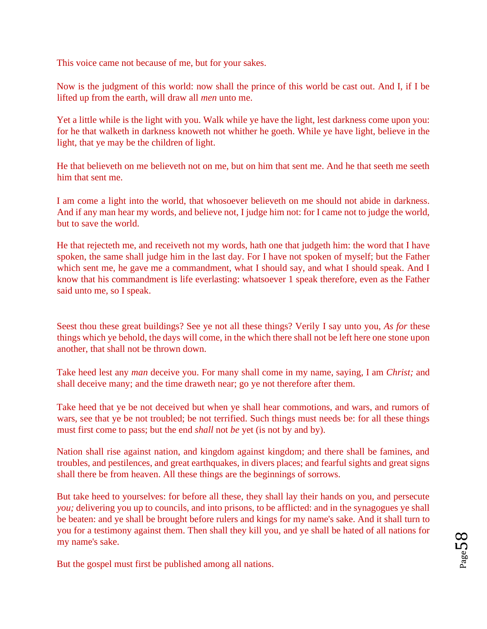This voice came not because of me, but for your sakes.

Now is the judgment of this world: now shall the prince of this world be cast out. And I, if I be lifted up from the earth, will draw all *men* unto me.

Yet a little while is the light with you. Walk while ye have the light, lest darkness come upon you: for he that walketh in darkness knoweth not whither he goeth. While ye have light, believe in the light, that ye may be the children of light.

He that believeth on me believeth not on me, but on him that sent me. And he that seeth me seeth him that sent me.

I am come a light into the world, that whosoever believeth on me should not abide in darkness. And if any man hear my words, and believe not, I judge him not: for I came not to judge the world, but to save the world.

He that rejecteth me, and receiveth not my words, hath one that judgeth him: the word that I have spoken, the same shall judge him in the last day. For I have not spoken of myself; but the Father which sent me, he gave me a commandment, what I should say, and what I should speak. And I know that his commandment is life everlasting: whatsoever 1 speak therefore, even as the Father said unto me, so I speak.

[Se](http://www.sacred-texts.com/bib/csj/csj074.htm#fn_84)est thou these great buildings? See ye not all these things? Verily I say unto you, *As for* these things which ye behold, the days will come, in the which there shall not be left here one stone upon another, that shall not be thrown down.

Take heed lest any *man* deceive you. For many shall come in my name, saying, I am *Christ;* and shall deceive many; and the time draweth near; go ye not therefore after them.

Take heed that ye be not deceived but when ye shall hear commotions, and wars, and rumors of wars, see that ye be not troubled; be not terrified. Such things must needs be: for all these things must first come to pass; but the end *shall* not *be* yet (is not by and by).

Nation shall rise against nation, and kingdom against kingdom; and there shall be famines, and troubles, and pestilences, and great earthquakes, in divers places; and fearful sights and great signs shall there be from heaven. All these things are the beginnings of sorrows.

But take heed to yourselves: for before all these, they shall lay their hands on you, and persecute *you;* delivering you up to councils, and into prisons, to be afflicted: and in the synagogues ye shall be beaten: and ye shall be brought before rulers and kings for my name's sake. And it shall turn to you for a testimony against them. Then shall they kill you, and ye shall be hated of all nations for my name's sake.

But the gospel must first be published among all nations.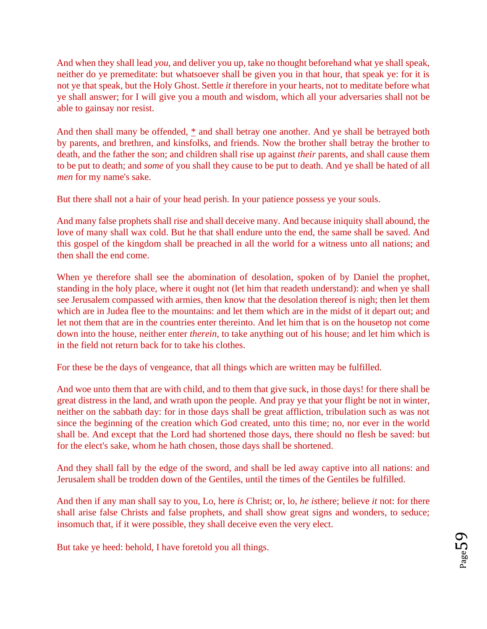And when they shall lead *you*, and deliver you up, take no thought beforehand what ye shall speak, neither do ye premeditate: but whatsoever shall be given you in that hour, that speak ye: for it is not ye that speak, but the Holy Ghost. Settle *it* therefore in your hearts, not to meditate before what ye shall answer; for I will give you a mouth and wisdom, which all your adversaries shall not be able to gainsay nor resist.

And then shall many be offended, [\\*](http://www.sacred-texts.com/bib/csj/csj074.htm#fn_85) and shall betray one another. And ye shall be betrayed both by parents, and brethren, and kinsfolks, and friends. Now the brother shall betray the brother to death, and the father the son; and children shall rise up against *their* parents, and shall cause them to be put to death; and *some* of you shall they cause to be put to death. And ye shall be hated of all *men* for my name's sake.

But there shall not a hair of your head perish. In your patience possess ye your souls.

And many false prophets shall rise and shall deceive many. And because iniquity shall abound, the love of many shall wax cold. But he that shall endure unto the end, the same shall be saved. And this gospel of the kingdom shall be preached in all the world for a witness unto all nations; and then shall the end come.

When ye therefore shall see the abomination of desolation, spoken of by Daniel the prophet, standing in the holy place, where it ought not (let him that readeth understand): and when ye shall see Jerusalem compassed with armies, then know that the desolation thereof is nigh; then let them which are in Judea flee to the mountains: and let them which are in the midst of it depart out; and let not them that are in the countries enter thereinto. And let him that is on the housetop not come down into the house, neither enter *therein*, to take anything out of his house; and let him which is in the field not return back for to take his clothes.

For these be the days of vengeance, that all things which are written may be fulfilled.

And woe unto them that are with child, and to them that give suck, in those days! for there shall be great distress in the land, and wrath upon the people. And pray ye that your flight be not in winter, neither on the sabbath day: for in those days shall be great affliction, tribulation such as was not since the beginning of the creation which God created, unto this time; no, nor ever in the world shall be. And except that the Lord had shortened those days, there should no flesh be saved: but for the elect's sake, whom he hath chosen, those days shall be shortened.

And they shall fall by the edge of the sword, and shall be led away captive into all nations: and Jerusalem shall be trodden down of the Gentiles, until the times of the Gentiles be fulfilled.

And then if any man shall say to you, Lo, here *is* Christ; or, lo, *he is*there; believe *it* not: for there shall arise false Christs and false prophets, and shall show great signs and wonders, to seduce; insomuch that, if it were possible, they shall deceive even the very elect.

But take ye heed: behold, I have foretold you all things.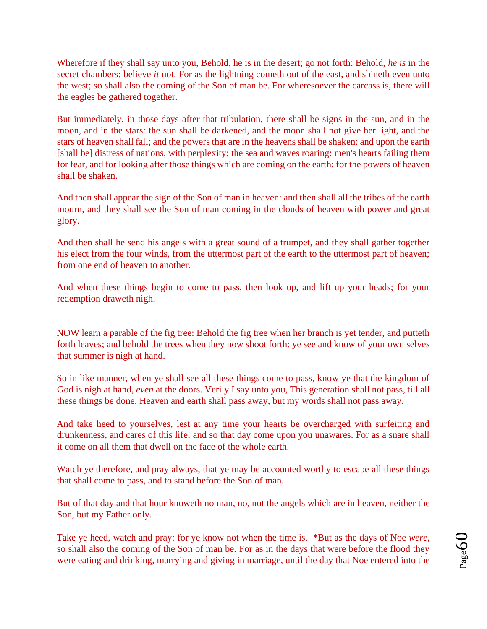Wherefore if they shall say unto you, Behold, he is in the desert; go not forth: Behold, *he is* in the secret chambers; believe *it* not. For as the lightning cometh out of the east, and shineth even unto the west; so shall also the coming of the Son of man be. For wheresoever the carcass is, there will the eagles be gathered together.

But immediately, in those days after that tribulation, there shall be signs in the sun, and in the moon, and in the stars: the sun shall be darkened, and the moon shall not give her light, and the stars of heaven shall fall; and the powers that are in the heavens shall be shaken: and upon the earth [shall be] distress of nations, with perplexity; the sea and waves roaring: men's hearts failing them for fear, and for looking after those things which are coming on the earth: for the powers of heaven shall be shaken.

And then shall appear the sign of the Son of man in heaven: and then shall all the tribes of the earth mourn, and they shall see the Son of man coming in the clouds of heaven with power and great glory.

And then shall he send his angels with a great sound of a trumpet, and they shall gather together his elect from the four winds, from the uttermost part of the earth to the uttermost part of heaven; from one end of heaven to another.

And when these things begin to come to pass, then look up, and lift up your heads; for your redemption draweth nigh.

[NO](http://www.sacred-texts.com/bib/csj/csj075.htm#fn_86)W learn a parable of the fig tree: Behold the fig tree when her branch is yet tender, and putteth forth leaves; and behold the trees when they now shoot forth: ye see and know of your own selves that summer is nigh at hand.

So in like manner, when ye shall see all these things come to pass, know ye that the kingdom of God is nigh at hand, *even* at the doors. Verily I say unto you, This generation shall not pass, till all these things be done. Heaven and earth shall pass away, but my words shall not pass away.

And take heed to yourselves, lest at any time your hearts be overcharged with surfeiting and drunkenness, and cares of this life; and so that day come upon you unawares. For as a snare shall it come on all them that dwell on the face of the whole earth.

Watch ye therefore, and pray always, that ye may be accounted worthy to escape all these things that shall come to pass, and to stand before the Son of man.

But of that day and that hour knoweth no man, no, not the angels which are in heaven, neither the Son, but my Father only.

Take ye heed, watch and pray: for ye know not when the time is. [\\*Bu](http://www.sacred-texts.com/bib/csj/csj075.htm#fn_87)t as the days of Noe *were*, so shall also the coming of the Son of man be. For as in the days that were before the flood they were eating and drinking, marrying and giving in marriage, until the day that Noe entered into the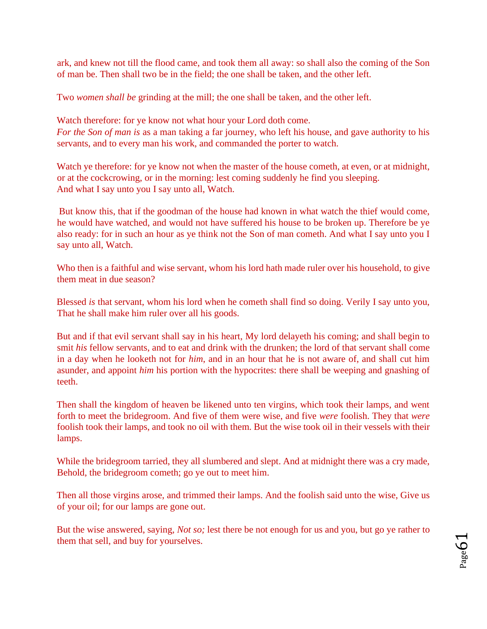ark, and knew not till the flood came, and took them all away: so shall also the coming of the Son of man be. Then shall two be in the field; the one shall be taken, and the other left.

Two *women shall be* grinding at the mill; the one shall be taken, and the other left.

Watch therefore: for ye know not what hour your Lord doth come. *For the Son of man is* as a man taking a far journey, who left his house, and gave authority to his servants, and to every man his work, and commanded the porter to watch.

Watch ye therefore: for ye know not when the master of the house cometh, at even, or at midnight, or at the cockcrowing, or in the morning: lest coming suddenly he find you sleeping. And what I say unto you I say unto all, Watch.

[Bu](http://www.sacred-texts.com/bib/csj/csj075.htm#fn_88)t know this, that if the goodman of the house had known in what watch the thief would come, he would have watched, and would not have suffered his house to be broken up. Therefore be ye also ready: for in such an hour as ye think not the Son of man cometh. And what I say unto you I say unto all, Watch.

Who then is a faithful and wise servant, whom his lord hath made ruler over his household, to give them meat in due season?

Blessed *is* that servant, whom his lord when he cometh shall find so doing. Verily I say unto you, That he shall make him ruler over all his goods.

But and if that evil servant shall say in his heart, My lord delayeth his coming; and shall begin to smit *his* fellow servants, and to eat and drink with the drunken; the lord of that servant shall come in a day when he looketh not for *him*, and in an hour that he is not aware of, and shall cut him asunder, and appoint *him* his portion with the hypocrites: there shall be weeping and gnashing of teeth.

Then shall the kingdom of heaven be likened unto ten virgins, which took their lamps, and went forth to meet the bridegroom. And five of them were wise, and five *were* foolish. They that *were* foolish took their lamps, and took no oil with them. But the wise took oil in their vessels with their lamps.

While the bridegroom tarried, they all slumbered and slept. And at midnight there was a cry made, Behold, the bridegroom cometh; go ye out to meet him.

Then all those virgins arose, and trimmed their lamps. And the foolish said unto the wise, Give us of your oil; for our lamps are gone out.

But the wise answered, saying, *Not so;* lest there be not enough for us and you, but go ye rather to them that sell, and buy for yourselves.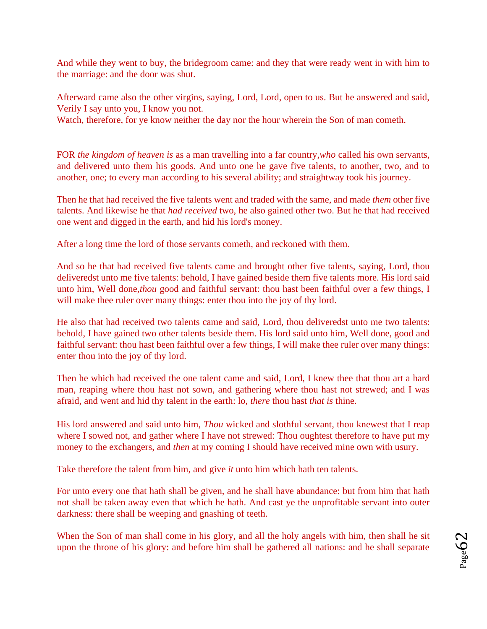And while they went to buy, the bridegroom came: and they that were ready went in with him to the marriage: and the door was shut.

Afterward came also the other virgins, saying, Lord, Lord, open to us. But he answered and said, Verily I say unto you, I know you not.

Watch, therefore, for ye know neither the day nor the hour wherein the Son of man cometh.

[FO](http://www.sacred-texts.com/bib/csj/csj076.htm#fn_89)R *the kingdom of heaven is* as a man travelling into a far country,*who* called his own servants, and delivered unto them his goods. And unto one he gave five talents, to another, two, and to another, one; to every man according to his several ability; and straightway took his journey.

Then he that had received the five talents went and traded with the same, and made *them* other five talents. And likewise he that *had received* two, he also gained other two. But he that had received one went and digged in the earth, and hid his lord's money.

After a long time the lord of those servants cometh, and reckoned with them.

And so he that had received five talents came and brought other five talents, saying, Lord, thou deliveredst unto me five talents: behold, I have gained beside them five talents more. His lord said unto him, Well done,*thou* good and faithful servant: thou hast been faithful over a few things, I will make thee ruler over many things: enter thou into the joy of thy lord.

He also that had received two talents came and said, Lord, thou deliveredst unto me two talents: behold, I have gained two other talents beside them. His lord said unto him, Well done, good and faithful servant: thou hast been faithful over a few things, I will make thee ruler over many things: enter thou into the joy of thy lord.

Then he which had received the one talent came and said, Lord, I knew thee that thou art a hard man, reaping where thou hast not sown, and gathering where thou hast not strewed; and I was afraid, and went and hid thy talent in the earth: lo, *there* thou hast *that is* thine.

His lord answered and said unto him, *Thou* wicked and slothful servant, thou knewest that I reap where I sowed not, and gather where I have not strewed: Thou oughtest therefore to have put my money to the exchangers, and *then* at my coming I should have received mine own with usury.

Take therefore the talent from him, and give *it* unto him which hath ten talents.

For unto every one that hath shall be given, and he shall have abundance: but from him that hath not shall be taken away even that which he hath. And cast ye the unprofitable servant into outer darkness: there shall be weeping and gnashing of teeth.

When the Son of man shall come in his glory, and all the holy angels with him, then shall he sit upon the throne of his glory: and before him shall be gathered all nations: and he shall separate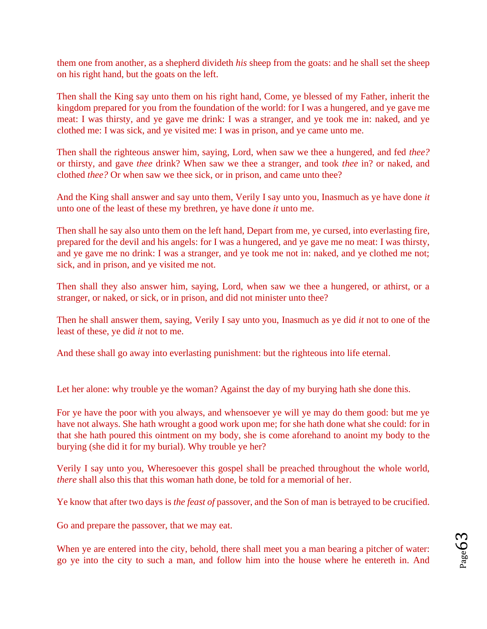them one from another, as a shepherd divideth *his* sheep from the goats: and he shall set the sheep on his right hand, but the goats on the left.

Then shall the King say unto them on his right hand, Come, ye blessed of my Father, inherit the kingdom prepared for you from the foundation of the world: for I was a hungered, and ye gave me meat: I was thirsty, and ye gave me drink: I was a stranger, and ye took me in: naked, and ye clothed me: I was sick, and ye visited me: I was in prison, and ye came unto me.

Then shall the righteous answer him, saying, Lord, when saw we thee a hungered, and fed *thee?* or thirsty, and gave *thee* drink? When saw we thee a stranger, and took *thee* in? or naked, and clothed *thee?* Or when saw we thee sick, or in prison, and came unto thee?

And the King shall answer and say unto them, Verily I say unto you, Inasmuch as ye have done *it* unto one of the least of these my brethren, ye have done *it* unto me.

Then shall he say also unto them on the left hand, Depart from me, ye cursed, into everlasting fire, prepared for the devil and his angels: for I was a hungered, and ye gave me no meat: I was thirsty, and ye gave me no drink: I was a stranger, and ye took me not in: naked, and ye clothed me not; sick, and in prison, and ye visited me not.

Then shall they also answer him, saying, Lord, when saw we thee a hungered, or athirst, or a stranger, or naked, or sick, or in prison, and did not minister unto thee?

Then he shall answer them, saying, Verily I say unto you, Inasmuch as ye did *it* not to one of the least of these, ye did *it* not to me.

And these shall go away into everlasting punishment: but the righteous into life eternal.

Let her alone: why trouble ye the woman? Against the day of my burying hath she done this.

For ye have the poor with you always, and whensoever ye will ye may do them good: but me ye have not always. She hath wrought a good work upon me; for she hath done what she could: for in that she hath poured this ointment on my body, she is come aforehand to anoint my body to the burying (she did it for my burial). Why trouble ye her?

Verily I say unto you, Wheresoever this gospel shall be preached throughout the whole world, *there* shall also this that this woman hath done, be told for a memorial of her.

Ye know that after two days is *the feast of* passover, and the Son of man is betrayed to be crucified.

Go and prepare the passover, that we may eat.

When ye are entered into the city, behold, there shall meet you a man bearing a pitcher of water: go ye into the city to such a man, and follow him into the house where he entereth in. And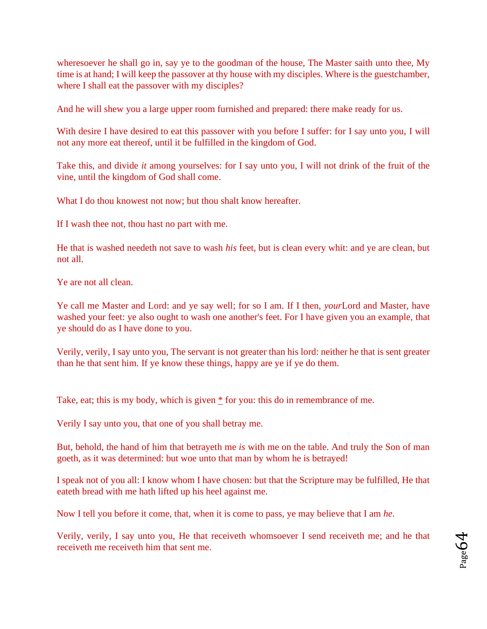wheresoever he shall go in, say ye to the goodman of the house, The Master saith unto thee, My time is at hand; I will keep the passover at thy house with my disciples. Where is the guestchamber, where I shall eat the passover with my disciples?

And he will shew you a large upper room furnished and prepared: there make ready for us.

With desire I have desired to eat this passover with you before I suffer: for I say unto you, I will not any more eat thereof, until it be fulfilled in the kingdom of God.

Take this, and divide *it* among yourselves: for I say unto you, I will not drink of the fruit of the vine, until the kingdom of God shall come.

What I do thou knowest not now; but thou shalt know hereafter.

If I wash thee not, thou hast no part with me.

He that is washed needeth not save to wash *his* feet, but is clean every whit: and ye are clean, but not all.

Ye are not all clean.

Ye call me Master and Lord: and ye say well; for so I am. If I then, *your*Lord and Master, have washed your feet: ye also ought to wash one another's feet. For I have given you an example, that ye should do as I have done to you.

Verily, verily, I say unto you, The servant is not greater than his lord: neither he that is sent greater than he that sent him. If ye know these things, happy are ye if ye do them.

Take, eat; this is my body, which is give[n](http://www.sacred-texts.com/bib/csj/csj079.htm#fn_91)  $*$  for you: this do in remembrance of me.

Verily I say unto you, that one of you shall betray me.

But, behold, the hand of him that betrayeth me *is* with me on the table. And truly the Son of man goeth, as it was determined: but woe unto that man by whom he is betrayed!

I speak not of you all: I know whom I have chosen: but that the Scripture may be fulfilled, He that eateth bread with me hath lifted up his heel against me.

Now I tell you before it come, that, when it is come to pass, ye may believe that I am *he*.

Verily, verily, I say unto you, He that receiveth whomsoever I send receiveth me; and he that receiveth me receiveth him that sent me.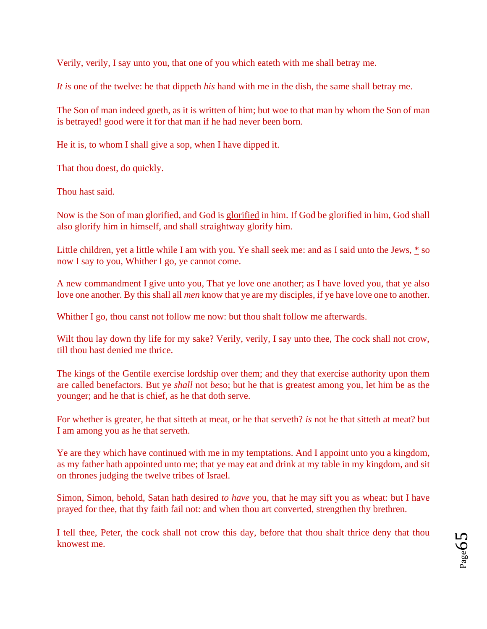Verily, verily, I say unto you, that one of you which eateth with me shall betray me.

*It is* one of the twelve: he that dippeth *his* hand with me in the dish, the same shall betray me.

The Son of man indeed goeth, as it is written of him; but woe to that man by whom the Son of man is betrayed! good were it for that man if he had never been born.

He it is, to whom I shall give a sop, when I have dipped it.

That thou doest, do quickly.

Thou hast said.

Now is the Son of man glorified, and God is [glorified](http://www.sacred-texts.com/bib/csj/errata.htm#6) [i](http://www.sacred-texts.com/bib/csj/errata.htm#6)n him. If God be glorified in him, God shall also glorify him in himself, and shall straightway glorify him.

Little children, yet a little while I am with you. Ye shall seek me: and as I said unto the Jews, [\\*](http://www.sacred-texts.com/bib/csj/csj079.htm#fn_93) so now I say to you, Whither I go, ye cannot come.

A new commandment I give unto you, That ye love one another; as I have loved you, that ye also love one another. By this shall all *men* know that ye are my disciples, if ye have love one to another.

Whither I go, thou canst not follow me now: but thou shalt follow me afterwards.

Wilt thou lay down thy life for my sake? Verily, verily, I say unto thee, The cock shall not crow, till thou hast denied me thrice.

The kings of the Gentile exercise lordship over them; and they that exercise authority upon them are called benefactors. But ye *shall* not *be*so; but he that is greatest among you, let him be as the younger; and he that is chief, as he that doth serve.

For whether is greater, he that sitteth at meat, or he that serveth? *is* not he that sitteth at meat? but I am among you as he that serveth.

Ye are they which have continued with me in my temptations. And I appoint unto you a kingdom, as my father hath appointed unto me; that ye may eat and drink at my table in my kingdom, and sit on thrones judging the twelve tribes of Israel.

Simon, Simon, behold, Satan hath desired *to have* you, that he may sift you as wheat: but I have prayed for thee, that thy faith fail not: and when thou art converted, strengthen thy brethren.

I tell thee, Peter, the cock shall not crow this day, before that thou shalt thrice deny that thou knowest me.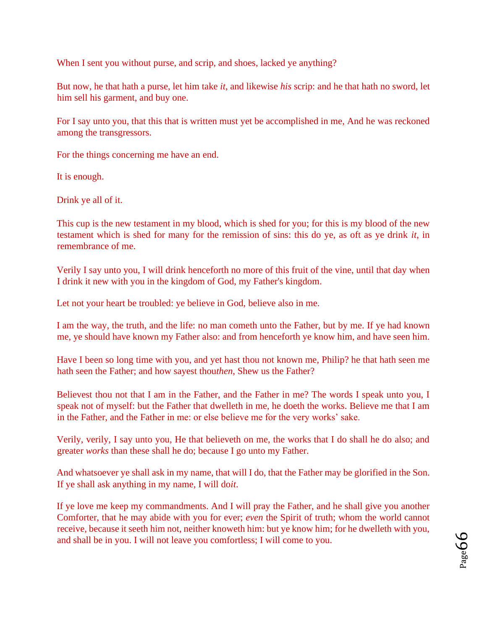When I sent you without purse, and scrip, and shoes, lacked ye anything?

But now, he that hath a purse, let him take *it*, and likewise *his* scrip: and he that hath no sword, let him sell his garment, and buy one.

For I say unto you, that this that is written must yet be accomplished in me, And he was reckoned among the transgressors.

For the things concerning me have an end.

It is enough.

Drink ye all of it.

This cup is the new testament in my blood, which is shed for you; for this is my blood of the new testament which is shed for many for the remission of sins: this do ye, as oft as ye drink *it*, in remembrance of me.

Verily I say unto you, I will drink henceforth no more of this fruit of the vine, until that day when I drink it new with you in the kingdom of God, my Father's kingdom.

Let not your heart be troubled: ye believe in God, believe also in me.

I am the way, the truth, and the life: no man cometh unto the Father, but by me. If ye had known me, ye should have known my Father also: and from henceforth ye know him, and have seen him.

Have I been so long time with you, and yet hast thou not known me, Philip? he that hath seen me hath seen the Father; and how sayest thou*then*, Shew us the Father?

Believest thou not that I am in the Father, and the Father in me? The words I speak unto you, I speak not of myself: but the Father that dwelleth in me, he doeth the works. Believe me that I am in the Father, and the Father in me: or else believe me for the very works' sake.

Verily, verily, I say unto you, He that believeth on me, the works that I do shall he do also; and greater *works* than these shall he do; because I go unto my Father.

And whatsoever ye shall ask in my name, that will I do, that the Father may be glorified in the Son. If ye shall ask anything in my name, I will do*it*.

If ye love me keep my commandments. And I will pray the Father, and he shall give you another Comforter, that he may abide with you for ever; *even* the Spirit of truth; whom the world cannot receive, because it seeth him not, neither knoweth him: but ye know him; for he dwelleth with you, and shall be in you. I will not leave you comfortless; I will come to you.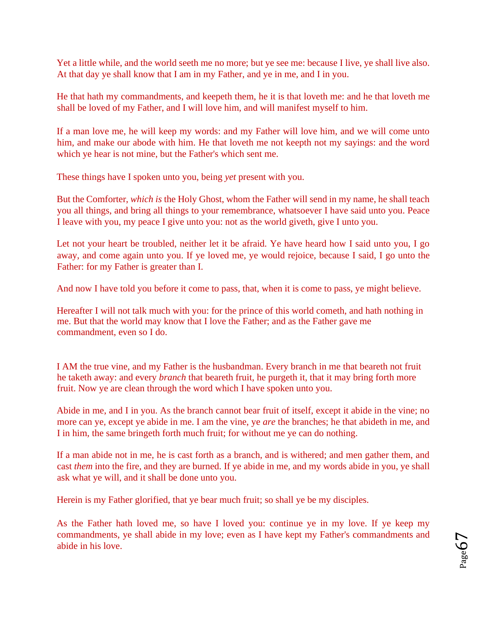Yet a little while, and the world seeth me no more; but ye see me: because I live, ye shall live also. At that day ye shall know that I am in my Father, and ye in me, and I in you.

He that hath my commandments, and keepeth them, he it is that loveth me: and he that loveth me shall be loved of my Father, and I will love him, and will manifest myself to him.

If a man love me, he will keep my words: and my Father will love him, and we will come unto him, and make our abode with him. He that loveth me not keepth not my sayings: and the word which ye hear is not mine, but the Father's which sent me.

These things have I spoken unto you, being *yet* present with you.

But the Comforter, *which is* the Holy Ghost, whom the Father will send in my name, he shall teach you all things, and bring all things to your remembrance, whatsoever I have said unto you. Peace I leave with you, my peace I give unto you: not as the world giveth, give I unto you.

Let not your heart be troubled, neither let it be afraid. Ye have heard how I said unto you, I go away, and come again unto you. If ye loved me, ye would rejoice, because I said, I go unto the Father: for my Father is greater than I.

And now I have told you before it come to pass, that, when it is come to pass, ye might believe.

Hereafter I will not talk much with you: for the prince of this world cometh, and hath nothing in me. But that the world may know that I love the Father; and as the Father gave me commandment, even so I do.

I AM the true vine, and my Father is the husbandman. Every branch in me that beareth not fruit he taketh away: and every *branch* that beareth fruit, he purgeth it, that it may bring forth more fruit. Now ye are clean through the word which I have spoken unto you.

Abide in me, and I in you. As the branch cannot bear fruit of itself, except it abide in the vine; no more can ye, except ye abide in me. I am the vine, ye *are* the branches; he that abideth in me, and I in him, the same bringeth forth much fruit; for without me ye can do nothing.

If a man abide not in me, he is cast forth as a branch, and is withered; and men gather them, and cast *them* into the fire, and they are burned. If ye abide in me, and my words abide in you, ye shall ask what ye will, and it shall be done unto you.

Herein is my Father glorified, that ye bear much fruit; so shall ye be my disciples.

As the Father hath loved me, so have I loved you: continue ye in my love. If ye keep my commandments, ye shall abide in my love; even as I have kept my Father's commandments and abide in his love.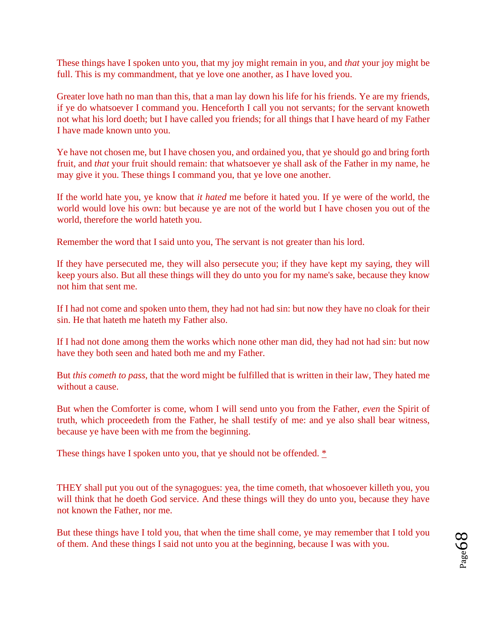These things have I spoken unto you, that my joy might remain in you, and *that* your joy might be full. This is my commandment, that ye love one another, as I have loved you.

Greater love hath no man than this, that a man lay down his life for his friends. Ye are my friends, if ye do whatsoever I command you. Henceforth I call you not servants; for the servant knoweth not what his lord doeth; but I have called you friends; for all things that I have heard of my Father I have made known unto you.

Ye have not chosen me, but I have chosen you, and ordained you, that ye should go and bring forth fruit, and *that* your fruit should remain: that whatsoever ye shall ask of the Father in my name, he may give it you. These things I command you, that ye love one another.

If the world hate you, ye know that *it hated* me before it hated you. If ye were of the world, the world would love his own: but because ye are not of the world but I have chosen you out of the world, therefore the world hateth you.

Remember the word that I said unto you, The servant is not greater than his lord.

If they have persecuted me, they will also persecute you; if they have kept my saying, they will keep yours also. But all these things will they do unto you for my name's sake, because they know not him that sent me.

If I had not come and spoken unto them, they had not had sin: but now they have no cloak for their sin. He that hateth me hateth my Father also.

If I had not done among them the works which none other man did, they had not had sin: but now have they both seen and hated both me and my Father.

But *this cometh to pass*, that the word might be fulfilled that is written in their law, They hated me without a cause.

But when the Comforter is come, whom I will send unto you from the Father, *even* the Spirit of truth, which proceedeth from the Father, he shall testify of me: and ye also shall bear witness, because ye have been with me from the beginning.

These things have I spoken unto you, that ye should not be offended.  $*$ 

THEY shall put you out of the synagogues: yea, the time cometh, that whosoever killeth you, you will think that he doeth God service. And these things will they do unto you, because they have not known the Father, nor me.

But these things have I told you, that when the time shall come, ye may remember that I told you of them. And these things I said not unto you at the beginning, because I was with you.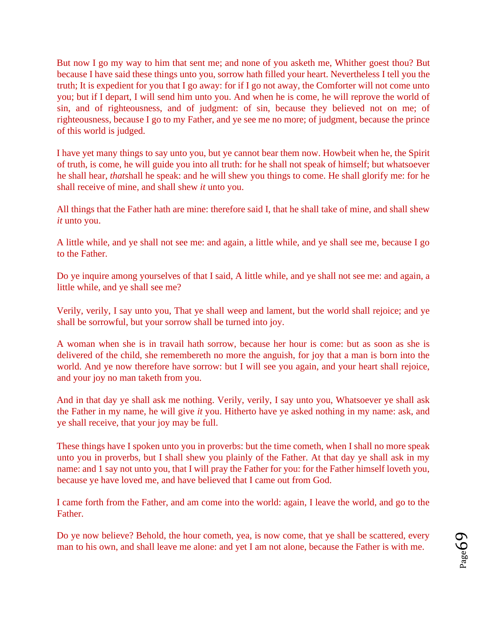But now I go my way to him that sent me; and none of you asketh me, Whither goest thou? But because I have said these things unto you, sorrow hath filled your heart. Nevertheless I tell you the truth; It is expedient for you that I go away: for if I go not away, the Comforter will not come unto you; but if I depart, I will send him unto you. And when he is come, he will reprove the world of sin, and of righteousness, and of judgment: of sin, because they believed not on me; of righteousness, because I go to my Father, and ye see me no more; of judgment, because the prince of this world is judged.

I have yet many things to say unto you, but ye cannot bear them now. Howbeit when he, the Spirit of truth, is come, he will guide you into all truth: for he shall not speak of himself; but whatsoever he shall hear, *that*shall he speak: and he will shew you things to come. He shall glorify me: for he shall receive of mine, and shall shew *it* unto you.

All things that the Father hath are mine: therefore said I, that he shall take of mine, and shall shew *it* unto you.

A little while, and ye shall not see me: and again, a little while, and ye shall see me, because I go to the Father.

Do ye inquire among yourselves of that I said, A little while, and ye shall not see me: and again, a little while, and ye shall see me?

Verily, verily, I say unto you, That ye shall weep and lament, but the world shall rejoice; and ye shall be sorrowful, but your sorrow shall be turned into joy.

A woman when she is in travail hath sorrow, because her hour is come: but as soon as she is delivered of the child, she remembereth no more the anguish, for joy that a man is born into the world. And ye now therefore have sorrow: but I will see you again, and your heart shall rejoice, and your joy no man taketh from you.

And in that day ye shall ask me nothing. Verily, verily, I say unto you, Whatsoever ye shall ask the Father in my name, he will give *it* you. Hitherto have ye asked nothing in my name: ask, and ye shall receive, that your joy may be full.

These things have I spoken unto you in proverbs: but the time cometh, when I shall no more speak unto you in proverbs, but I shall shew you plainly of the Father. At that day ye shall ask in my name: and 1 say not unto you, that I will pray the Father for you: for the Father himself loveth you, because ye have loved me, and have believed that I came out from God.

I came forth from the Father, and am come into the world: again, I leave the world, and go to the Father.

Do ye now believe? Behold, the hour cometh, yea, is now come, that ye shall be scattered, every man to his own, and shall leave me alone: and yet I am not alone, because the Father is with me.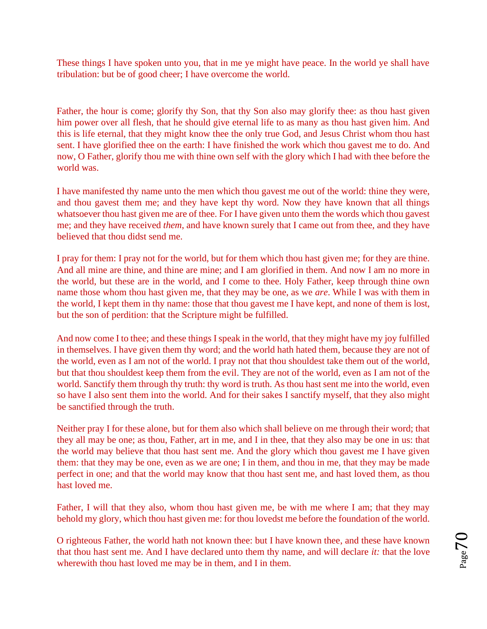These things I have spoken unto you, that in me ye might have peace. In the world ye shall have tribulation: but be of good cheer; I have overcome the world.

Father, the hour is come; glorify thy Son, that thy Son also may glorify thee: as thou hast given him power over all flesh, that he should give eternal life to as many as thou hast given him. And this is life eternal, that they might know thee the only true God, and Jesus Christ whom thou hast sent. I have glorified thee on the earth: I have finished the work which thou gavest me to do. And now, O Father, glorify thou me with thine own self with the glory which I had with thee before the world was.

I have manifested thy name unto the men which thou gavest me out of the world: thine they were, and thou gavest them me; and they have kept thy word. Now they have known that all things whatsoever thou hast given me are of thee. For I have given unto them the words which thou gavest me; and they have received *them*, and have known surely that I came out from thee, and they have believed that thou didst send me.

I pray for them: I pray not for the world, but for them which thou hast given me; for they are thine. And all mine are thine, and thine are mine; and I am glorified in them. And now I am no more in the world, but these are in the world, and I come to thee. Holy Father, keep through thine own name those whom thou hast given me, that they may be one, as we *are*. While I was with them in the world, I kept them in thy name: those that thou gavest me I have kept, and none of them is lost, but the son of perdition: that the Scripture might be fulfilled.

And now come I to thee; and these things I speak in the world, that they might have my joy fulfilled in themselves. I have given them thy word; and the world hath hated them, because they are not of the world, even as I am not of the world. I pray not that thou shouldest take them out of the world, but that thou shouldest keep them from the evil. They are not of the world, even as I am not of the world. Sanctify them through thy truth: thy word is truth. As thou hast sent me into the world, even so have I also sent them into the world. And for their sakes I sanctify myself, that they also might be sanctified through the truth.

Neither pray I for these alone, but for them also which shall believe on me through their word; that they all may be one; as thou, Father, art in me, and I in thee, that they also may be one in us: that the world may believe that thou hast sent me. And the glory which thou gavest me I have given them: that they may be one, even as we are one; I in them, and thou in me, that they may be made perfect in one; and that the world may know that thou hast sent me, and hast loved them, as thou hast loved me.

Father, I will that they also, whom thou hast given me, be with me where I am; that they may behold my glory, which thou hast given me: for thou lovedst me before the foundation of the world.

O righteous Father, the world hath not known thee: but I have known thee, and these have known that thou hast sent me. And I have declared unto them thy name, and will declare *it:* that the love wherewith thou hast loved me may be in them, and I in them.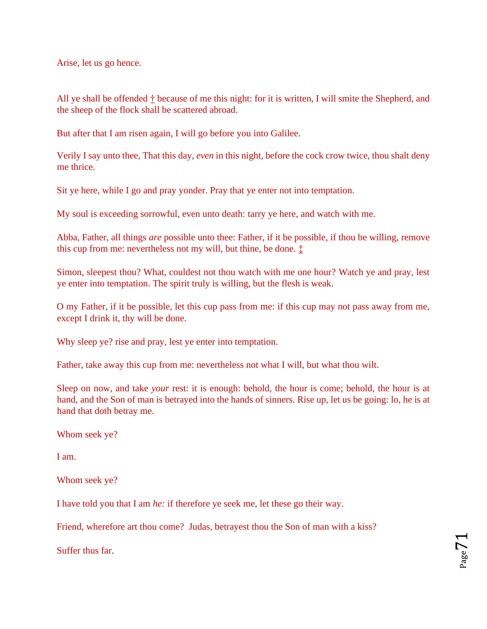Arise, let us go hence.

All ye shall [b](http://www.sacred-texts.com/bib/csj/csj084.htm#fn_96)e offended  $\dot{\uparrow}$  because of me this night: for it is written, I will smite the Shepherd, and the sheep of the flock shall be scattered abroad.

But after that I am risen again, I will go before you into Galilee.

Verily I say unto thee, That this day, *even* in this night, before the cock crow twice, thou shalt deny me thrice.

Sit ye here, while I go and pray yonder. Pray that ye enter not into temptation.

My soul is exceeding sorrowful, even unto death: tarry ye here, and watch with me.

Abba, Father, all things *are* possible unto thee: Father, if it be possible, if thou be willing, remove this cup from me: nevertheless not my will, but thine, be done.  $\pm$ 

Simon, sleepest thou? What, couldest not thou watch with me one hour? Watch ye and pray, lest ye enter into temptation. The spirit truly is willing, but the flesh is weak.

O my Father, if it be possible, let this cup pass from me: if this cup may not pass away from me, except I drink it, thy will be done.

Why sleep ye? rise and pray, lest ye enter into temptation.

Father, take away this cup from me: nevertheless not what I will, but what thou wilt.

Sleep on now, and take *your* rest: it is enough: behold, the hour is come; behold, the hour is at hand, and the Son of man is betrayed into the hands of sinners. Rise up, let us be going: lo, he is at hand that doth betray me.

Whom seek ye?

I am.

Whom seek ye?

I have told you that I am *he:* if therefore ye seek me, let these go their way.

Friend, wherefore art thou come[?](http://www.sacred-texts.com/bib/csj/csj085.htm#fn_99) Judas, betrayest thou the Son of man with a kiss?

Suffer thus far.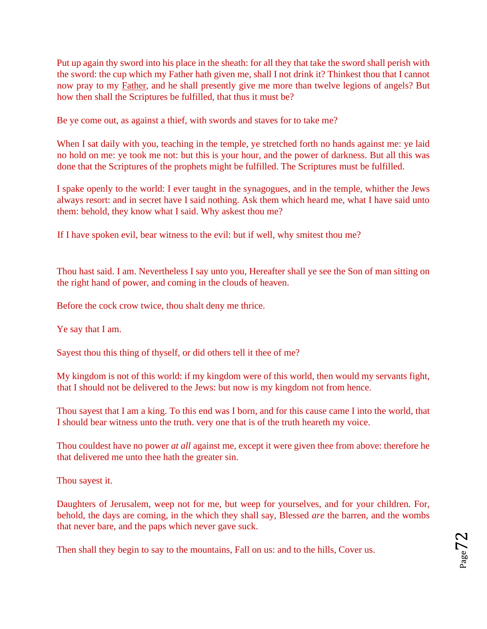Put up again thy sword into his place in the sheath: for all they that take the sword shall perish with the sword: the cup which my Father hath given me, shall I not drink it? Thinkest thou that I cannot now pray to my [Father,](http://www.sacred-texts.com/bib/csj/errata.htm#7) and he shall presently give me more than twelve legions of angels? But how then shall the Scriptures be fulfilled, that thus it must be?

Be ye come out, as against a thief, with swords and staves for to take me?

When I sat daily with you, teaching in the temple, ye stretched forth no hands against me: ye laid no hold on me: ye took me not: but this is your hour, and the power of darkness. But all this was done that the Scriptures of the prophets might be fulfilled. The Scriptures must be fulfilled.

I spake openly to the world: I ever taught in the synagogues, and in the temple, whither the Jews always resort: and in secret have I said nothing. Ask them which heard me, what I have said unto them: behold, they know what I said. Why askest thou me?

If I have spoken evil, bear witness to the evil: but if well, why smitest thou me?

Thou hast said. I am. Nevertheless I say unto you, Hereafter shall ye see the Son of man sitting on the right hand of power, and coming in the clouds of heaven.

Before the cock crow twice, thou shalt deny me thrice.

Ye say that I am.

Sayest thou this thing of thyself, or did others tell it thee of me?

My kingdom is not of this world: if my kingdom were of this world, then would my servants fight, that I should not be delivered to the Jews: but now is my kingdom not from hence.

Thou sayest that I am a king. To this end was I born, and for this cause came I into the world, that I should bear witness unto the truth. very one that is of the truth heareth my voice.

Thou couldest have no power *at all* against me, except it were given thee from above: therefore he that delivered me unto thee hath the greater sin.

Thou sayest it.

Daughters of Jerusalem, weep not for me, but weep for yourselves, and for your children. For, behold, the days are coming, in the which they shall say, Blessed *are* the barren, and the wombs that never bare, and the paps which never gave suck.

Then shall they begin to say to the mountains, Fall on us: and to the hills, Cover us.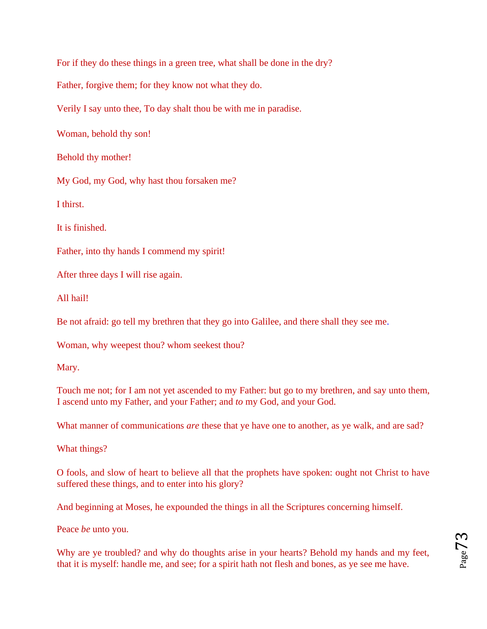For if they do these things in a green tree, what shall be done in the dry?

Father, forgive them; for they know not what they do.

Verily I say unto thee, To day shalt thou be with me in paradise.

Woman, behold thy son!

Behold thy mother!

My God, my God, why hast thou forsaken me?

I thirst.

It is finished.

Father, into thy hands I commend my spirit!

After three days I will rise again.

All hail!

Be not afraid: go tell my brethren that they go into Galilee, and there shall they see me.

Woman, why weepest thou? whom seekest thou?

Mary.

Touch me not; for I am not yet ascended to my Father: but go to my brethren, and say unto them, I ascend unto my Father, and your Father; and *to* my God, and your God.

What manner of communications *are* these that ye have one to another, as ye walk, and are sad?

What things?

O fool[s,](http://www.sacred-texts.com/bib/csj/csj092.htm#fn_103) and slow of heart to believe all that the prophets have spoken: ought not Christ to have suffered these things, and to enter into his glory?

And beginning at Moses, he expounded the things in all the Scriptures concerning himself.

Peace *be* unto you.

Why are ye troubled? and why do thoughts arise in your hearts? Behold my hands and my feet, that it is myself: handle me, and see; for a spirit hath not flesh and bones, as ye see me have.

$$
_{\rm Page}73
$$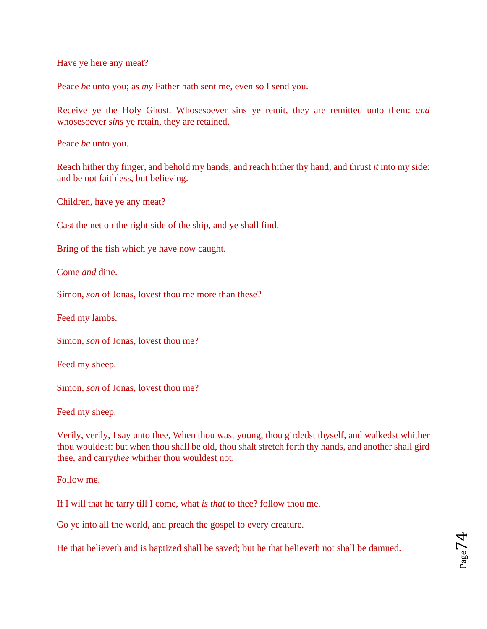Have ye here any meat?

Peace *be* unto you; as *my* Father hath sent me, even so I send you.

Receive ye the Holy Ghost. Whosesoever sins ye remit, they are remitted unto them: *and* whosesoever *sins* ye retain, they are retained.

Peace *be* unto you.

Reach hither thy finger, and behold my hands; and reach hither thy hand, and thrust *it* into my side: and be not faithless, but believing.

Children, have ye any meat?

Cast the net on the right side of the ship, and ye shall find.

Bring of the fish which ye have now caught.

Come *and* dine.

Simon, *son* of Jonas, lovest thou me more than these?

Feed my lambs.

Simon, *son* of Jonas, lovest thou me?

Feed my sheep.

Simon, *son* of Jonas, lovest thou me?

Feed my sheep.

Verily, verily, I say unto thee, When thou wast young, thou girdedst thyself, and walkedst whither thou wouldest: but when thou shall be old, thou shalt stretch forth thy hands, and another shall gird thee, and carry*thee* whither thou wouldest not.

Follow me.

If I will that he tarry till I come, what *is that* to thee? follow thou me.

Go ye into all the world, and preach the gospel to every creature.

He that believeth and is baptized shall be saved; but he that believeth not shall be damned.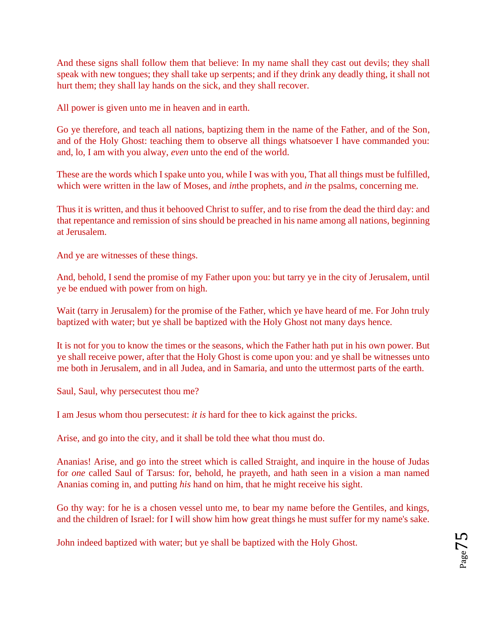And these signs shall follow them that believe: In my name shall they cast out devils; they shall speak with new tongues; they shall take up serpents; and if they drink any deadly thing, it shall not hurt them; they shall lay hands on the sick, and they shall recover.

All power is given unto me in heaven and in earth.

Go ye therefore, and teach all nations, baptizing them in the name of the Father, and of the Son, and of the Holy Ghost: teaching them to observe all things whatsoever I have commanded you: and, lo, I am with you alway, *even* unto the end of the world.

These are the words which I spake unto you, while I was with you, That all things must be fulfilled, which were written in the law of Moses, and *in*the prophets, and *in* the psalms, concerning me.

Thus it is written, and thus it behooved Christ to suffer, and to rise from the dead the third day: and that repentance and remission of sins should be preached in his name among all nations, beginning at Jerusalem.

And ye are witnesses of these things.

And, behold, I send the promise of my Father upon you: but tarry ye in the city of Jerusalem, until ye be endued with power from on high.

Wait (tarry in Jerusalem) for the promise of the Father, which ye have heard of me. For John truly baptized with water; but ye shall be baptized with the Holy Ghost not many days hence.

It is not for you to know the times or the seasons, which the Father hath put in his own power. But ye shall receive power, after that the Holy Ghost is come upon you: and ye shall be witnesses unto me both in Jerusalem, and in all Judea, and in Samaria, and unto the uttermost parts of the earth.

Saul, Saul, why persecutest thou me?

I am Jesus whom thou persecutest: *it is* hard for thee to kick against the pricks.

Arise, and go into the city, and it shall be told thee what thou must do.

Ananias! Arise, and go into the street which is called Straight, and inquire in the house of Judas for *one* called Saul of Tarsus: for, behold, he prayeth, and hath seen in a vision a man named Ananias coming in, and putting *his* hand on him, that he might receive his sight.

Go thy way: for he is a chosen vessel unto me, to bear my name before the Gentiles, and kings, and the children of Israel: for I will show him how great things he must suffer for my name's sake.

John indeed baptized with water; but ye shall be baptized with the Holy Ghost.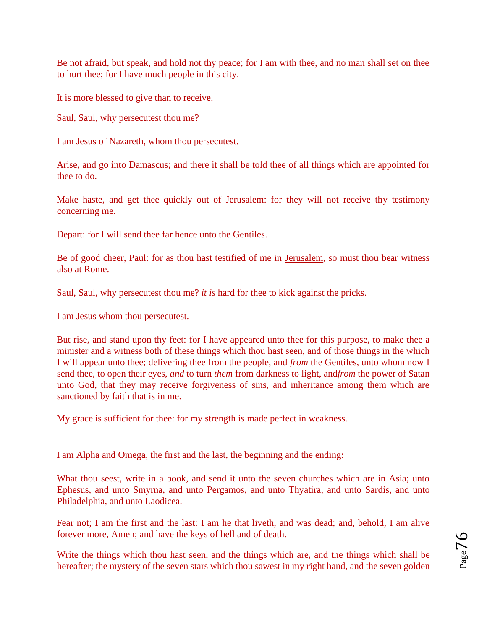Be not afraid, but speak, and hold not thy peace; for I am with thee, and no man shall set on thee to hurt thee; for I have much people in this city.

It is more blessed to give than to receive.

Saul, Saul, why persecutest thou me?

I am Jesus of Nazareth, whom thou persecutest.

Arise, and go into Damascus; and there it shall be told thee of all things which are appointed for thee to do.

Make haste, and get thee quickly out of Jerusalem: for they will not receive thy testimony concerning me.

Depart: for I will send thee far hence unto the Gentiles.

Be of good cheer, Paul: for as thou hast testified of me in [Jerusalem,](http://www.sacred-texts.com/bib/csj/errata.htm#9) so must thou bear witness also at Rome.

Saul, Saul, why persecutest thou me? *it is* hard for thee to kick against the pricks.

I am Jesus whom thou persecutest.

But rise, and stand upon thy feet: for I have appeared unto thee for this purpose, to make thee a minister and a witness both of these things which thou hast seen, and of those things in the which I will appear unto thee; delivering thee from the people, and *from* the Gentiles, unto whom now I send thee, to open their eyes, *and* to turn *them* from darkness to light, and*from* the power of Satan unto God, that they may receive forgiveness of sins, and inheritance among them which are sanctioned by faith that is in me.

My grace is sufficient for thee: for my strength is made perfect in weakness.

I am Alpha and Omega, the first and the last, the beginning and the ending:

What thou seest, write in a book, and send it unto the seven churches which are in Asia; unto Ephesus, and unto Smyrna, and unto Pergamos, and unto Thyatira, and unto Sardis, and unto Philadelphia, and unto Laodicea.

Fear not; I am the first and the last: I am he that liveth, and was dead; and, behold, I am alive forever more, Amen; and have the keys of hell and of death.

Write the things which thou hast seen, and the things which are, and the things which shall be hereafter; the mystery of the seven stars which thou sawest in my right hand, and the seven golden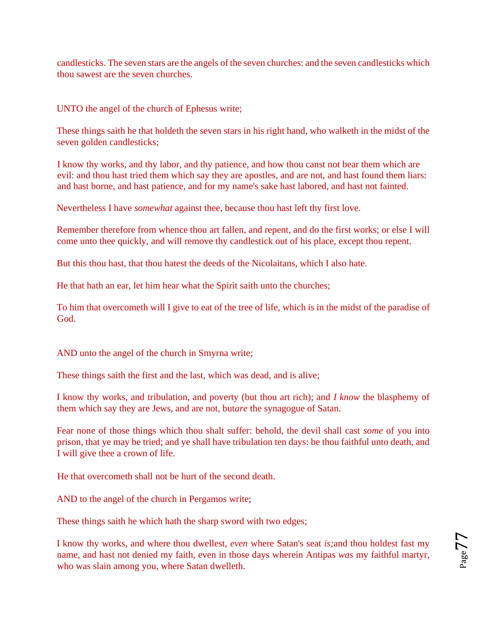candlesticks. The seven stars are the angels of the seven churches: and the seven candlesticks which thou sawest are the seven churches.

UNTO the angel of the church of Ephesus write;

These things saith he that holdeth the seven stars in his right hand, who walketh in the midst of the seven golden candlesticks;

I know thy works, and thy labor, and thy patience, and how thou canst not bear them which are evil: and thou hast tried them which say they are apostles, and are not, and hast found them liars: and hast borne, and hast patience, and for my name's sake hast labored, and hast not fainted.

Nevertheless I have *somewhat* against thee, because thou hast left thy first love.

Remember therefore from whence thou art fallen, and repent, and do the first works; or else I will come unto thee quickly, and will remove thy candlestick out of his place, except thou repent.

But this thou hast, that thou hatest the deeds of the Nicolaitans, which I also hate.

He that hath an ear, let him hear what the Spirit saith unto the churches;

To him that overcometh will I give to eat of the tree of life, which is in the midst of the paradise of God.

AND unto the angel of the church in Smyrna write;

These things saith the first and the last, which was dead, and is alive;

I know thy works, and tribulation, and poverty (but thou art rich); and *I know* the blasphemy of them which say they are Jews, and are not, but*are* the synagogue of Satan.

Fear none of those things which thou shalt suffer: behold, the devil shall cast *some* of you into prison, that ye may be tried; and ye shall have tribulation ten days: be thou faithful unto death, and I will give thee a crown of life.

He that overcometh shall not be hurt of the second death.

AND to the angel of the church in Pergamos write;

These things saith he which hath the sharp sword with two edges;

I know thy works, and where thou dwellest, *even* where Satan's seat *is;*and thou holdest fast my name, and hast not denied my faith, even in those days wherein Antipas *was* my faithful martyr, who was slain among you, where Satan dwelleth.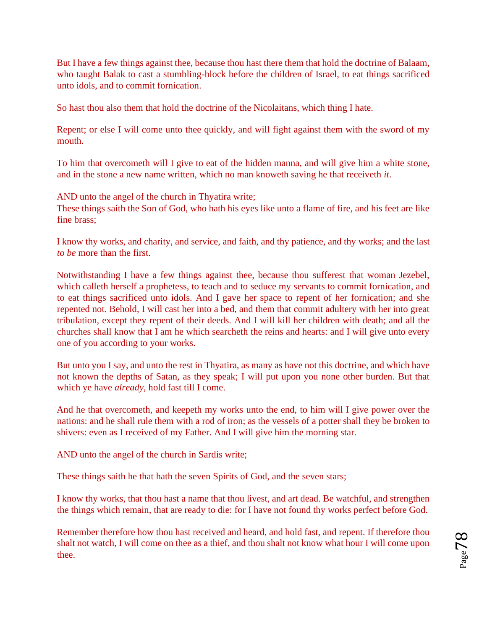But I have a few things against thee, because thou hast there them that hold the doctrine of Balaam, who taught Balak to cast a stumbling-block before the children of Israel, to eat things sacrificed unto idols, and to commit fornication.

So hast thou also them that hold the doctrine of the Nicolaitans, which thing I hate.

Repent; or else I will come unto thee quickly, and will fight against them with the sword of my mouth.

To him that overcometh will I give to eat of the hidden manna, and will give him a white stone, and in the stone a new name written, which no man knoweth saving he that receiveth *it*.

AND unto the angel of the church in Thyatira write;

These things saith the Son of God, who hath his eyes like unto a flame of fire, and his feet are like fine brass;

I know thy works, and charity, and service, and faith, and thy patience, and thy works; and the last *to be* more than the first.

Notwithstanding I have a few things against thee, because thou sufferest that woman Jezebel, which calleth herself a prophetess, to teach and to seduce my servants to commit fornication, and to eat things sacrificed unto idols. And I gave her space to repent of her fornication; and she repented not. Behold, I will cast her into a bed, and them that commit adultery with her into great tribulation, except they repent of their deeds. And I will kill her children with death; and all the churches shall know that I am he which searcheth the reins and hearts: and I will give unto every one of you according to your works.

But unto you I say, and unto the rest in Thyatira, as many as have not this doctrine, and which have not known the depths of Satan, as they speak; I will put upon you none other burden. But that which ye have *already*, hold fast till I come.

And he that overcometh, and keepeth my works unto the end, to him will I give power over the nations: and he shall rule them with a rod of iron; as the vessels of a potter shall they be broken to shivers: even as I received of my Father. And I will give him the morning star.

AND unto the angel of the church in Sardis write;

These things saith he that hath the seven Spirits of God, and the seven stars;

I know thy works, that thou hast a name that thou livest, and art dead. Be watchful, and strengthen the things which remain, that are ready to die: for I have not found thy works perfect before God.

Remember therefore how thou hast received and heard, and hold fast, and repent. If therefore thou shalt not watch, I will come on thee as a thief, and thou shalt not know what hour I will come upon thee.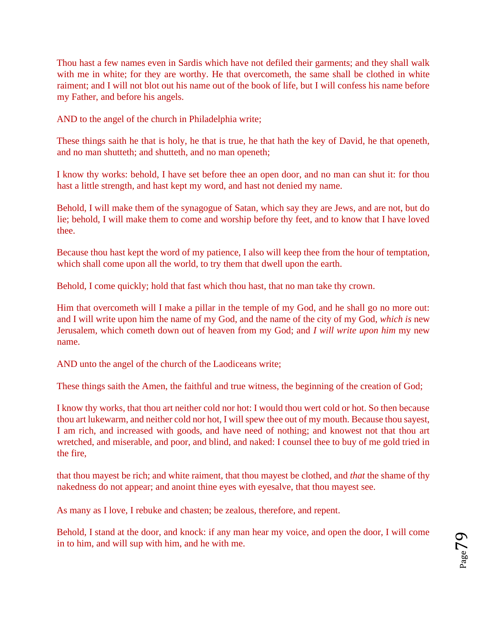Thou hast a few names even in Sardis which have not defiled their garments; and they shall walk with me in white; for they are worthy. He that overcometh, the same shall be clothed in white raiment; and I will not blot out his name out of the book of life, but I will confess his name before my Father, and before his angels.

AND to the angel of the church in Philadelphia write;

These things saith he that is holy, he that is true, he that hath the key of David, he that openeth, and no man shutteth; and shutteth, and no man openeth;

I know thy works: behold, I have set before thee an open door, and no man can shut it: for thou hast a little strength, and hast kept my word, and hast not denied my name.

Behold, I will make them of the synagogue of Satan, which say they are Jews, and are not, but do lie; behold, I will make them to come and worship before thy feet, and to know that I have loved thee.

Because thou hast kept the word of my patience, I also will keep thee from the hour of temptation, which shall come upon all the world, to try them that dwell upon the earth.

Behold, I come quickly; hold that fast which thou hast, that no man take thy crown.

Him that overcometh will I make a pillar in the temple of my God, and he shall go no more out: and I will write upon him the name of my God, and the name of the city of my God, *which is* new Jerusalem, which cometh down out of heaven from my God; and *I will write upon him* my new name.

AND unto the angel of the church of the Laodiceans write;

These things saith the Amen, the faithful and true witness, the beginning of the creation of God;

I know thy works, that thou art neither cold nor hot: I would thou wert cold or hot. So then because thou art lukewarm, and neither cold nor hot, I will spew thee out of my mouth. Because thou sayest, I am rich, and increased with goods, and have need of nothing; and knowest not that thou art wretched, and miserable, and poor, and blind, and naked: I counsel thee to buy of me gold tried in the fire,

that thou mayest be rich; and white raiment, that thou mayest be clothed, and *that* the shame of thy nakedness do not appear; and anoint thine eyes with eyesalve, that thou mayest see.

As many as I love, I rebuke and chasten; be zealous, therefore, and repent.

Behold, I stand at the door, and knock: if any man hear my voice, and open the door, I will come in to him, and will sup with him, and he with me.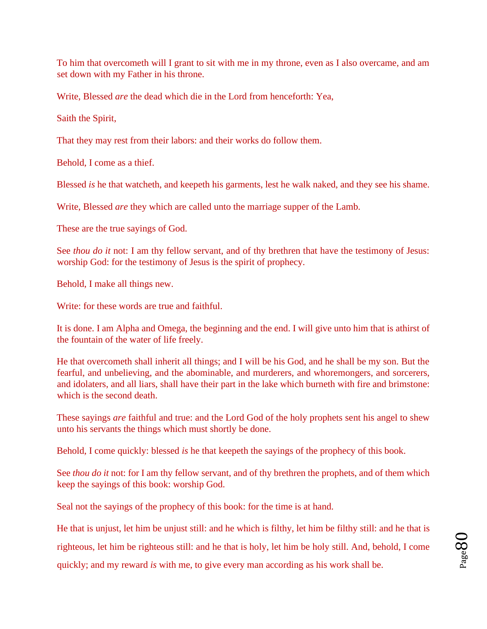To him that overcometh will I grant to sit with me in my throne, even as I also overcame, and am set down with my Father in his throne.

Write, Blessed *are* the dead which die in the Lord from henceforth: Yea,

Saith the Spirit,

That they may rest from their labors: and their works do follow them.

Behold, I come as a thief.

Blessed *is* he that watcheth, and keepeth his garments, lest he walk naked, and they see his shame.

Write, Blessed *are* they which are called unto the marriage supper of the Lamb.

These are the true sayings of God.

See *thou do it* not: I am thy fellow servant, and of thy brethren that have the testimony of Jesus: worship God: for the testimony of Jesus is the spirit of prophecy.

Behold, I make all things new.

Write: for these words are true and faithful.

It is done. I am Alpha and Omega, the beginning and the end. I will give unto him that is athirst of the fountain of the water of life freely.

He that overcometh shall inherit all things; and I will be his God, and he shall be my son. But the fearful, and unbelieving, and the abominable, and murderers, and whoremongers, and sorcerers, and idolaters, and all liars, shall have their part in the lake which burneth with fire and brimstone: which is the second death.

These sayings *are* faithful and true: and the Lord God of the holy prophets sent his angel to shew unto his servants the things which must shortly be done.

Behold, I come quickly: blessed *is* he that keepeth the sayings of the prophecy of this book.

See *thou do it* not: for I am thy fellow servant, and of thy brethren the prophets, and of them which keep the sayings of this book: worship God.

Seal not the sayings of the prophecy of this book: for the time is at hand.

He that is unjust, let him be unjust still: and he which is filthy, let him be filthy still: and he that is righteous, let him be righteous still: and he that is holy, let him be holy still. And, behold, I come quickly; and my reward *is* with me, to give every man according as his work shall be.